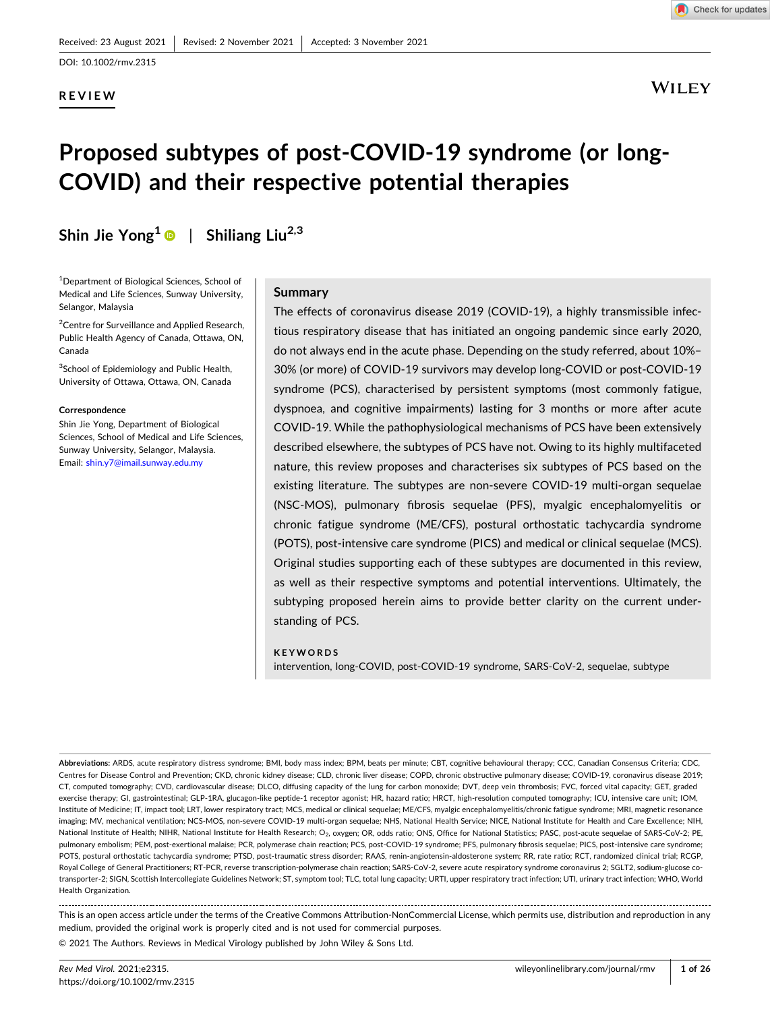# **REVIEW**



**WILEY** 

# **Proposed subtypes of post‐COVID‐19 syndrome (or long‐ COVID) and their respective potential therapies**

**Shin Jie Yong1** | **Shiliang Liu2,3**

1 Department of Biological Sciences, School of Medical and Life Sciences, Sunway University, Selangor, Malaysia

<sup>2</sup> Centre for Surveillance and Applied Research, Public Health Agency of Canada, Ottawa, ON, Canada

<sup>3</sup>School of Epidemiology and Public Health, University of Ottawa, Ottawa, ON, Canada

#### **Correspondence**

Shin Jie Yong, Department of Biological Sciences, School of Medical and Life Sciences, Sunway University, Selangor, Malaysia. Email: [shin.y7@imail.sunway.edu.my](mailto:shin.y7@imail.sunway.edu.my)

#### **Summary**

The effects of coronavirus disease 2019 (COVID-19), a highly transmissible infectious respiratory disease that has initiated an ongoing pandemic since early 2020, do not always end in the acute phase. Depending on the study referred, about 10%– 30% (or more) of COVID‐19 survivors may develop long‐COVID or post‐COVID‐19 syndrome (PCS), characterised by persistent symptoms (most commonly fatigue, dyspnoea, and cognitive impairments) lasting for 3 months or more after acute COVID‐19. While the pathophysiological mechanisms of PCS have been extensively described elsewhere, the subtypes of PCS have not. Owing to its highly multifaceted nature, this review proposes and characterises six subtypes of PCS based on the existing literature. The subtypes are non‐severe COVID‐19 multi‐organ sequelae (NSC‐MOS), pulmonary fibrosis sequelae (PFS), myalgic encephalomyelitis or chronic fatigue syndrome (ME/CFS), postural orthostatic tachycardia syndrome (POTS), post‐intensive care syndrome (PICS) and medical or clinical sequelae (MCS). Original studies supporting each of these subtypes are documented in this review, as well as their respective symptoms and potential interventions. Ultimately, the subtyping proposed herein aims to provide better clarity on the current understanding of PCS.

#### **KEYWORDS**

intervention, long‐COVID, post‐COVID‐19 syndrome, SARS‐CoV‐2, sequelae, subtype

**Abbreviations:** ARDS, acute respiratory distress syndrome; BMI, body mass index; BPM, beats per minute; CBT, cognitive behavioural therapy; CCC, Canadian Consensus Criteria; CDC, Centres for Disease Control and Prevention; CKD, chronic kidney disease; CLD, chronic liver disease; COPD, chronic obstructive pulmonary disease; COVID‐19, coronavirus disease 2019; CT, computed tomography; CVD, cardiovascular disease; DLCO, diffusing capacity of the lung for carbon monoxide; DVT, deep vein thrombosis; FVC, forced vital capacity; GET, graded exercise therapy; GI, gastrointestinal; GLP-1RA, glucagon-like peptide-1 receptor agonist; HR, hazard ratio; HRCT, high-resolution computed tomography; ICU, intensive care unit; IOM, Institute of Medicine; IT, impact tool; LRT, lower respiratory tract; MCS, medical or clinical sequelae; ME/CFS, myalgic encephalomyelitis/chronic fatigue syndrome; MRI, magnetic resonance imaging; MV, mechanical ventilation; NCS‐MOS, non‐severe COVID‐19 multi‐organ sequelae; NHS, National Health Service; NICE, National Institute for Health and Care Excellence; NIH, National Institute of Health; NIHR, National Institute for Health Research; O<sub>2</sub>, oxygen; OR, odds ratio; ONS, Office for National Statistics; PASC, post-acute sequelae of SARS‐CoV‐2; PE, pulmonary embolism; PEM, post‐exertional malaise; PCR, polymerase chain reaction; PCS, post‐COVID‐19 syndrome; PFS, pulmonary fibrosis sequelae; PICS, post‐intensive care syndrome; POTS, postural orthostatic tachycardia syndrome; PTSD, post‐traumatic stress disorder; RAAS, renin‐angiotensin‐aldosterone system; RR, rate ratio; RCT, randomized clinical trial; RCGP, Royal College of General Practitioners; RT‐PCR, reverse transcription‐polymerase chain reaction; SARS‐CoV‐2, severe acute respiratory syndrome coronavirus 2; SGLT2, sodium‐glucose co‐ transporter‐2; SIGN, Scottish Intercollegiate Guidelines Network; ST, symptom tool; TLC, total lung capacity; URTI, upper respiratory tract infection; UTI, urinary tract infection; WHO, World Health Organization.

This is an open access article under the terms of the Creative Commons Attribution‐NonCommercial License, which permits use, distribution and reproduction in any medium, provided the original work is properly cited and is not used for commercial purposes. © 2021 The Authors. Reviews in Medical Virology published by John Wiley & Sons Ltd.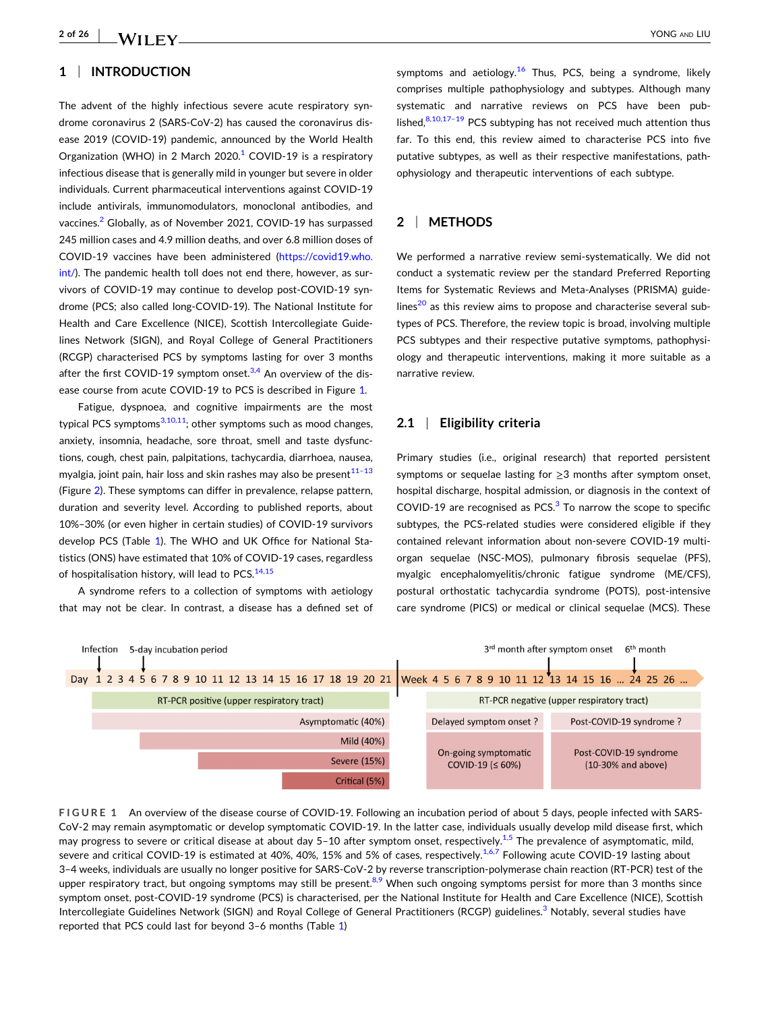#### **1** <sup>|</sup> **INTRODUCTION**

The advent of the highly infectious severe acute respiratory syndrome coronavirus 2 (SARS‐CoV‐2) has caused the coronavirus disease 2019 (COVID‐19) pandemic, announced by the World Health Organization (WHO) in 2 March  $2020<sup>1</sup>$  $2020<sup>1</sup>$  $2020<sup>1</sup>$  COVID-19 is a respiratory infectious disease that is generally mild in younger but severe in older individuals. Current pharmaceutical interventions against COVID‐19 include antivirals, immunomodulators, monoclonal antibodies, and vaccines.<sup>2</sup> Globally, as of November 2021, COVID-19 has surpassed 245 million cases and 4.9 million deaths, and over 6.8 million doses of COVID‐19 vaccines have been administered ([https://covid19.who.](https://covid19.who.int/) [int/](https://covid19.who.int/)). The pandemic health toll does not end there, however, as survivors of COVID‐19 may continue to develop post‐COVID‐19 syndrome (PCS; also called long‐COVID‐19). The National Institute for Health and Care Excellence (NICE), Scottish Intercollegiate Guidelines Network (SIGN), and Royal College of General Practitioners (RCGP) characterised PCS by symptoms lasting for over 3 months after the first COVID-19 symptom onset. $3,4$  An overview of the disease course from acute COVID‐19 to PCS is described in Figure 1.

Fatigue, dyspnoea, and cognitive impairments are the most typical PCS symptoms $3,10,11$ ; other symptoms such as mood changes, anxiety, insomnia, headache, sore throat, smell and taste dysfunctions, cough, chest pain, palpitations, tachycardia, diarrhoea, nausea, myalgia, joint pain, hair loss and skin rashes may also be present $11-13$ (Figure [2](#page-2-0)). These symptoms can differ in prevalence, relapse pattern, duration and severity level. According to published reports, about 10%–30% (or even higher in certain studies) of COVID‐19 survivors develop PCS (Table [1](#page-3-0)). The WHO and UK Office for National Statistics (ONS) have estimated that 10% of COVID‐19 cases, regardless of hospitalisation history, will lead to PCS. $14,15$ 

A syndrome refers to a collection of symptoms with aetiology that may not be clear. In contrast, a disease has a defined set of symptoms and aetiology.<sup>[16](#page-21-0)</sup> Thus, PCS, being a syndrome, likely comprises multiple pathophysiology and subtypes. Although many systematic and narrative reviews on PCS have been published, $8,10,17-19$  PCS subtyping has not received much attention thus far. To this end, this review aimed to characterise PCS into five putative subtypes, as well as their respective manifestations, pathophysiology and therapeutic interventions of each subtype.

#### **2** <sup>|</sup> **METHODS**

We performed a narrative review semi‐systematically. We did not conduct a systematic review per the standard Preferred Reporting Items for Systematic Reviews and Meta-Analyses (PRISMA) guidelines $^{20}$  as this review aims to propose and characterise several subtypes of PCS. Therefore, the review topic is broad, involving multiple PCS subtypes and their respective putative symptoms, pathophysiology and therapeutic interventions, making it more suitable as a narrative review.

#### **2.1** <sup>|</sup> **Eligibility criteria**

Primary studies (i.e., original research) that reported persistent symptoms or sequelae lasting for ≥3 months after symptom onset, hospital discharge, hospital admission, or diagnosis in the context of COVID-19 are recognised as PCS. $3$  To narrow the scope to specific subtypes, the PCS-related studies were considered eligible if they contained relevant information about non‐severe COVID‐19 multi‐ organ sequelae (NSC‐MOS), pulmonary fibrosis sequelae (PFS), myalgic encephalomyelitis/chronic fatigue syndrome (ME/CFS), postural orthostatic tachycardia syndrome (POTS), post-intensive care syndrome (PICS) or medical or clinical sequelae (MCS). These



**FIGURE 1** An overview of the disease course of COVID‐19. Following an incubation period of about 5 days, people infected with SARS‐ CoV‐2 may remain asymptomatic or develop symptomatic COVID‐19. In the latter case, individuals usually develop mild disease first, which may progress to severe or critical disease at about day 5-10 after symptom onset, respectively.<sup>[1,5](#page-21-0)</sup> The prevalence of asymptomatic, mild, severe and critical COVID-19 is estimated at 40%, 40%, 15% and 5% of cases, respectively.<sup>1,6,7</sup> Following acute COVID-19 lasting about 3–4 weeks, individuals are usually no longer positive for SARS‐CoV‐2 by reverse transcription‐polymerase chain reaction (RT‐PCR) test of the upper respiratory tract, but ongoing symptoms may still be present.<sup>[8,9](#page-21-0)</sup> When such ongoing symptoms persist for more than 3 months since symptom onset, post-COVID-19 syndrome (PCS) is characterised, per the National Institute for Health and Care Excellence (NICE), Scottish Intercollegiate Guidelines Network (SIGN) and Royal College of General Practitioners (RCGP) guidelines.<sup>[3](#page-21-0)</sup> Notably, several studies have reported that PCS could last for beyond 3–6 months (Table [1](#page-3-0))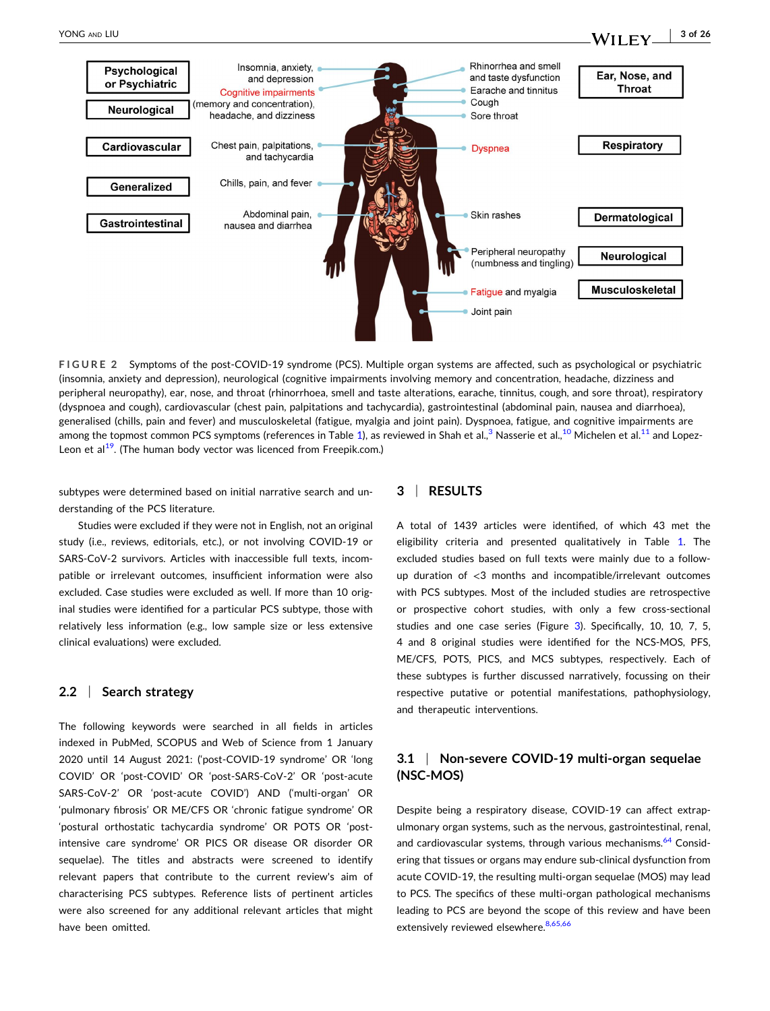<span id="page-2-0"></span>

**FIGURE 2** Symptoms of the post‐COVID‐19 syndrome (PCS). Multiple organ systems are affected, such as psychological or psychiatric (insomnia, anxiety and depression), neurological (cognitive impairments involving memory and concentration, headache, dizziness and peripheral neuropathy), ear, nose, and throat (rhinorrhoea, smell and taste alterations, earache, tinnitus, cough, and sore throat), respiratory (dyspnoea and cough), cardiovascular (chest pain, palpitations and tachycardia), gastrointestinal (abdominal pain, nausea and diarrhoea), generalised (chills, pain and fever) and musculoskeletal (fatigue, myalgia and joint pain). Dyspnoea, fatigue, and cognitive impairments are among the topmost common PCS symptoms (references in Table [1](#page-3-0)), as reviewed in Shah et al.,<sup>[3](#page-21-0)</sup> Nasserie et al.,<sup>[10](#page-21-0)</sup> Michelen et al.<sup>[11](#page-21-0)</sup> and Lopez-Leon et  $al^{19}$ . (The human body vector was licenced from Freepik.com.)

subtypes were determined based on initial narrative search and understanding of the PCS literature.

Studies were excluded if they were not in English, not an original study (i.e., reviews, editorials, etc.), or not involving COVID‐19 or SARS‐CoV‐2 survivors. Articles with inaccessible full texts, incompatible or irrelevant outcomes, insufficient information were also excluded. Case studies were excluded as well. If more than 10 original studies were identified for a particular PCS subtype, those with relatively less information (e.g., low sample size or less extensive clinical evaluations) were excluded.

#### **2.2** <sup>|</sup> **Search strategy**

The following keywords were searched in all fields in articles indexed in PubMed, SCOPUS and Web of Science from 1 January 2020 until 14 August 2021: ('post‐COVID‐19 syndrome' OR 'long COVID' OR 'post‐COVID' OR 'post‐SARS‐CoV‐2' OR 'post‐acute SARS‐CoV‐2' OR 'post‐acute COVID') AND ('multi‐organ' OR 'pulmonary fibrosis' OR ME/CFS OR 'chronic fatigue syndrome' OR 'postural orthostatic tachycardia syndrome' OR POTS OR 'post‐ intensive care syndrome' OR PICS OR disease OR disorder OR sequelae). The titles and abstracts were screened to identify relevant papers that contribute to the current review's aim of characterising PCS subtypes. Reference lists of pertinent articles were also screened for any additional relevant articles that might have been omitted.

#### **3** <sup>|</sup> **RESULTS**

A total of 1439 articles were identified, of which 43 met the eligibility criteria and presented qualitatively in Table [1.](#page-3-0) The excluded studies based on full texts were mainly due to a followup duration of <3 months and incompatible/irrelevant outcomes with PCS subtypes. Most of the included studies are retrospective or prospective cohort studies, with only a few cross-sectional studies and one case series (Figure [3\)](#page-15-0). Specifically, 10, 10, 7, 5, 4 and 8 original studies were identified for the NCS‐MOS, PFS, ME/CFS, POTS, PICS, and MCS subtypes, respectively. Each of these subtypes is further discussed narratively, focussing on their respective putative or potential manifestations, pathophysiology, and therapeutic interventions.

# **3.1** <sup>|</sup> **Non‐severe COVID‐19 multi‐organ sequelae (NSC‐MOS)**

Despite being a respiratory disease, COVID‐19 can affect extrapulmonary organ systems, such as the nervous, gastrointestinal, renal, and cardiovascular systems, through various mechanisms.<sup>[64](#page-23-0)</sup> Considering that tissues or organs may endure sub‐clinical dysfunction from acute COVID‐19, the resulting multi‐organ sequelae (MOS) may lead to PCS. The specifics of these multi‐organ pathological mechanisms leading to PCS are beyond the scope of this review and have been extensively reviewed elsewhere.<sup>[8,65,66](#page-21-0)</sup>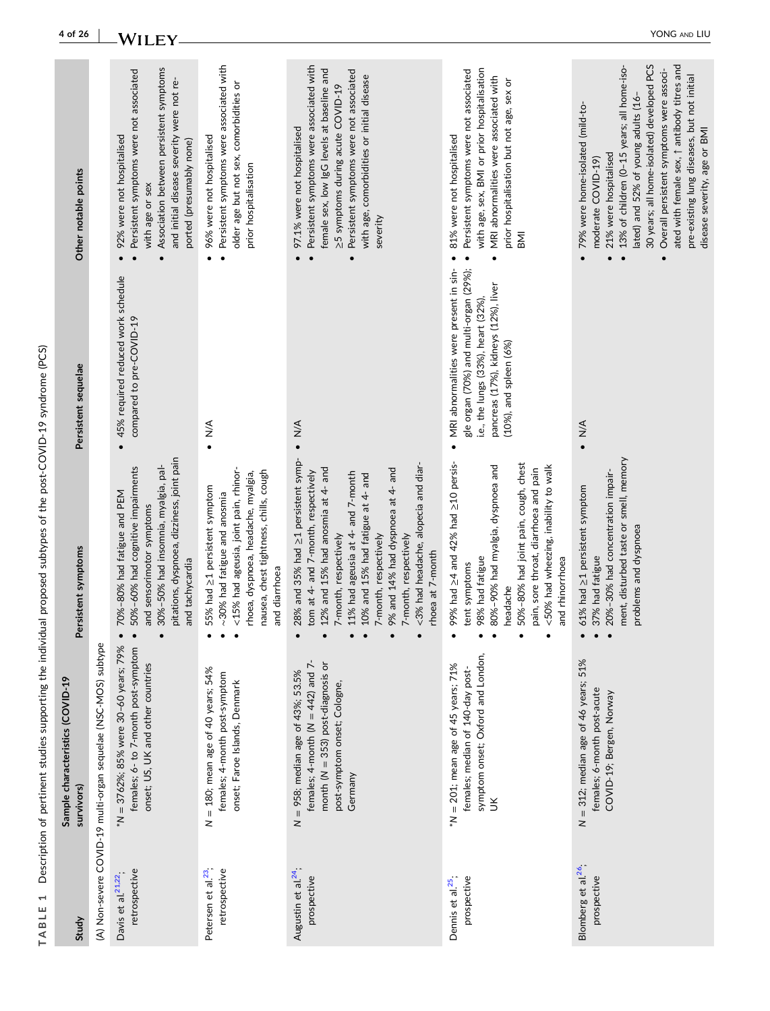| ֖֖֖֖ׅ֖֧ׅ֖֧֖֧֧ׅ֖֧֧ׅ֧֚֚֚֚֚֚֚֚֚֚֚֚֚֚֚֚֚֚֚֚֚֚֚֚֚֚֚֡֝֝֝֝֝֓֞֝֓֞֝֬֓֞֝֓֞֝֬֝֬<br>ו<br>ו<br>Í |
|-------------------------------------------------------------------------------------|
| i<br>l<br>ţ                                                                         |
| l<br>ı                                                                              |
|                                                                                     |
| í                                                                                   |
|                                                                                     |
|                                                                                     |
| l<br>֚֕֡<br>Ó                                                                       |
|                                                                                     |
| j                                                                                   |
|                                                                                     |
|                                                                                     |
| ׇ֚֘֝                                                                                |
| I<br>I<br>l                                                                         |
| ł<br>l<br>J<br>ı<br>ì<br>T A R                                                      |

| Study                                            | Sample characteristics (COVID-19<br>survivors)                                                                                                                    | Persistent symptoms                                                                                                                                                                                                                                                                                                                                                   | Persistent sequelae                                                                                                                                                                                         | Other notable points                                                                                                                                                                                                                                                                                                                                                                                                            |
|--------------------------------------------------|-------------------------------------------------------------------------------------------------------------------------------------------------------------------|-----------------------------------------------------------------------------------------------------------------------------------------------------------------------------------------------------------------------------------------------------------------------------------------------------------------------------------------------------------------------|-------------------------------------------------------------------------------------------------------------------------------------------------------------------------------------------------------------|---------------------------------------------------------------------------------------------------------------------------------------------------------------------------------------------------------------------------------------------------------------------------------------------------------------------------------------------------------------------------------------------------------------------------------|
|                                                  | (A) Non-severe COVID-19 multi-organ sequelae (NSC-MOS) subtype                                                                                                    |                                                                                                                                                                                                                                                                                                                                                                       |                                                                                                                                                                                                             |                                                                                                                                                                                                                                                                                                                                                                                                                                 |
| retrospective<br>Davis et al. <sup>21,22</sup> . | *N = 3762%; 85% were 30-60 years; 79%<br>females; 6- to 7-month post-symptom<br>onset; US, UK and other countries                                                 | pitations, dyspnoea, dizziness, joint pain<br>30%-50% had insomnia, myalgia, pal-<br>50%-60% had cognitive impairments<br>70%-80% had fatigue and PEM<br>and sensorimotor symptoms<br>and tachycardia<br>$\bullet$                                                                                                                                                    | 45% required reduced work schedule<br>compared to pre-COVID-19<br>$\bullet$                                                                                                                                 | Association between persistent symptoms<br>Persistent symptoms were not associated<br>and initial disease severity were not re-<br>92% were not hospitalised<br>ported (presumably none)<br>with age or sex                                                                                                                                                                                                                     |
| retrospective<br>Petersen et al. <sup>23</sup> , | N = 180; mean age of 40 years; 54%<br>females; 4-month post-symptom<br>onset; Faroe Islands, Denmark                                                              | <15% had ageusia, joint pain, rhinor-<br>nausea, chest tightness, chills, cough<br>rhoea, dyspnoea, headache, myalgia,<br>55% had ≥1 persistent symptom<br>$\sim$ 30% had fatigue and anosmia<br>and diarrhoea                                                                                                                                                        | $\sum_{\bullet}$                                                                                                                                                                                            | Persistent symptoms were associated with<br>older age but not sex, comorbidities or<br>96% were not hospitalised<br>prior hospitalisation<br>$\bullet$                                                                                                                                                                                                                                                                          |
| Augustin et al. <sup>24</sup> ;<br>prospective   | females; 4-month ( $N = 442$ ) and 7-<br>month ( $N = 353$ ) post-diagnosis or<br>$N = 958$ ; median age of 43%; 53.5%<br>post-symptom onset; Cologne,<br>Germany | 28% and 35% had ≥1 persistent symp-<br><3% had headache, alopecia and diar-<br>9% and 14% had dyspnoea at 4- and<br>12% and 15% had anosmia at 4- and<br>tom at 4- and 7-month, respectively<br>11% had ageusia at 4- and 7-month<br>10% and 15% had fatigue at 4- and<br>7-month, respectively<br>7-month, respectively<br>7-month, respectively<br>rhoea at 7-month | $\frac{4}{2}$<br>$\bullet$                                                                                                                                                                                  | Persistent symptoms were associated with<br>female sex, low IgG levels at baseline and<br>Persistent symptoms were not associated<br>with age, comorbidities or initial disease<br>≥5 symptoms during acute COVID-19<br>97.1% were not hospitalised<br>severity<br>$\bullet$<br>$\bullet$                                                                                                                                       |
| prospective<br>Dennis et al. <sup>25</sup> ;     | symptom onset; Oxford and London,<br>$*N = 201$ ; mean age of 45 years; 71%<br>females; median of 140-day post-<br>š                                              | 99% had $\geq$ 4 and 42% had $\geq$ 10 persis-<br>50%-80% had joint pain, cough, chest<br>80%-90% had myalgia, dyspnoea and<br><50% had wheezing, inability to walk<br>pain, sore throat, diarrhoea and pain<br>98% had fatigue<br>and rhinorrhoea<br>tent symptoms<br>headache                                                                                       | MRI abnormalities were present in sin-<br>gle organ (70%) and multi-organ (29%);<br>pancreas (17%), kidneys (12%), liver<br>i.e., the lungs (33%), heart (32%),<br>$(10%)$ , and spleen $(6%)$<br>$\bullet$ | with age, sex, BMI or prior hospitalisation<br>Persistent symptoms were not associated<br>MRI abnormalities were associated with<br>prior hospitalisation but not age, sex or<br>81% were not hospitalised<br><b>IIMB</b>                                                                                                                                                                                                       |
| Blomberg et al. <sup>26</sup> ;<br>prospective   | $N = 312$ ; median age of 46 years; 51%<br>females; 6-month post-acute<br>COVID-19; Bergen, Norway                                                                | ment, disturbed taste or smell, memory<br>20%-30% had concentration impair-<br>61% had ≥1 persistent symptom<br>problems and dyspnoea<br>37% had fatigue                                                                                                                                                                                                              | $\frac{4}{5}$                                                                                                                                                                                               | 30 years; all home-isolated) developed PCS<br>ated with female sex, $\uparrow$ antibody titres and<br>13% of children (0-15 years; all home-iso-<br>Overall persistent symptoms were associ-<br>pre-existing lung diseases, but not initial<br>lated) and 52% of young adults (16-<br>79% were home-isolated (mild-to-<br>disease severity, age or BMI<br>21% were hospitalised<br>moderate COVID-19)<br>$\bullet$<br>$\bullet$ |

# <span id="page-3-0"></span>**4 of 26** - YONG AND LIU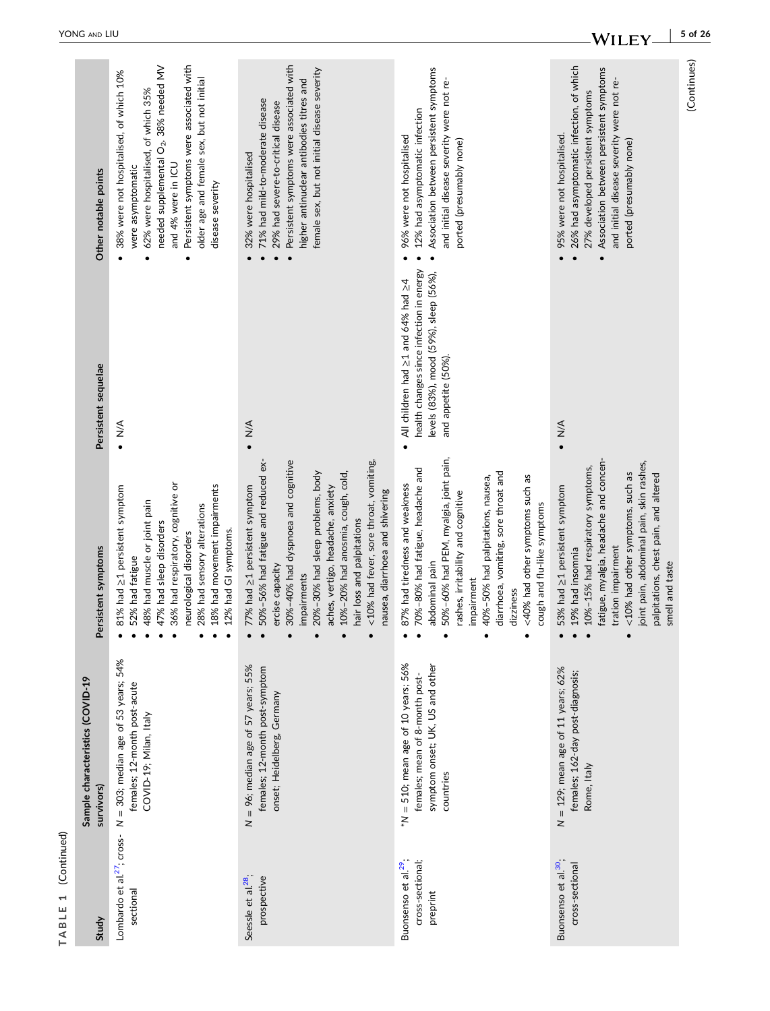| Other notable points                           | Persistent symptoms were associated with<br>needed supplemental O <sub>2</sub> , 38% needed MV<br>38% were not hospitalised, of which 10%<br>older age and female sex, but not initial<br>62% were hospitalised, of which 35%<br>and 4% were in ICU<br>were asymptomatic<br>disease severity | Persistent symptoms were associated with<br>female sex, but not initial disease severity<br>higher antinuclear antibodies titres and<br>71% had mild-to-moderate disease<br>29% had severe-to-critical disease<br>32% were hospitalised                                                                                                                              | Association between persistent symptoms<br>and initial disease severity were not re-<br>12% had asymptomatic infection<br>96% were not hospitalised<br>ported (presumably none)                                                                                                                                                           | 26% had asymptomatic infection, of which<br>Association between persistent symptoms<br>and initial disease severity were not re-<br>27% developed persistent symptoms<br>95% were not hospitalised.<br>ported (presumably none)                                                                    | (Continues) |
|------------------------------------------------|----------------------------------------------------------------------------------------------------------------------------------------------------------------------------------------------------------------------------------------------------------------------------------------------|----------------------------------------------------------------------------------------------------------------------------------------------------------------------------------------------------------------------------------------------------------------------------------------------------------------------------------------------------------------------|-------------------------------------------------------------------------------------------------------------------------------------------------------------------------------------------------------------------------------------------------------------------------------------------------------------------------------------------|----------------------------------------------------------------------------------------------------------------------------------------------------------------------------------------------------------------------------------------------------------------------------------------------------|-------------|
| Persistent sequelae                            | $\sum_{\bullet}$                                                                                                                                                                                                                                                                             | $\frac{4}{\sqrt{2}}$                                                                                                                                                                                                                                                                                                                                                 | health changes since infection in energy<br>levels (83%), mood (59%), sleep (56%),<br>All children had ≥1 and 64% had ≥4<br>and appetite (50%).                                                                                                                                                                                           | $\frac{4}{3}$                                                                                                                                                                                                                                                                                      |             |
| Persistent symptoms                            | 6% had respiratory, cognitive or<br>8% had movement impairments<br>81% had ≥1 persistent symptom<br>8% had muscle or joint pain<br>18% had sensory alterations<br>17% had sleep disorders<br>.2% had GI symptoms.<br>eurological disorders<br>52% had fatigue                                | <10% had fever, sore throat, vomiting,<br>50%-56% had fatigue and reduced ex-<br>30%-40% had dyspnoea and cognitive<br>20%-30% had sleep problems, body<br>0%-20% had anosmia, cough, cold,<br>77% had ≥1 persistent symptom<br>aches, vertigo, headache, anxiety<br>nausea, diarrhoea and shivering<br>hair loss and palpitations<br>ercise capacity<br>impairments | 0%-60% had PEM, myalgia, joint pain,<br>0%-80% had fatigue, headache and<br>diarrhoea, vomiting, sore throat and<br><40% had other symptoms such as<br>0%-50% had palpitations, nausea,<br>87% had tiredness and weakness<br>ashes, irritability and cognitive<br>cough and flu-like symptoms<br>abdominal pain<br>mpairment<br>dizziness | joint pain, abdominal pain, skin rashes,<br>fatigue, myalgia, headache and concen-<br>.0%-15% had respiratory symptoms,<br><10% had other symptoms, such as<br>palpitations, chest pain, and altered<br>53% had ≥1 persistent symptom<br>tration impairment<br>.9% had insomnia<br>smell and taste |             |
| Sample characteristics (COVID-19<br>survivors) | $N = 303$ ; median age of 53 years; 54%<br>females; 12-month post-acute<br>COVID-19; Milan, Italy                                                                                                                                                                                            | $N = 96$ ; median age of 57 years; 55%<br>females; 12-month post-symptom<br>onset; Heidelberg, Germany                                                                                                                                                                                                                                                               | $*N = 510$ ; mean age of 10 years; 56%<br>symptom onset; UK, US and other<br>females; mean of 8-month post-<br>countries                                                                                                                                                                                                                  | $N = 129$ ; mean age of 11 years; 62%<br>females; 162-day post-diagnosis;<br>Rome, Italy                                                                                                                                                                                                           |             |
| Study                                          | Lombardo et al. <sup>27</sup> ; cross-<br>sectional                                                                                                                                                                                                                                          | Seessle et al. <sup>28</sup> .<br>prospective                                                                                                                                                                                                                                                                                                                        | Buonsenso et al. <sup>29</sup> ;<br>cross-sectional;<br>preprint                                                                                                                                                                                                                                                                          | Buonsenso et al. <sup>30</sup> ;<br>cross-sectional                                                                                                                                                                                                                                                |             |

**TABLE 1** (Continued)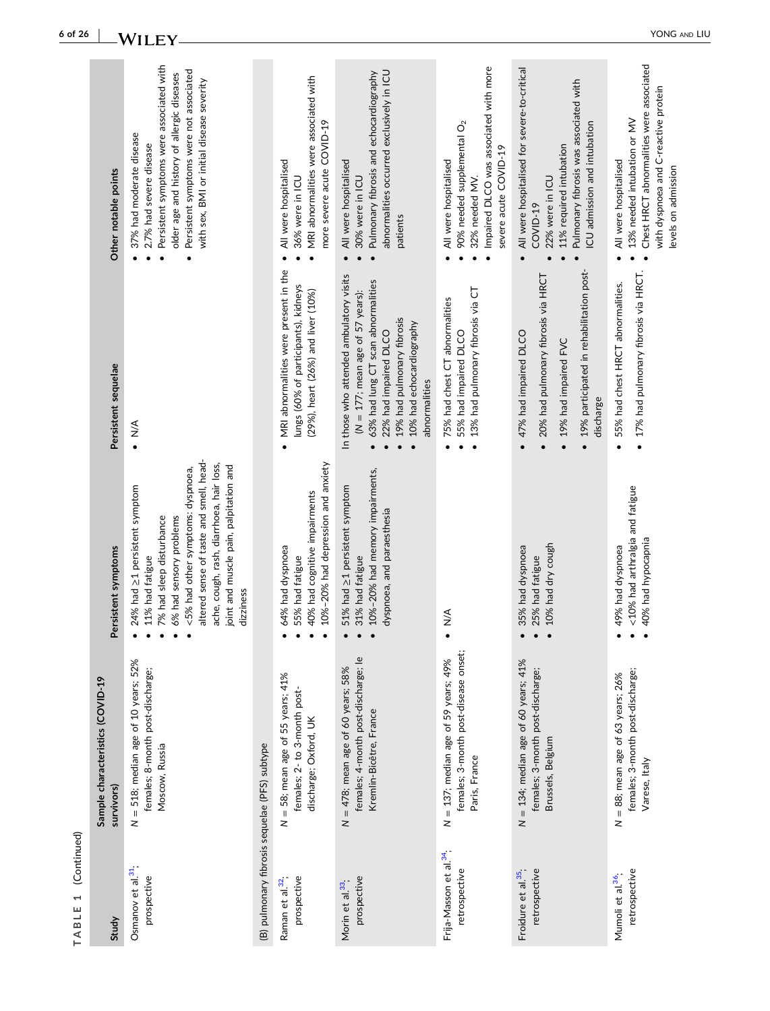| (Continued)<br>$\overline{\phantom{0}}$<br>TABLE     |                                                                                                         |                                                                                                                                                                                                                                                                                            |                                                                                                                                                                                                                         |                                                                                                                                                                                                                                       |
|------------------------------------------------------|---------------------------------------------------------------------------------------------------------|--------------------------------------------------------------------------------------------------------------------------------------------------------------------------------------------------------------------------------------------------------------------------------------------|-------------------------------------------------------------------------------------------------------------------------------------------------------------------------------------------------------------------------|---------------------------------------------------------------------------------------------------------------------------------------------------------------------------------------------------------------------------------------|
| Study                                                | Sample characteristics (COVID-19<br>survivors)                                                          | ersistent symptoms                                                                                                                                                                                                                                                                         | Persistent sequelae                                                                                                                                                                                                     | Other notable points                                                                                                                                                                                                                  |
| Osmanov et al. <sup>31</sup> :<br>prospective        | $N = 518$ ; median age of 10 years; 52%<br>females; 8-month post-discharge;<br>Moscow, Russia           | altered sense of taste and smell, head-<br>ache, cough, rash, diarrhoea, hair loss,<br>joint and muscle pain, palpitation and<br><5% had other symptoms: dyspnoea,<br>24% had ≥1 persistent symptom<br>6% had sensory problems<br>7% had sleep disturbance<br>11% had fatigue<br>dizziness | $\frac{4}{5}$                                                                                                                                                                                                           | Persistent symptoms were associated with<br>Persistent symptoms were not associated<br>older age and history of allergic diseases<br>with sex, BMI or initial disease severity<br>37% had moderate disease<br>2.7% had severe disease |
| (B) pulmonary fibrosis sequelae (PFS) subtype        |                                                                                                         |                                                                                                                                                                                                                                                                                            |                                                                                                                                                                                                                         |                                                                                                                                                                                                                                       |
| prospective<br>Raman et al. <sup>32</sup> ;          | $N = 58$ ; mean age of 55 years; 41%<br>females; 2- to 3-month post-<br>discharge; Oxford, UK           | 10%-20% had depression and anxiety<br>40% had cognitive impairments<br>64% had dyspnoea<br>55% had fatigue                                                                                                                                                                                 | MRI abnormalities were present in the<br>lungs (60% of participants), kidneys<br>(29%), heart (26%) and liver (10%)                                                                                                     | MRI abnormalities were associated with<br>more severe acute COVID-19<br>All were hospitalised<br>36% were in ICU                                                                                                                      |
| prospective<br>Morin et al. <sup>33</sup> .          | females; 4-month post-discharge; le<br>$N = 478$ ; mean age of 60 years; 58%<br>Kremlin-Bicêtre, France | 10%-20% had memory impairments,<br>51% had ≥1 persistent symptom<br>dyspnoea, and paraesthesia<br>31% had fatigue                                                                                                                                                                          | In those who attended ambulatory visits<br>63% had lung CT scan abnormalities<br>$(N = 177;$ mean age of 57 years):<br>19% had pulmonary fibrosis<br>10% had echocardiography<br>22% had impaired DLCO<br>abnormalities | abnormalities occurred exclusively in ICU<br>Pulmonary fibrosis and echocardiography<br>All were hospitalised<br>30% were in ICU<br>patients<br>$\bullet$                                                                             |
| Frija-Masson et al. <sup>34</sup> ;<br>retrospective | females; 3-month post-disease onset;<br>$N = 137$ ; median age of 59 years; 49%<br>Paris, France        | $\frac{4}{2}$                                                                                                                                                                                                                                                                              | 13% had pulmonary fibrosis via CT<br>75% had chest CT abnormalities<br>55% had impaired DLCO<br>$\bullet$                                                                                                               | Impaired DLCO was associated with more<br>90% needed supplemental $O2$<br>severe acute COVID-19<br>All were hospitalised<br>32% needed MV.                                                                                            |
| Froidure et al. <sup>35</sup> ,<br>retrospective     | $N = 134$ ; median age of 60 years; 41%<br>females; 3-month post-discharge;<br>Brussels, Belgium        | 10% had dry cough<br>35% had dyspnoea<br>25% had fatigue                                                                                                                                                                                                                                   | 19% participated in rehabilitation post-<br>20% had pulmonary fibrosis via HRCT<br>47% had impaired DLCO<br>19% had impaired FVC<br>discharge<br>$\bullet$                                                              | All were hospitalised for severe-to-critical<br>Pulmonary fibrosis was associated with<br>ICU admission and intubation<br>11% required intubation<br>22% were in ICU<br>COVID-19                                                      |
| retrospective<br>Mumoli et al. <sup>36</sup> ;       | females; 3-month post-discharge;<br>$N = 88$ ; mean age of 63 years; 26%<br>Varese, Italy               | <10% had arthralgia and fatigue<br>40% had hypocapnia<br>49% had dyspnoea                                                                                                                                                                                                                  | · 17% had pulmonary fibrosis via HRCT.<br>55% had chest HRCT abnormalities.<br>$\bullet$                                                                                                                                | Chest HRCT abnormalities were associated<br>with dyspnoea and C-reactive protein<br>13% needed intubation or MV<br>All were hospitalised<br>levels on admission                                                                       |

**6 of 26**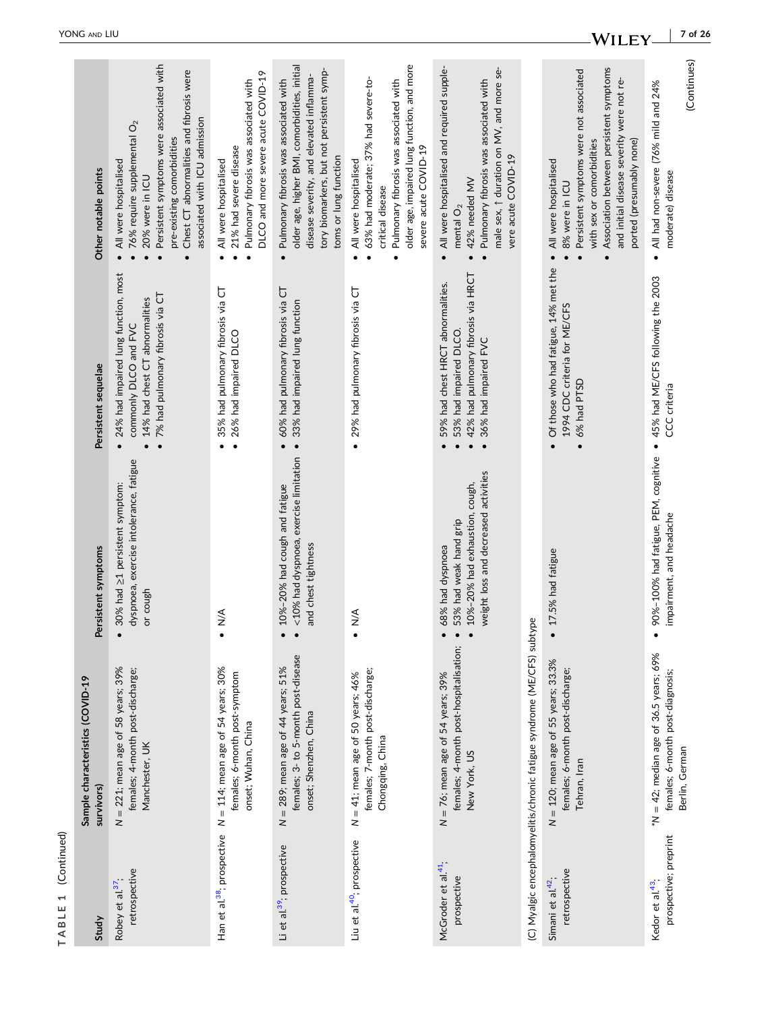| Study                                                 | Sample characteristics (COVID-19<br>survivors)                                                         | Persistent symptoms                                                                                                  | Persistent sequelae                                                                                                                     | Other notable points                                                                                                                                                                                                                             |
|-------------------------------------------------------|--------------------------------------------------------------------------------------------------------|----------------------------------------------------------------------------------------------------------------------|-----------------------------------------------------------------------------------------------------------------------------------------|--------------------------------------------------------------------------------------------------------------------------------------------------------------------------------------------------------------------------------------------------|
| retrospective<br>Robey et al. <sup>37</sup> .         | $N = 221$ ; mean age of 58 years; 39%<br>females; 4-month post-discharge;<br>Manchester, UK            | dyspnoea, exercise intolerance, fatigue<br>30% had ≥1 persistent symptom:<br>or cough                                | 24% had impaired lung function, most<br>7% had pulmonary fibrosis via CT<br>14% had chest CT abnormalities<br>commonly DLCO and FVC     | Persistent symptoms were associated with<br>Chest CT abnormalities and fibrosis were<br>associated with ICU admission<br>76% require supplemental O <sub>2</sub><br>pre-existing comorbidities<br>All were hospitalised<br>20% were in ICU       |
| Han et al. <sup>38</sup> ; prospective                | $N = 114$ ; mean age of 54 years; 30%<br>females; 6-month post-symptom<br>onset; Wuhan, China          | $\frac{4}{2}$                                                                                                        | 35% had pulmonary fibrosis via CT<br>26% had impaired DLCO                                                                              | DLCO and more severe acute COVID-19<br>Pulmonary fibrosis was associated with<br>21% had severe disease<br>All were hospitalised                                                                                                                 |
| Li et al. <sup>39</sup> ; prospective                 | females; 3- to 5-month post-disease<br>$N = 289$ ; mean age of 44 years; 51%<br>onset; Shenzhen, China | <10% had dyspnoea, exercise limitation<br>10%-20% had cough and fatigue<br>and chest tightness                       | 60% had pulmonary fibrosis via CT<br>33% had impaired lung function                                                                     | older age, higher BMI, comorbidities, initial<br>tory biomarkers, but not persistent symp-<br>disease severity, and elevated inflamma-<br>Pulmonary fibrosis was associated with<br>toms or lung function                                        |
| Liu et al. <sup>40</sup> ; prospective                | females; 7-month post-discharge;<br>$N = 41$ ; mean age of 50 years; 46%<br>Chongqing, China           | $\frac{4}{2}$                                                                                                        | 29% had pulmonary fibrosis via CT<br>$\bullet$                                                                                          | older age, impaired lung function, and more<br>63% had moderate; 37% had severe-to-<br>Pulmonary fibrosis was associated with<br>severe acute COVID-19<br>All were hospitalised<br>critical disease<br>$\bullet$                                 |
| McGroder et al <sup>41</sup> ;<br>prospective         | females; 4-month post-hospitalisation;<br>$N = 76$ ; mean age of 54 years; 39%<br>New York, US         | weight loss and decreased activities<br>10%-20% had exhaustion, cough,<br>53% had weak hand grip<br>68% had dyspnoea | 42% had pulmonary fibrosis via HRCT<br>59% had chest HRCT abnormalities.<br>53% had impaired DLCO.<br>36% had impaired FVC<br>$\bullet$ | All were hospitalised and required supple-<br>male sex, $\uparrow$ duration on MV, and more se-<br>Pulmonary fibrosis was associated with<br>vere acute COVID-19<br>42% needed MV<br>mental $O2$<br>$\bullet$                                    |
|                                                       | (C) Myalgic encephalomyelitis/chronic fatigue syndrome (ME/CFS) subtype                                |                                                                                                                      |                                                                                                                                         |                                                                                                                                                                                                                                                  |
| retrospective<br>Simani et al <sup>42</sup> .         | $N = 120$ ; mean age of 55 years; 33.3%<br>females; 6-month post-discharge;<br>Tehran, Iran            | 17.5% had fatigue                                                                                                    | Of those who had fatigue, 14% met the<br>1994 CDC criteria for ME/CFS<br>6% had PTSD                                                    | Association between persistent symptoms<br>Persistent symptoms were not associated<br>and initial disease severity were not re-<br>ported (presumably none)<br>with sex or comorbidities<br>All were hospitalised<br>8% were in ICU<br>$\bullet$ |
| prospective; preprint<br>Kedor et al. <sup>43</sup> . | $^*N = 42$ ; median age of 36.5 years; 69%<br>females; 6-month post-diagnosis;<br>Berlin, German       | 90%-100% had fatigue, PEM, cognitive<br>impairment, and headache                                                     | 45% had ME/CFS following the 2003<br>CCC criteria<br>$\bullet$                                                                          | (Continues)<br>All had non-severe (76% mild and 24%<br>moderate) disease<br>$\bullet$                                                                                                                                                            |

**TABLE 1** (Continued)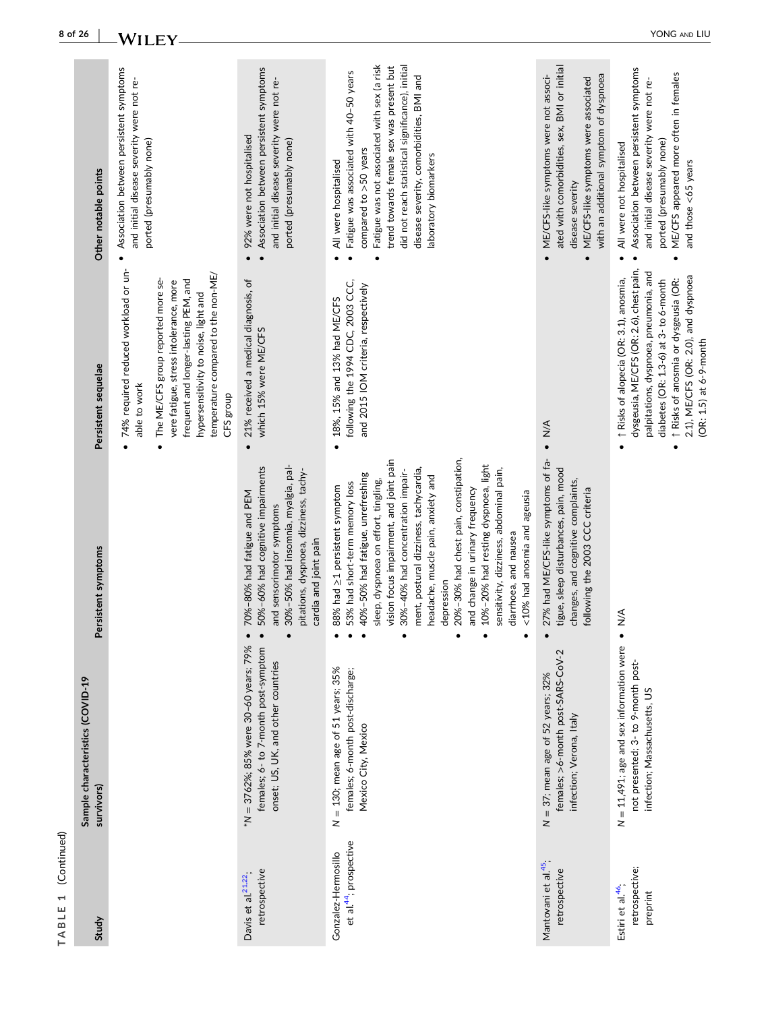|                                                  | 8 of 26                                        | WILEY                                                                                                                                                                                                                                                                    |                                                                                                                                                                                                             |                                                                                                                                                                                                                                                                                                                                                                                                                                                                                                                                                               |                                                                                                                                                                                                          | YONG AND LIU                                                                                                                                                                                                                                                                                  |
|--------------------------------------------------|------------------------------------------------|--------------------------------------------------------------------------------------------------------------------------------------------------------------------------------------------------------------------------------------------------------------------------|-------------------------------------------------------------------------------------------------------------------------------------------------------------------------------------------------------------|---------------------------------------------------------------------------------------------------------------------------------------------------------------------------------------------------------------------------------------------------------------------------------------------------------------------------------------------------------------------------------------------------------------------------------------------------------------------------------------------------------------------------------------------------------------|----------------------------------------------------------------------------------------------------------------------------------------------------------------------------------------------------------|-----------------------------------------------------------------------------------------------------------------------------------------------------------------------------------------------------------------------------------------------------------------------------------------------|
|                                                  | Other notable points                           | Association between persistent symptoms<br>and initial disease severity were not re-<br>ported (presumably none)                                                                                                                                                         | Association between persistent symptoms<br>and initial disease severity were not re-<br>92% were not hospitalised<br>ported (presumably none)                                                               | Fatigue was not associated with sex (a risk<br>did not reach statistical significance), initial<br>trend towards female sex was present but<br>Fatigue was associated with 40-50 years<br>disease severity, comorbidities, BMI and<br>compared to >50 years<br>laboratory biomarkers<br>All were hospitalised                                                                                                                                                                                                                                                 | ated with comorbidities, sex, BMI or initial<br>ME/CFS-like symptoms were not associ-<br>with an additional symptom of dyspnoea<br>ME/CFS-like symptoms were associated<br>disease severity<br>$\bullet$ | Association between persistent symptoms<br>ME/CFS appeared more often in females<br>and initial disease severity were not re-<br>ported (presumably none)<br>All were not hospitalised<br>and those <65 years                                                                                 |
|                                                  | Persistent sequelae                            | 74% required reduced workload or un-<br>temperature compared to the non-ME/<br>The ME/CFS group reported more se-<br>frequent and longer-lasting PEM, and<br>vere fatigue, stress intolerance, more<br>hypersensitivity to noise, light and<br>able to work<br>CFS group | 21% received a medical diagnosis, of<br>which 15% were ME/CFS<br>$\bullet$                                                                                                                                  | following the 1994 CDC, 2003 CCC,<br>and 2015 IOM criteria, respectively<br>18%, 15% and 13% had ME/CFS<br>$\bullet$                                                                                                                                                                                                                                                                                                                                                                                                                                          | $\frac{4}{\sqrt{2}}$                                                                                                                                                                                     | dysgeusia, ME/CFS (OR: 2.6), chest pain,<br>palpitations, dyspnoea, pneumonia, and<br>2.1), ME/CFS (OR: 2.0), and dyspnoea<br>1 Risks of alopecia (OR: 3.1), anosmia,<br>diabetes (OR: 1.3-6) at 3- to 6-month<br>1 Risks of anosmia or dysgeusia (OR:<br>(OR: 1.5) at 6-9-month<br>$\bullet$ |
|                                                  | Persistent symptoms                            |                                                                                                                                                                                                                                                                          | 30%-50% had insomnia, myalgia, pal-<br>50%-60% had cognitive impairments<br>pitations, dyspnoea, dizziness, tachy-<br>70%-80% had fatigue and PEM<br>ensorimotor symptoms<br>cardia and joint pain<br>and s | 20%-30% had chest pain, constipation,<br>vision focus impairment, and joint pain<br>10%-20% had resting dyspnoea, light<br>ment, postural dizziness, tachycardia,<br>sensitivity, dizziness, abdominal pain,<br>30%-40% had concentration impair-<br>40%-50% had fatigue, unrefreshing<br>headache, muscle pain, anxiety and<br>sleep, dyspnoea on effort, tingling,<br>had short-term memory loss<br>had $\geq$ 1 persistent symptom<br>and change in urinary frequency<br><10% had anosmia and ageusia<br>diarrhoea, and nausea<br>depression<br>88%<br>53% | had ME/CFS-like symptoms of fa-<br>tigue, sleep disturbances, pain, mood<br>changes, and cognitive complaints,<br>following the 2003 CCC criteria<br>27%                                                 | $\sum_{\bullet}$                                                                                                                                                                                                                                                                              |
|                                                  | Sample characteristics (COVID-19<br>survivors) |                                                                                                                                                                                                                                                                          | *N = 3762%; 85% were 30-60 years; 79%<br>females; 6- to 7-month post-symptom<br>onset; US, UK, and other countries                                                                                          | $N = 130$ ; mean age of 51 years; 35%<br>females; 6-month post-discharge;<br>Mexico City, Mexico                                                                                                                                                                                                                                                                                                                                                                                                                                                              | females; >6-month post-SARS-CoV-2<br>$N = 37$ ; mean age of 52 years; 32%<br>infection; Verona, Italy                                                                                                    | $N = 11,491$ ; age and sex information were<br>not presented; 3- to 9-month post-<br>infection; Massachusetts, US                                                                                                                                                                             |
| (Continued)<br>$\overline{\phantom{0}}$<br>TABLE | Study                                          |                                                                                                                                                                                                                                                                          | retrospective<br>Davis et al. <sup>21,22</sup> .                                                                                                                                                            | et al. <sup>44</sup> ; prospective<br>Gonzalez-Hermosillo                                                                                                                                                                                                                                                                                                                                                                                                                                                                                                     | Mantovani et al. <sup>45</sup> ;<br>retrospective                                                                                                                                                        | retrospective;<br>Estiri et al. <sup>46</sup> ,<br>preprint                                                                                                                                                                                                                                   |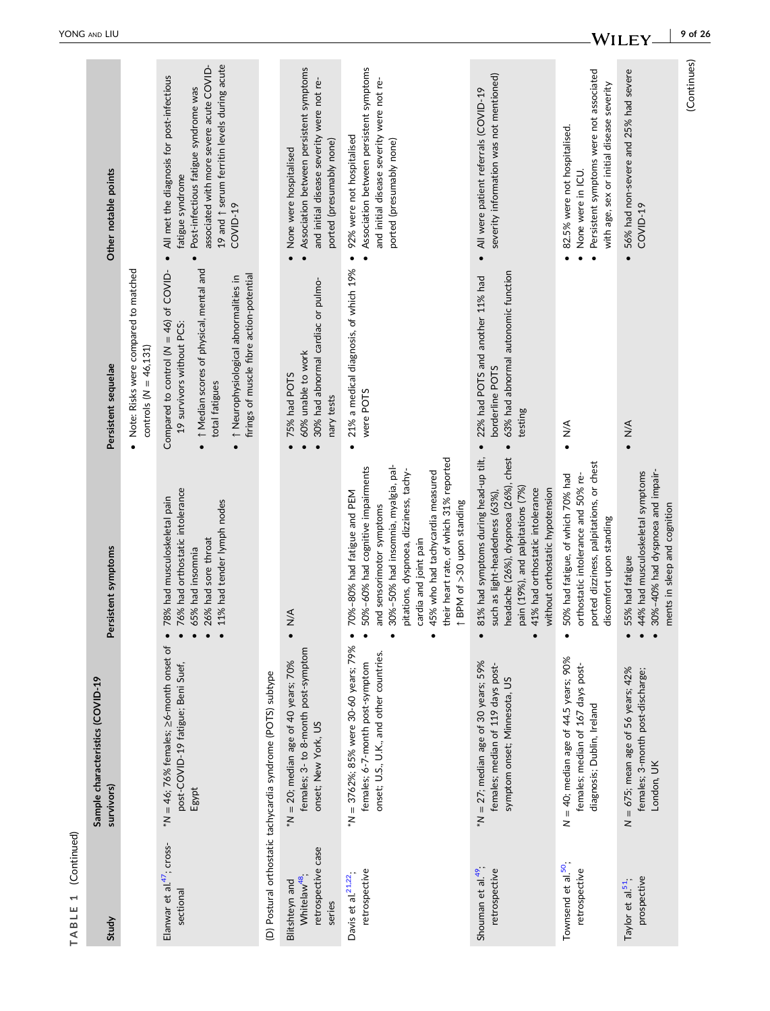| ₹       |
|---------|
| L<br>ſ. |
|         |
|         |
|         |
| r.<br>í |

| Study                                                                      | Sample characteristics (COVID-19<br>survivors)                                                                      | Persistent symptoms                                                                                                                                                                                                                                                                                                   | Persistent sequelae                                                                                                                                                                                                                    | Other notable points                                                                                                                                                                                                      |
|----------------------------------------------------------------------------|---------------------------------------------------------------------------------------------------------------------|-----------------------------------------------------------------------------------------------------------------------------------------------------------------------------------------------------------------------------------------------------------------------------------------------------------------------|----------------------------------------------------------------------------------------------------------------------------------------------------------------------------------------------------------------------------------------|---------------------------------------------------------------------------------------------------------------------------------------------------------------------------------------------------------------------------|
|                                                                            |                                                                                                                     |                                                                                                                                                                                                                                                                                                                       | • Note: Risks were compared to matched<br>controls ( $N = 46,131$ )                                                                                                                                                                    |                                                                                                                                                                                                                           |
| Elanwar et al. <sup>47</sup> ; cross-<br>sectional                         | $^*N = 46$ ; 76% females; $\geq$ 6-month onset of<br>post-COVID-19 fatigue; Beni Suef,<br>Egypt                     | 76% had orthostatic intolerance<br>78% had musculoskeletal pain<br>11% had tender lymph nodes<br>26% had sore throat<br>65% had insomnia                                                                                                                                                                              | 1 Median scores of physical, mental and<br>Compared to control ( $N = 46$ ) of COVID-<br>firings of muscle fibre action-potential<br>↑ Neurophysiological abnormalities in<br>19 survivors without PCS:<br>total fatigues<br>$\bullet$ | 19 and 1 serum ferritin levels during acute<br>associated with more severe acute COVID-<br>All met the diagnosis for post-infectious<br>Post-infectious fatigue syndrome was<br>fatigue syndrome<br>COVID-19<br>$\bullet$ |
|                                                                            | (D) Postural orthostatic tachycardia syndrome (POTS) subtype                                                        |                                                                                                                                                                                                                                                                                                                       |                                                                                                                                                                                                                                        |                                                                                                                                                                                                                           |
| retrospective case<br>Whitelaw <sup>48</sup> ;<br>Blitshteyn and<br>series | females; 3- to 8-month post-symptom<br>$*N = 20$ ; median age of 40 years; 70%<br>onset; New York, US               | $\frac{4}{2}$                                                                                                                                                                                                                                                                                                         | 30% had abnormal cardiac or pulmo-<br>60% unable to work<br>75% had POTS<br>nary tests                                                                                                                                                 | Association between persistent symptoms<br>and initial disease severity were not re-<br>ported (presumably none)<br>None were hospitalised                                                                                |
| retrospective<br>Davis et al. <sup>21,22</sup> ;                           | *N = 3762%; 85% were 30-60 years; 79%<br>onset; U.S., U.K., and other countries.<br>females; 6-7-month post-symptom | their heart rate, of which 31% reported<br>30%-50% had insomnia, myalgia, pal-<br>50%-60% had cognitive impairments<br>pitations, dyspnoea, dizziness, tachy-<br>45% who had tachycardia measured<br>70%-80% had fatigue and PEM<br>↑ BPM of > 30 upon standing<br>and sensorimotor symptoms<br>cardia and joint pain | 21% a medical diagnosis, of which 19%<br>were POTS                                                                                                                                                                                     | Association between persistent symptoms<br>and initial disease severity were not re-<br>92% were not hospitalised<br>ported (presumably none)<br>$\bullet$                                                                |
| Shouman et al. <sup>49</sup> ;<br>retrospective                            | $*N = 27$ ; median age of 30 years; 59%<br>females; median of 119 days post-<br>symptom onset; Minnesota, US        | headache (26%), dyspnoea (26%), chest<br>81% had symptoms during head-up tilt,<br>pain (19%), and palpitations (7%)<br>41% had orthostatic intolerance<br>without orthostatic hypotension<br>such as light-headedness (63%)                                                                                           | 63% had abnormal autonomic function<br>22% had POTS and another 11% had<br>borderline POTS<br>testing<br>$\bullet$                                                                                                                     | severity information was not mentioned)<br>All were patient referrals (COVID-19<br>$\bullet$                                                                                                                              |
| Townsend et al. <sup>50</sup> ;<br>retrospective                           | $N = 40$ ; median age of $44.5$ years; 90%<br>females; median of 167 days post-<br>diagnosis; Dublin, Ireland       | ported dizziness, palpitations, or chest<br>orthostatic intolerance and 50% re-<br>50% had fatigue, of which 70% had<br>discomfort upon standing                                                                                                                                                                      | $\sum_{\bullet}$                                                                                                                                                                                                                       | Persistent symptoms were not associated<br>with age, sex or initial disease severity<br>82.5% were not hospitalised.<br>None were in ICU                                                                                  |
| prospective<br>Taylor et al. <sup>51</sup> ;                               | $N = 675$ ; mean age of 56 years; 42%<br>females; 3-month post-discharge;<br>London, UK                             | 30%-40% had dyspnoea and impair-<br>44% had musculoskeletal symptoms<br>ments in sleep and cognition<br>55% had fatigue                                                                                                                                                                                               | $\bullet$ N/A                                                                                                                                                                                                                          | 56% had non-severe and 25% had severe<br>COVID-19                                                                                                                                                                         |
|                                                                            |                                                                                                                     |                                                                                                                                                                                                                                                                                                                       |                                                                                                                                                                                                                                        | (Continues)                                                                                                                                                                                                               |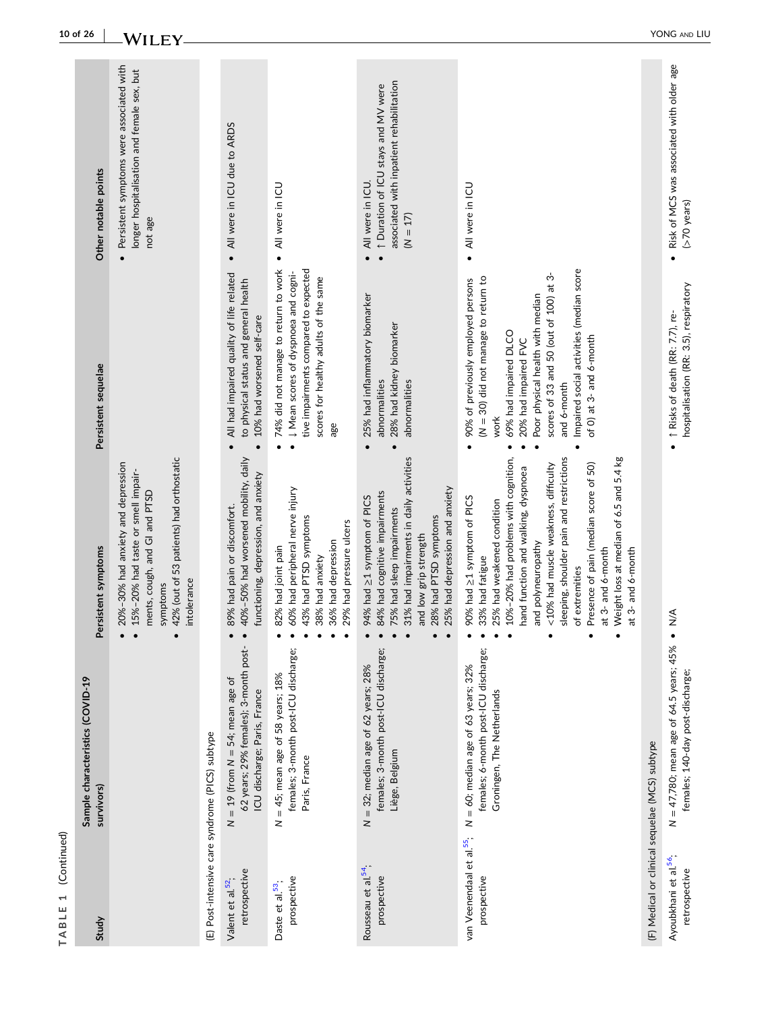|                       | 10 of 26<br>Other notable points               | <b>WILEY</b><br>Persistent symptoms were associated with<br>longer hospitalisation and female sex, but                                                                           |                                                 |                                                                                                                 | All were in ICU due to ARDS                                                                                                                                                                     | All were in ICU                                                                                                                                                                                                         | associated with inpatient rehabilitation<br>1 Duration of ICU stays and MV were<br>All were in ICU                                                                                                                                                                                                                                                                                                                                   | All were in ICU                                |
|-----------------------|------------------------------------------------|----------------------------------------------------------------------------------------------------------------------------------------------------------------------------------|-------------------------------------------------|-----------------------------------------------------------------------------------------------------------------|-------------------------------------------------------------------------------------------------------------------------------------------------------------------------------------------------|-------------------------------------------------------------------------------------------------------------------------------------------------------------------------------------------------------------------------|--------------------------------------------------------------------------------------------------------------------------------------------------------------------------------------------------------------------------------------------------------------------------------------------------------------------------------------------------------------------------------------------------------------------------------------|------------------------------------------------|
|                       |                                                | not age                                                                                                                                                                          |                                                 |                                                                                                                 | $\bullet$                                                                                                                                                                                       | $(N = 17)$<br>$\bullet$                                                                                                                                                                                                 | $\bullet$                                                                                                                                                                                                                                                                                                                                                                                                                            |                                                |
|                       | Persistent sequelae                            |                                                                                                                                                                                  |                                                 | All had impaired quality of life related<br>to physical status and general health<br>10% had worsened self-care | 74% did not manage to return to work<br>tive impairments compared to expected<br>U Mean scores of dyspnoea and cogni-<br>scores for healthy adults of the same<br>age<br>$\bullet$<br>$\bullet$ | 25% had inflammatory biomarker<br>28% had kidney biomarker<br>abnormalities<br>abnormalities                                                                                                                            | Impaired social activities (median score<br>scores of 33 and 50 (out of 100) at 3-<br>$(N = 30)$ did not manage to return to<br>90% of previously employed persons<br>Poor physical health with median<br>69% had impaired DLCO<br>of 0) at 3- and 6-month<br>20% had impaired FVC<br>and 6-month<br>work<br>$\bullet$<br>$\bullet$<br>$\bullet$                                                                                     |                                                |
|                       | Persistent symptoms                            | 42% (out of 53 patients) had orthostatic<br>20%-30% had anxiety and depression<br>15%-20% had taste or smell impair-<br>ments, cough, and GI and PTSD<br>intolerance<br>symptoms |                                                 | 40%-50% had worsened mobility, daily<br>functioning, depression, and anxiety<br>89% had pain or discomfort.     | 60% had peripheral nerve injury<br>43% had PTSD symptoms<br>29% had pressure ulcers<br>36% had depression<br>82% had joint pain<br>38% had anxiety                                              | 31% had impairments in daily activities<br>25% had depression and anxiety<br>84% had cognitive impairments<br>94% had ≥1 symptom of PICS<br>75% had sleep impairments<br>28% had PTSD symptoms<br>and low grip strength | sleeping, shoulder pain and restrictions<br>Weight loss at median of 6.5 and 5.4 kg<br>10%-20% had problems with cognition,<br><10% had muscle weakness, difficulty<br>Presence of pain (median score of 50)<br>hand function and walking, dyspnoea<br>90% had ≥1 symptom of PICS<br>25% had weakened condition<br>polyneuropathy<br>at 3- and 6-month<br>at 3- and 6-month<br>33% had fatigue<br>of extremities<br>and<br>$\bullet$ |                                                |
|                       | Sample characteristics (COVID-19<br>survivors) |                                                                                                                                                                                  |                                                 | 62 years; 29% females); 3-month post-<br>$N = 19$ (from $N = 54$ ; mean age of<br>ICU discharge; Paris, France  | females; 3-month post-ICU discharge;<br>$=$ 45; mean age of 58 years; $18%$<br>Paris, France                                                                                                    | females; 3-month post-ICU discharge;<br>$N = 32$ ; median age of 62 years; 28%<br>Liège, Belgium                                                                                                                        | females; 6-month post-ICU discharge;<br>N = 60; median age of 63 years; 32%<br>Groningen, The Netherlands                                                                                                                                                                                                                                                                                                                            |                                                |
| (Continued)<br>ABLE 1 | Study                                          |                                                                                                                                                                                  | (E) Post-intensive care syndrome (PICS) subtype | retrospective<br>Valent et al 52                                                                                | z<br>prospective<br>Daste et al. <sup>53</sup> ,                                                                                                                                                | Rousseau et al 54,<br>prospective                                                                                                                                                                                       | van Veenendaal et al. <sup>55</sup> ;<br>prospective                                                                                                                                                                                                                                                                                                                                                                                 | (F) Medical or clinical sequelae (MCS) subtype |

**TABLE 1** (Continued)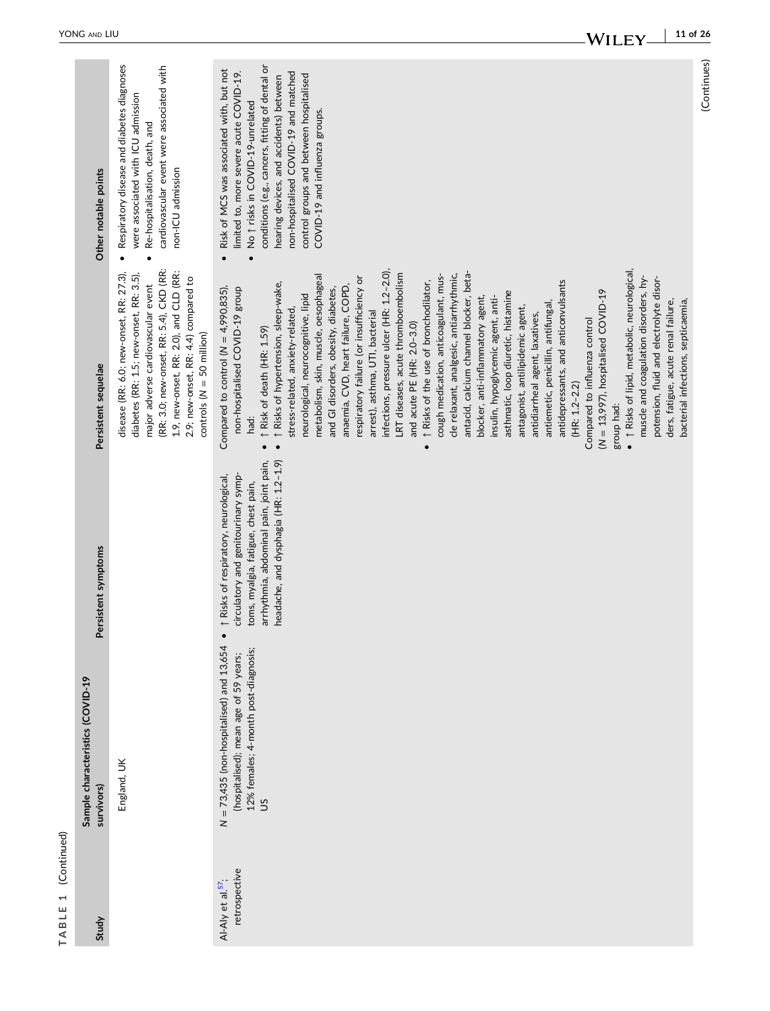| ۹      |
|--------|
| ı<br>г |
| г      |
| ٦      |
|        |

| Other notable points<br>Persistent sequelae    | Respiratory disease and diabetes diagnoses<br>cardiovascular event were associated with<br>were associated with ICU admission<br>Re-hospitalisation, death, and<br>non-ICU admission<br>$\bullet$<br>(RR: 3.0; new-onset, RR: 5.4), CKD (RR:<br>1.9, new-onset, RR: 2.0), and CLD (RR:<br>disease (RR: 6.0; new-onset, RR: 27.3),<br>diabetes (RR: 1.5; new-onset, RR: 3.5),<br>2.9; new-onset, RR: 4.4) compared to<br>major adverse cardiovascular event<br>controls ( $N = 50$ million) | conditions (e.g., cancers, fitting of dental or<br>Risk of MCS was associated with, but not<br>limited to, more severe acute COVID-19.<br>non-hospitalised COVID-19 and matched<br>control groups and between hospitalised<br>hearing devices, and accidents) between<br>No 1 risks in COVID-19-unrelated<br>COVID-19 and influenza groups.<br>$\bullet$<br>· 1 Risks of lipid, metabolic, neurological,<br>infections, pressure ulcer (HR: 1.2-2.0),<br>antacid, calcium channel blocker, beta-<br>LRT diseases, acute thromboembolism<br>cough medication, anticoagulant, mus-<br>cle relaxant, analgesic, antiarrhythmic,<br>metabolism, skin, muscle, oesophageal<br>muscle and coagulation disorders, hy-<br>respiratory failure (or insufficiency or<br>potension, fluid and electrolyte disor-<br>antidepressants, and anticonvulsants<br>↑ Risks of the use of bronchodilator,<br>1 Risks of hypertension, sleep-wake,<br>anaemia, CVD, heart failure, COPD,<br>Compared to control ( $N = 4,990,835$ ),<br>non-hospitalised COVID-19 group<br>and GI disorders, obesity, diabetes,<br>$(N = 13,997)$ , hospitalised COVID-19<br>asthmatic, loop diuretic, histamine<br>neurological, neurocognitive, lipid<br>insulin, hypoglycemic agent, anti-<br>blocker, anti-inflammatory agent,<br>ders, fatigue, acute renal failure,<br>bacterial infections, septicaemia,<br>antiemetic, penicillin, antifungal<br>antagonist, antilipidemic agent,<br>stress-related, anxiety-related<br>arrest), asthma, UTI, bacterial<br>antidiarrheal agent, laxatives,<br>Compared to influenza control<br>and acute PE (HR: 2.0-3.0)<br>1 Risk of death (HR: 1.59)<br>$(HR: 1.2 - 2.2)$<br>group had:<br>had:<br>$\bullet$ |
|------------------------------------------------|--------------------------------------------------------------------------------------------------------------------------------------------------------------------------------------------------------------------------------------------------------------------------------------------------------------------------------------------------------------------------------------------------------------------------------------------------------------------------------------------|---------------------------------------------------------------------------------------------------------------------------------------------------------------------------------------------------------------------------------------------------------------------------------------------------------------------------------------------------------------------------------------------------------------------------------------------------------------------------------------------------------------------------------------------------------------------------------------------------------------------------------------------------------------------------------------------------------------------------------------------------------------------------------------------------------------------------------------------------------------------------------------------------------------------------------------------------------------------------------------------------------------------------------------------------------------------------------------------------------------------------------------------------------------------------------------------------------------------------------------------------------------------------------------------------------------------------------------------------------------------------------------------------------------------------------------------------------------------------------------------------------------------------------------------------------------------------------------------------------------------------------------------------------------------------------------------------------------------|
| Persistent symptoms                            |                                                                                                                                                                                                                                                                                                                                                                                                                                                                                            | headache, and dysphagia (HR: 1.2-1.9)<br>arrhythmia, abdominal pain, joint pain,<br>circulatory and genitourinary symp-<br>1 Risks of respiratory, neurological,<br>toms, myalgia, fatigue, chest pain,<br>$\bullet$                                                                                                                                                                                                                                                                                                                                                                                                                                                                                                                                                                                                                                                                                                                                                                                                                                                                                                                                                                                                                                                                                                                                                                                                                                                                                                                                                                                                                                                                                                |
| Sample characteristics (COVID-19<br>survivors) | England, UK                                                                                                                                                                                                                                                                                                                                                                                                                                                                                | $N = 73,435$ (non-hospitalised) and $13,654$<br>12% females; 4-month post-diagnosis;<br>(hospitalised); mean age of 59 years;<br>SC                                                                                                                                                                                                                                                                                                                                                                                                                                                                                                                                                                                                                                                                                                                                                                                                                                                                                                                                                                                                                                                                                                                                                                                                                                                                                                                                                                                                                                                                                                                                                                                 |
| Study                                          |                                                                                                                                                                                                                                                                                                                                                                                                                                                                                            | retrospective<br>Al-Aly et al 57,                                                                                                                                                                                                                                                                                                                                                                                                                                                                                                                                                                                                                                                                                                                                                                                                                                                                                                                                                                                                                                                                                                                                                                                                                                                                                                                                                                                                                                                                                                                                                                                                                                                                                   |

(Continues)

(Continues)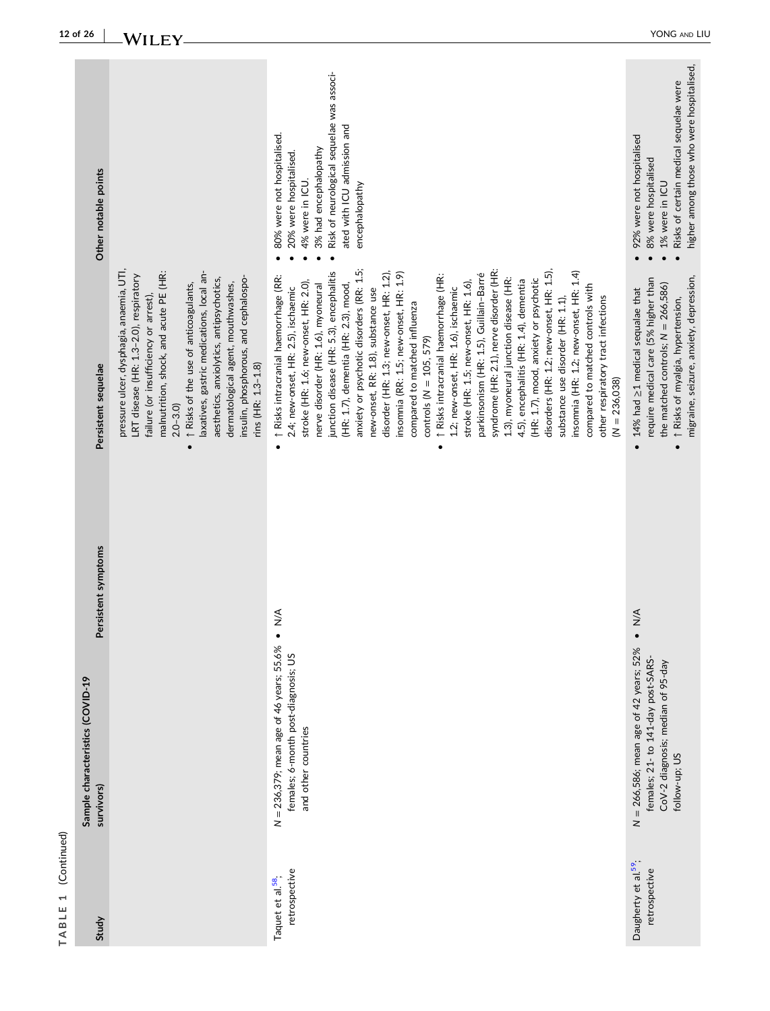| ۳<br>۹      |
|-------------|
| L<br>I<br>ı |
| í           |

| Other notable points                                                  |                                                                                                                                                                                                                                                                                                                                                                                                                                          | Risk of neurological sequelae was associ-<br>ated with ICU admission and<br>80% were not hospitalised.<br>3% had encephalopathy<br>20% were hospitalised.<br>4% were in ICU.<br>encephalopathy<br>$\bullet$                                                                                                                                                                                                                                                                                                                                                                                                                                                                                                                                                                                                                                                                                                                                                                                                                                                             | higher among those who were hospitalised,<br>Risks of certain medical sequelae were<br>92% were not hospitalised<br>8% were hospitalised<br>1% were in ICU                                                     |
|-----------------------------------------------------------------------|------------------------------------------------------------------------------------------------------------------------------------------------------------------------------------------------------------------------------------------------------------------------------------------------------------------------------------------------------------------------------------------------------------------------------------------|-------------------------------------------------------------------------------------------------------------------------------------------------------------------------------------------------------------------------------------------------------------------------------------------------------------------------------------------------------------------------------------------------------------------------------------------------------------------------------------------------------------------------------------------------------------------------------------------------------------------------------------------------------------------------------------------------------------------------------------------------------------------------------------------------------------------------------------------------------------------------------------------------------------------------------------------------------------------------------------------------------------------------------------------------------------------------|----------------------------------------------------------------------------------------------------------------------------------------------------------------------------------------------------------------|
| Persistent sequelae                                                   | pressure ulcer, dysphagia, anaemia, UTI,<br>laxatives, gastric medications, local an-<br>malnutrition, shock, and acute PE (HR:<br>LRT disease (HR: 1.3-2.0), respiratory<br>insulin, phosphorous, and cephalospo-<br>aesthetics, anxiolytics, antipsychotics,<br>dermatological agent, mouthwashes,<br>↑ Risks of the use of anticoagulants,<br>failure (or insufficiency or arrest),<br>rins (HR: 1.3-1.8)<br>$2.0 - 3.0$<br>$\bullet$ | anxiety or psychotic disorders (RR: 1.5;<br>syndrome (HR: 2.1), nerve disorder (HR:<br>disorders (HR: 1.2; new-onset, HR: 1.5),<br>junction disease (HR: 5.3), encephalitis<br>insomnia (HR: 1.2; new-onset, HR: 1.4)<br>disorder (HR: 1.3; new-onset, HR: 1.2),<br>insomnia (RR: 1.5; new-onset, HR: 1.9)<br>parkinsonism (HR: 1.5), Guillain-Barré<br>↑ Risks intracranial haemorrhage (HR:<br>1 Risks intracranial haemorrhage (RR:<br>1.3), myoneural junction disease (HR:<br>(HR: 1.7), mood, anxiety or psychotic<br>4.5), encephalitis (HR: 1.4), dementia<br>stroke (HR: 1.6; new-onset, HR: 2.0),<br>stroke (HR: 1.5; new-onset, HR: 1.6),<br>(HR: 1.7), dementia (HR: 2.3), mood,<br>nerve disorder (HR: 1.6), myoneural<br>compared to matched controls with<br>2.4; new-onset, HR: 2.5), ischaemic<br>1.2; new-onset, HR: 1.6), ischaemic<br>new-onset, RR: 1.8), substance use<br>substance use disorder (HR: 1.1),<br>other respiratory tract infections<br>compared to matched influenza<br>controls ( $N = 105, 579$ )<br>$(N = 236,038)$<br>$\bullet$ | migraine, seizure, anxiety, depression,<br>require medical care (5% higher than<br>the matched controls; $N = 266,586$ )<br>14% had ≥1 medical sequalae that<br>1 Risks of myalgia, hypertension,<br>$\bullet$ |
| Persistent symptoms<br>Sample characteristics (COVID-19<br>survivors) |                                                                                                                                                                                                                                                                                                                                                                                                                                          | $\frac{4}{2}$<br>$N = 236,379$ ; mean age of 46 years; 55.6%<br>females; 6-month post-diagnosis; US<br>and other countries                                                                                                                                                                                                                                                                                                                                                                                                                                                                                                                                                                                                                                                                                                                                                                                                                                                                                                                                              | $\frac{4}{2}$<br>$N = 266,586$ ; mean age of 42 years; 52%<br>females; 21- to 141-day post-SARS-<br>CoV-2 diagnosis; median of 95-day<br>follow-up; US                                                         |
| Study                                                                 |                                                                                                                                                                                                                                                                                                                                                                                                                                          | retrospective<br>Taquet et al. <sup>58</sup> ;                                                                                                                                                                                                                                                                                                                                                                                                                                                                                                                                                                                                                                                                                                                                                                                                                                                                                                                                                                                                                          | Daugherty et al. <sup>59</sup> ;<br>retrospective                                                                                                                                                              |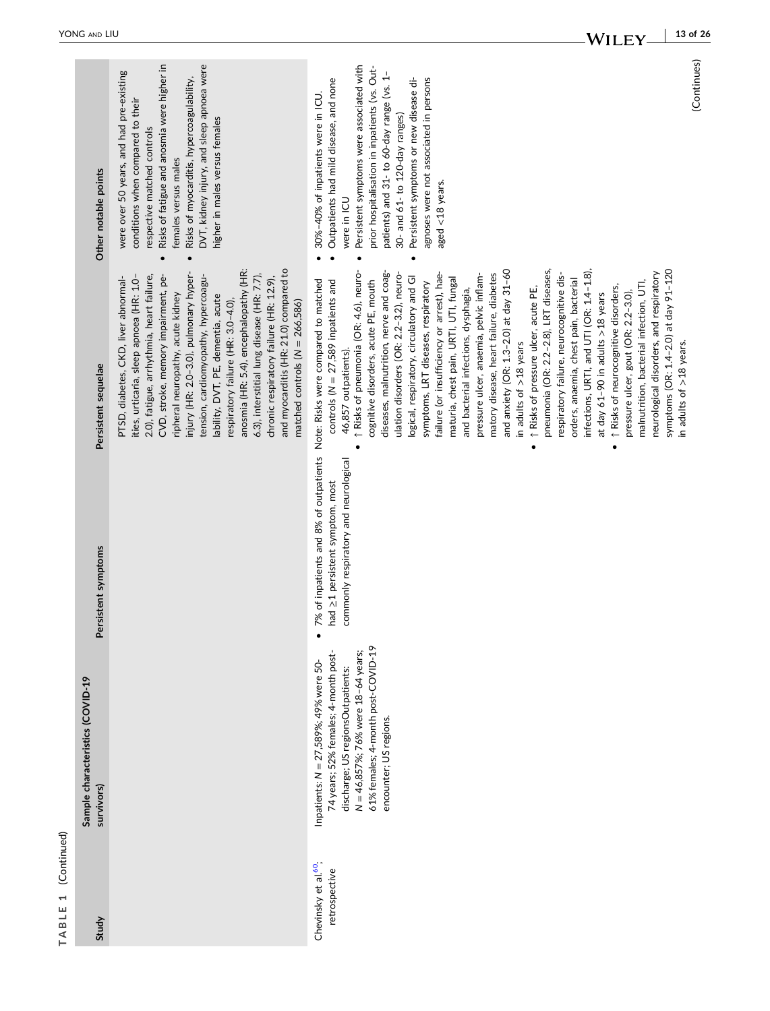| TABLE 1 (Continued)                               |                                                                                                                                                                                                                          |                                                                                                                                                               |                                                                                                                                                                                                                                                                                                                                                                                                                                                                                                                                                                                          |                                                                                                                                                                                                                                                                                                                     |
|---------------------------------------------------|--------------------------------------------------------------------------------------------------------------------------------------------------------------------------------------------------------------------------|---------------------------------------------------------------------------------------------------------------------------------------------------------------|------------------------------------------------------------------------------------------------------------------------------------------------------------------------------------------------------------------------------------------------------------------------------------------------------------------------------------------------------------------------------------------------------------------------------------------------------------------------------------------------------------------------------------------------------------------------------------------|---------------------------------------------------------------------------------------------------------------------------------------------------------------------------------------------------------------------------------------------------------------------------------------------------------------------|
| Study                                             | Sample characteristics (COVID-19<br>survivors)                                                                                                                                                                           | Persistent symptoms                                                                                                                                           | Persistent sequelae                                                                                                                                                                                                                                                                                                                                                                                                                                                                                                                                                                      | Other notable points                                                                                                                                                                                                                                                                                                |
|                                                   |                                                                                                                                                                                                                          |                                                                                                                                                               | anosmia (HR: 5.4), encephalopathy (HR:<br>and myocarditis (HR: 21.0) compared to<br>injury (HR: 2.0-3.0), pulmonary hyper-<br>6.3), interstitial lung disease (HR: 7.7),<br>CVD, stroke, memory impairment, pe-<br>2.0), fatigue, arrhythmia, heart failure,<br>tension, cardiomyopathy, hypercoagu-<br>ities, urticaria, sleep apnoea (HR: 1.0-<br>PTSD, diabetes, CKD, liver abnormal-<br>chronic respiratory failure (HR: 12.9),<br>ripheral neuropathy, acute kidney<br>lability, DVT, PE, dementia, acute<br>respiratory failure (HR: 3.0-4.0),<br>matched controls $(N = 266,586)$ | Risks of fatigue and anosmia were higher in<br>DVT, kidney injury, and sleep apnoea were<br>were over 50 years, and had pre-existing<br>Risks of myocarditis, hypercoagulability,<br>conditions when compared to their<br>higher in males versus females<br>respective matched controls<br>females versus males     |
| Chevinsky et al. <sup>60</sup> ;<br>retrospective | 61% females; 4-month post-COVID-19<br>N = 46,857%; 76% were 18-64 years;<br>74 years; 52% females; 4-month post-<br>Inpatients: N = 27,589%; 49% were 50-<br>discharge; US regionsOutpatients:<br>encounter; US regions. | 7% of inpatients and 8% of outpatients Note: Risks were compared to matched<br>commonly respiratory and neurological<br>had $\geq$ 1 persistent symptom, most | ↑ Risks of pneumonia (OR: 4.6), neuro- .<br>diseases, malnutrition, nerve and coag-<br>ulation disorders (OR: 2.2-3.2), neuro-<br>logical, respiratory, circulatory and GI<br>cognitive disorders, acute PE, mouth<br>controls ( $N = 27,589$ inpatients and<br>46,857 outpatients).                                                                                                                                                                                                                                                                                                     | Persistent symptoms were associated with<br>prior hospitalisation in inpatients (vs. Out-<br>patients) and 31- to 60-day range (vs. 1-<br>Persistent symptoms or new disease di-<br>Outpatients had mild disease, and none<br>• 30%-40% of inpatients were in ICU.<br>30- and 61- to 120-day ranges)<br>were in ICU |

symptoms, LRT diseases, respiratory failure (or insufficiency or arrest), haematuria, chest pain, URTI, UTI, fungal and bacterial infections, dysphagia, pressure ulcer, anaemia, pelvic inflammatory disease, heart failure, diabetes and anxiety (OR: 1.3–2.0) at day 31–60

symptoms, LRT diseases, respiratory

failure (or insufficiency or arrest), hae-

maturia, chest pain, URTI, UTI, fungal

agnoses were not associated in persons

agnoses were not associated in persons

aged <18 years.

aged <18 years.

in adults of >18 years

in adults of  $>18$  years

and anxiety (OR: 1.3-2.0) at day 31-60

pressure ulcer, anaemia, pelvic inflammatory disease, heart failure, diabetes

and bacterial infections, dysphagia,

. 1 Risks of pressure ulcer, acute PE, ↑ Risks of pressure ulcer, acute PE, pneumonia (OR: 2.2–2.8), LRT diseases, respiratory failure, neurocognitive disorders, anaemia, chest pain, bacterial infections, URTI, and UTI (OR: 1.4–1.8), at day 61–90 in adults >18 years • 1 Risks of neurocognitive disorders, ↑ Risks of neurocognitive disorders, pressure ulcer, gout (OR: 2.2–3.0), malnutrition, bacterial infection, UTI, neurological disorders, and respiratory symptoms (OR: 1.4–2.0) at day 91–120

pneumonia (OR: 2.2-2.8), LRT diseases,

respiratory failure, neurocognitive dis-

orders, anaemia, chest pain, bacterial

infections, URTI, and UTI (OR: 1.4-1.8),

at day  $61-90$  in adults  $>18$  years

(Continues) (Continues)

in adults of >18 years.

in adults of  $>18$  years.

symptoms (OR: 1.4-2.0) at day 91-120

neurological disorders, and respiratory

malnutrition, bacterial infection, UTI,

pressure ulcer, gout (OR: 2.2-3.0),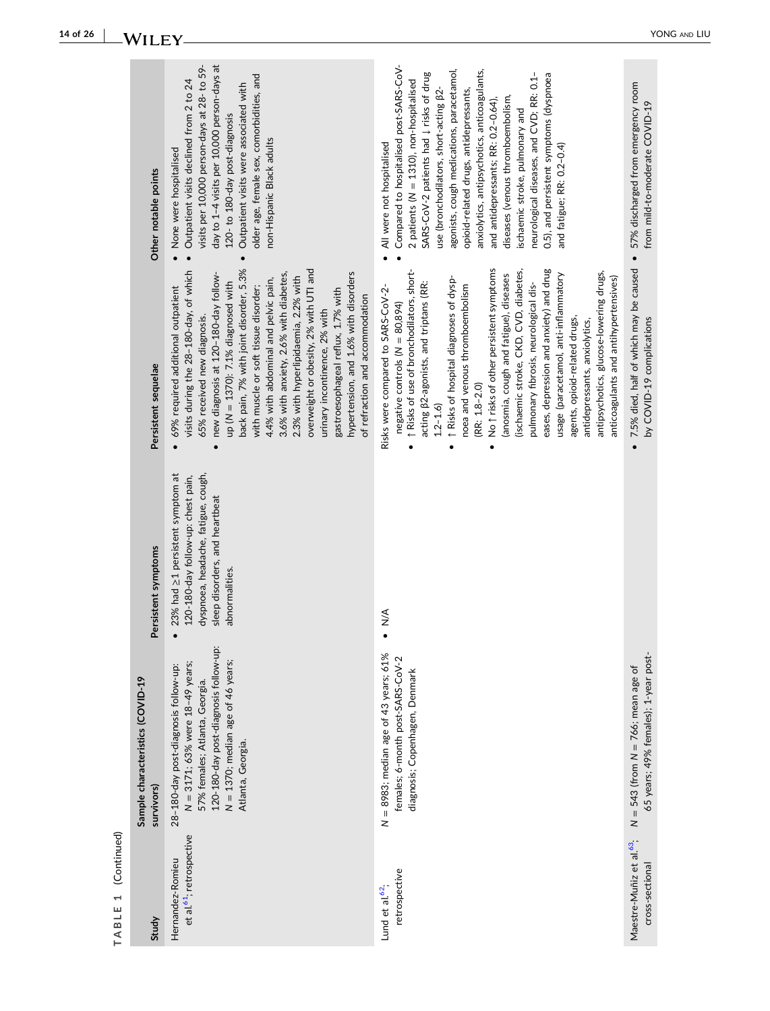| et al. <sup>61</sup> ; retrospective<br>Hernandez-Romieu<br>retrospective | 120-180-day post-diagnosis follow-up:<br>$N = 8983$ ; median age of 43 years; 61%<br>females; 6-month post-SARS-CoV-2<br>N = 1370; median age of 46 years;<br>N = 3171; 63% were 18-49 years;<br>28-180-day post-diagnosis follow-up:<br>diagnosis; Copenhagen, Denmark<br>Sample characteristics (COVID-19<br>57% females; Atlanta, Georgia.<br>Atlanta, Georgia.<br>survivors) | 23% had $\geq$ 1 persistent symptom at<br>dyspnoea, headache, fatigue, cough,<br>120-180-day follow-up: chest pain,<br>sleep disorders, and heartbeat<br>Persistent symptoms<br>abnormalities.<br>$\frac{4}{2}$ | No 1 risks of other persistent symptoms<br>back pain, 7% with joint disorder, 5.3%<br>eases, depression and anxiety) and drug<br>overweight or obesity, 2% with UTI and<br>visits during the 28-180-day, of which<br>(ischaemic stroke, CKD, CVD, diabetes,<br>↑ Risks of use of bronchodilators, short-<br>antipsychotics, glucose-lowering drugs,<br>hypertension, and 1.6% with disorders<br>3.6% with anxiety, 2.6% with diabetes,<br>usage (paracetamol, anti-inflammatory<br>(anosmia, cough and fatigue), diseases<br>new diagnosis at 120-180-day follow-<br>2.3% with hyperlipidaemia, 2.2% with<br>anticoagulants and antihypertensives)<br>1 Risks of hospital diagnoses of dysp-<br>4.4% with abdominal and pelvic pain,<br>acting $\beta$ 2-agonists, and triptans (RR:<br>up ( $N = 1370$ ): 7.1% diagnosed with<br>pulmonary fibrosis, neurological dis-<br>with muscle or soft tissue disorder;<br>noea and venous thromboembolism<br>69% required additional outpatient<br>Risks were compared to SARS-CoV-2-<br>gastroesophageal reflux, 1.7% with<br>of refraction and accommodation<br>negative controls ( $N = 80,894$ )<br>urinary incontinence, 2% with<br>agents, opioid-related drugs,<br>65% received new diagnosis.<br>antidepressants, anxiolytics,<br>Persistent sequelae<br>$(RR: 1.8 - 2.0)$<br>$1.2 - 1.6$<br>$\bullet$<br>$\bullet$ | day to 1-4 visits per 10,000 person-days at<br>Compared to hospitalised post-SARS-CoV-<br>visits per 10,000 person-days at 28- to 59-<br>anxiolytics, antipsychotics, anticoagulants,<br>agonists, cough medications, paracetamol,<br>SARS-CoV-2 patients had $\downarrow$ risks of drug<br>neurological diseases, and CVD; RR: 0.1-<br>0.5), and persistent symptoms (dyspnoea<br>older age, female sex, comorbidities, and<br>2 patients ( $N = 1310$ ), non-hospitalised<br>Outpatient visits declined from 2 to 24<br>Outpatient visits were associated with<br>opioid-related drugs, antidepressants,<br>use (bronchodilators, short-acting $\beta$ 2.<br>diseases (venous thromboembolism,<br>and antidepressants; RR: 0.2-0.64),<br>ischaemic stroke, pulmonary and<br>120-to 180-day post-diagnosis<br>non-Hispanic Black adults<br>All were not hospitalised<br>and fatigue; RR: 0.2-0.4)<br>None were hospitalised<br>Other notable points<br>$\bullet$<br>$\bullet$ |
|---------------------------------------------------------------------------|----------------------------------------------------------------------------------------------------------------------------------------------------------------------------------------------------------------------------------------------------------------------------------------------------------------------------------------------------------------------------------|-----------------------------------------------------------------------------------------------------------------------------------------------------------------------------------------------------------------|----------------------------------------------------------------------------------------------------------------------------------------------------------------------------------------------------------------------------------------------------------------------------------------------------------------------------------------------------------------------------------------------------------------------------------------------------------------------------------------------------------------------------------------------------------------------------------------------------------------------------------------------------------------------------------------------------------------------------------------------------------------------------------------------------------------------------------------------------------------------------------------------------------------------------------------------------------------------------------------------------------------------------------------------------------------------------------------------------------------------------------------------------------------------------------------------------------------------------------------------------------------------------------------------------------------------------------------------------------------------|--------------------------------------------------------------------------------------------------------------------------------------------------------------------------------------------------------------------------------------------------------------------------------------------------------------------------------------------------------------------------------------------------------------------------------------------------------------------------------------------------------------------------------------------------------------------------------------------------------------------------------------------------------------------------------------------------------------------------------------------------------------------------------------------------------------------------------------------------------------------------------------------------------------------------------------------------------------------------------|
|                                                                           | 65 years; 49% females); 1-year post-<br>$N = 543$ (from $N = 766$ ; mean age of                                                                                                                                                                                                                                                                                                  |                                                                                                                                                                                                                 | 7.5% died, half of which may be caused<br>by COVID-19 complications                                                                                                                                                                                                                                                                                                                                                                                                                                                                                                                                                                                                                                                                                                                                                                                                                                                                                                                                                                                                                                                                                                                                                                                                                                                                                                  | 57% discharged from emergency room<br>from mild-to-moderate COVID-19<br>$\bullet$                                                                                                                                                                                                                                                                                                                                                                                                                                                                                                                                                                                                                                                                                                                                                                                                                                                                                              |

 $TABLE 1 (Continued)$ **TABLE 1** (Continued)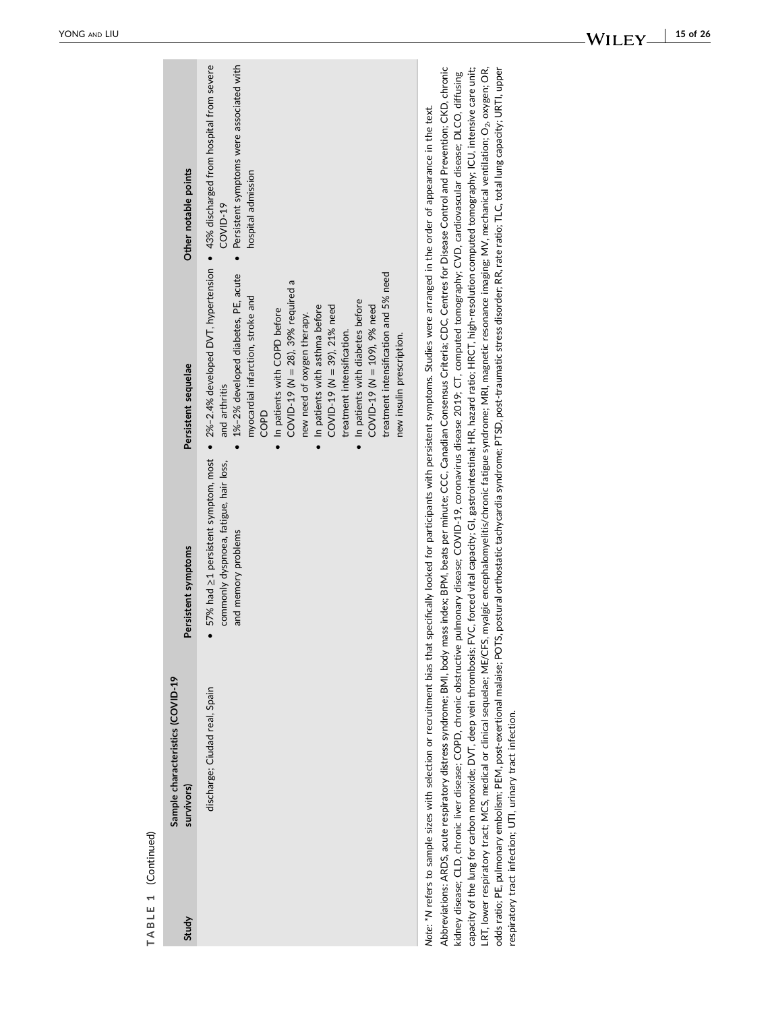| Study | Sample characteristics (COVID-19<br>survivors)                                                                                        | Persistent symptoms                                                                                                                                                                                                                                                                                                                                                                                                                                                                                                                                                                                                                                                                                                                                                                                                                                                                                                                                                                                                                                             | Persistent sequelae                                                                                                                                                                                                                                                                                                                                                                                                                                       | Other notable points                                                                                                                                           |
|-------|---------------------------------------------------------------------------------------------------------------------------------------|-----------------------------------------------------------------------------------------------------------------------------------------------------------------------------------------------------------------------------------------------------------------------------------------------------------------------------------------------------------------------------------------------------------------------------------------------------------------------------------------------------------------------------------------------------------------------------------------------------------------------------------------------------------------------------------------------------------------------------------------------------------------------------------------------------------------------------------------------------------------------------------------------------------------------------------------------------------------------------------------------------------------------------------------------------------------|-----------------------------------------------------------------------------------------------------------------------------------------------------------------------------------------------------------------------------------------------------------------------------------------------------------------------------------------------------------------------------------------------------------------------------------------------------------|----------------------------------------------------------------------------------------------------------------------------------------------------------------|
|       | discharge; Ciudad real, Spain                                                                                                         | 57% had ≥1 persistent symptom, most<br>commonly dyspnoea, fatigue, hair loss,<br>and memory problems                                                                                                                                                                                                                                                                                                                                                                                                                                                                                                                                                                                                                                                                                                                                                                                                                                                                                                                                                            | treatment intensification and 5% need<br>1%-2% developed diabetes, PE, acute<br>COVID-19 ( $N = 28$ ), 39% required a<br>myocardial infarction, stroke and<br>In patients with diabetes before<br>COVID-19 ( $N = 39$ ), 21% need<br>In patients with asthma before<br>COVID-19 ( $N = 109$ ), 9% need<br>In patients with COPD before<br>new need of oxygen therapy.<br>treatment intensification.<br>new insulin prescription.<br>and arthritis<br>COPD | Persistent symptoms were associated with<br>• 2%-2.4% developed DVT, hypertension • 43% discharged from hospital from severe<br>hospital admission<br>COVID-19 |
|       | odds ratio; PE, pulmonary embolism; PEM, post-exertional malaise; POTS,<br>respiratory tract infection; UTI, urinary tract infection. | Abbreviations: ARDS, acute respiratory distress syndrome; BMI, body mass index; BPM, beats per minute; CCC, Canadian Consensus Criteria; CDC, Centres for Disease Control and Prevention; CKD, chronic<br>capacity of the lung for carbon monoxide; DVT, deep vein thrombosis; FVC, forced vital capacity; GI, gastrointestinal; HR, hazard ratio; HRCT, high-resolution computed tomography; ICU, intensive care unit;<br>LRT, lower respiratory tract; MCS, medical or clinical sequelae; ME/CFS, myalgic encephalomyelitis/chronic fatigue syndrome; MRI, magnetic resonance imaging; MV, mechanical ventilation; O <sub>2</sub> , oxygen; OR,<br>kidney disease; CLD, chronic liver disease; COPD, chronic obstructive pulmonary disease; COVID-19, coronavirus disease 2019; CT, computed tomography; CVD, cardiovascular disease; DLCO, diffusing<br>Note: *N refers to sample sizes with selection or recruitment bias that specifically looked for participants with persistent symptoms. Studies were arranged in the order of appearance in the text. |                                                                                                                                                                                                                                                                                                                                                                                                                                                           | postural orthostatic tachycardia syndrome: PTSD, post-traumatic stress disorder; RR, rate ratio; TLC, total lung capacity; URTI, upper                         |

TABLE 1 (Continued) **TABLE 1** (Continued)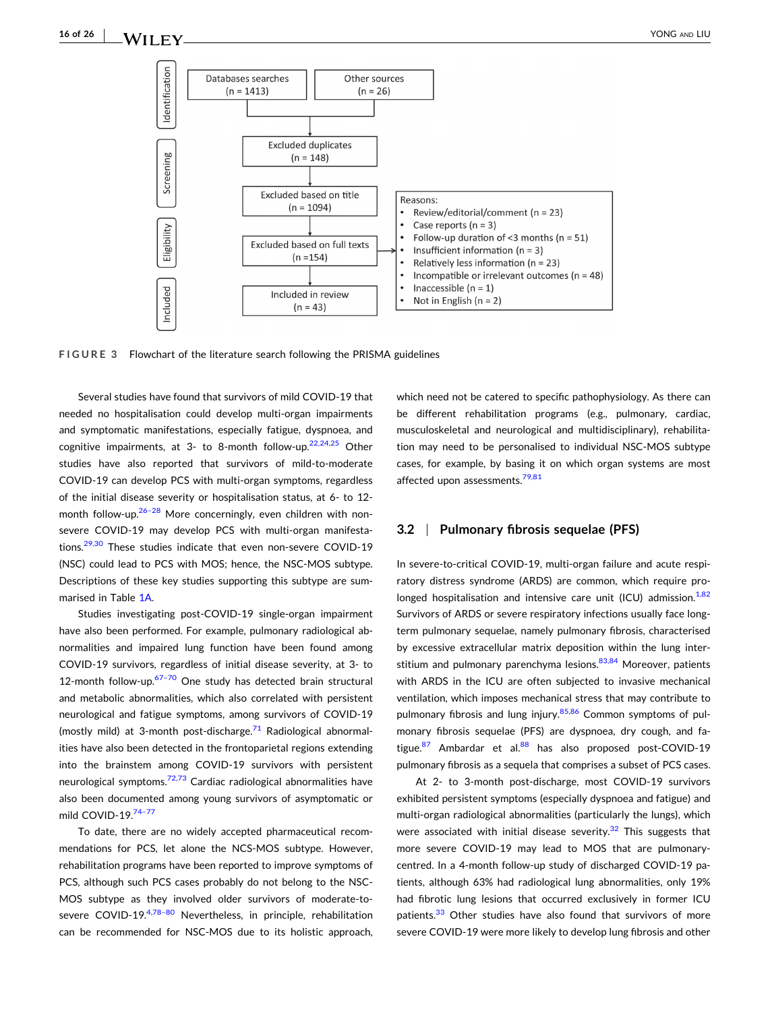<span id="page-15-0"></span>

**FIGURE 3** Flowchart of the literature search following the PRISMA guidelines

Several studies have found that survivors of mild COVID‐19 that needed no hospitalisation could develop multi‐organ impairments and symptomatic manifestations, especially fatigue, dyspnoea, and cognitive impairments, at 3- to 8-month follow-up.<sup>22,24,25</sup> Other studies have also reported that survivors of mild‐to‐moderate COVID‐19 can develop PCS with multi‐organ symptoms, regardless of the initial disease severity or hospitalisation status, at 6‐ to 12‐ month follow-up. $26-28$  More concerningly, even children with nonsevere COVID-19 may develop PCS with multi-organ manifesta-tions.<sup>[29,30](#page-21-0)</sup> These studies indicate that even non-severe COVID-19 (NSC) could lead to PCS with MOS; hence, the NSC‐MOS subtype. Descriptions of these key studies supporting this subtype are summarised in Table [1A](#page-3-0).

Studies investigating post‐COVID‐19 single‐organ impairment have also been performed. For example, pulmonary radiological abnormalities and impaired lung function have been found among COVID‐19 survivors, regardless of initial disease severity, at 3‐ to 12-month follow-up. $67-70$  One study has detected brain structural and metabolic abnormalities, which also correlated with persistent neurological and fatigue symptoms, among survivors of COVID‐19 (mostly mild) at 3-month post-discharge.<sup>71</sup> Radiological abnormalities have also been detected in the frontoparietal regions extending into the brainstem among COVID‐19 survivors with persistent neurological symptoms.<sup>[72,73](#page-23-0)</sup> Cardiac radiological abnormalities have also been documented among young survivors of asymptomatic or mild COVID-19.<sup>74-77</sup>

To date, there are no widely accepted pharmaceutical recommendations for PCS, let alone the NCS‐MOS subtype. However, rehabilitation programs have been reported to improve symptoms of PCS, although such PCS cases probably do not belong to the NSC‐ MOS subtype as they involved older survivors of moderate‐to‐ severe COVID-19.<sup>4,78-80</sup> Nevertheless, in principle, rehabilitation can be recommended for NSC‐MOS due to its holistic approach,

which need not be catered to specific pathophysiology. As there can be different rehabilitation programs (e.g., pulmonary, cardiac, musculoskeletal and neurological and multidisciplinary), rehabilitation may need to be personalised to individual NSC‐MOS subtype cases, for example, by basing it on which organ systems are most affected upon assessments.<sup>[79,81](#page-23-0)</sup>

#### **3.2** <sup>|</sup> **Pulmonary fibrosis sequelae (PFS)**

In severe-to-critical COVID-19, multi-organ failure and acute respiratory distress syndrome (ARDS) are common, which require pro-longed hospitalisation and intensive care unit (ICU) admission.<sup>[1,82](#page-21-0)</sup> Survivors of ARDS or severe respiratory infections usually face long‐ term pulmonary sequelae, namely pulmonary fibrosis, characterised by excessive extracellular matrix deposition within the lung interstitium and pulmonary parenchyma lesions. $83,84$  Moreover, patients with ARDS in the ICU are often subjected to invasive mechanical ventilation, which imposes mechanical stress that may contribute to pulmonary fibrosis and lung injury.<sup>[85,86](#page-23-0)</sup> Common symptoms of pulmonary fibrosis sequelae (PFS) are dyspnoea, dry cough, and fatigue. $87$  Ambardar et al. $88$  has also proposed post-COVID-19 pulmonary fibrosis as a sequela that comprises a subset of PCS cases.

At 2- to 3-month post-discharge, most COVID-19 survivors exhibited persistent symptoms (especially dyspnoea and fatigue) and multi-organ radiological abnormalities (particularly the lungs), which were associated with initial disease severity. $32$  This suggests that more severe COVID-19 may lead to MOS that are pulmonarycentred. In a 4‐month follow‐up study of discharged COVID‐19 patients, although 63% had radiological lung abnormalities, only 19% had fibrotic lung lesions that occurred exclusively in former ICU patients.<sup>33</sup> Other studies have also found that survivors of more severe COVID‐19 were more likely to develop lung fibrosis and other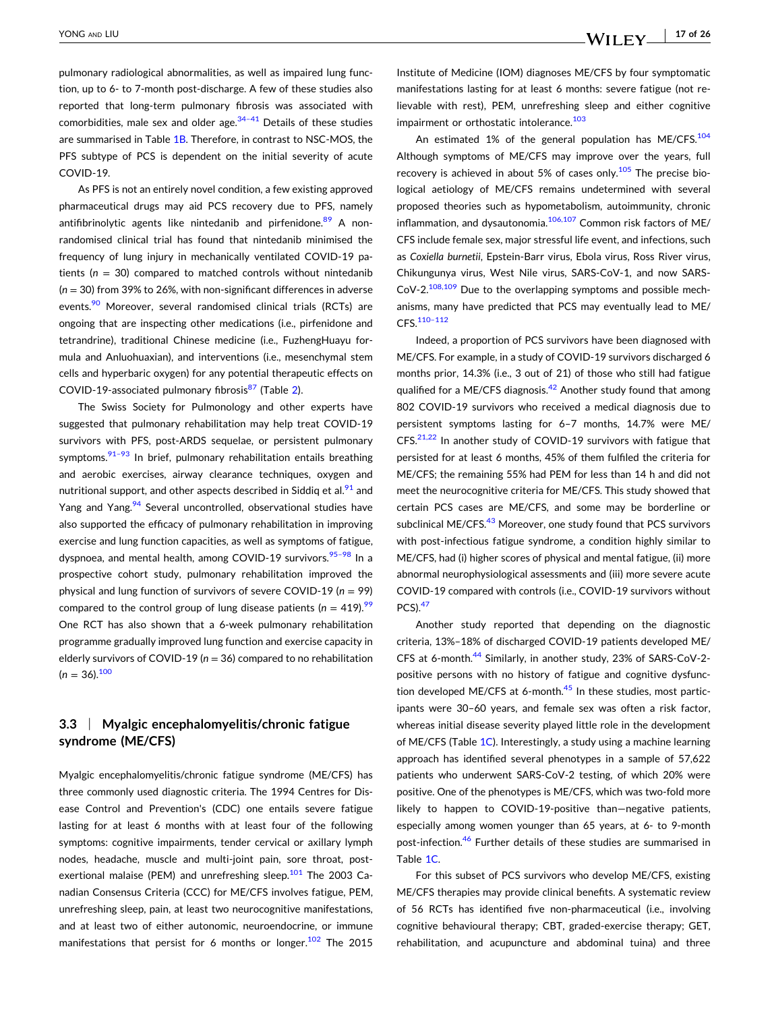pulmonary radiological abnormalities, as well as impaired lung function, up to 6‐ to 7‐month post‐discharge. A few of these studies also reported that long‐term pulmonary fibrosis was associated with comorbidities, male sex and older age. $34-41$  Details of these studies are summarised in Table [1B.](#page-3-0) Therefore, in contrast to NSC-MOS, the PFS subtype of PCS is dependent on the initial severity of acute COVID‐19.

As PFS is not an entirely novel condition, a few existing approved pharmaceutical drugs may aid PCS recovery due to PFS, namely antifibrinolytic agents like nintedanib and pirfenidone.<sup>[89](#page-23-0)</sup> A nonrandomised clinical trial has found that nintedanib minimised the frequency of lung injury in mechanically ventilated COVID‐19 patients  $(n = 30)$  compared to matched controls without nintedanib (*n* = 30) from 39% to 26%, with non‐significant differences in adverse events.<sup>[90](#page-23-0)</sup> Moreover, several randomised clinical trials (RCTs) are ongoing that are inspecting other medications (i.e., pirfenidone and tetrandrine), traditional Chinese medicine (i.e., FuzhengHuayu formula and Anluohuaxian), and interventions (i.e., mesenchymal stem cells and hyperbaric oxygen) for any potential therapeutic effects on COVID-19-associated pulmonary fibrosis<sup>[87](#page-23-0)</sup> (Table [2](#page-17-0)).

The Swiss Society for Pulmonology and other experts have suggested that pulmonary rehabilitation may help treat COVID‐19 survivors with PFS, post-ARDS sequelae, or persistent pulmonary symptoms. $91-93$  In brief, pulmonary rehabilitation entails breathing and aerobic exercises, airway clearance techniques, oxygen and nutritional support, and other aspects described in Siddiq et al. $91$  and Yang and Yang.<sup>94</sup> Several uncontrolled, observational studies have also supported the efficacy of pulmonary rehabilitation in improving exercise and lung function capacities, as well as symptoms of fatigue, dyspnoea, and mental health, among COVID-19 survivors.<sup>95-98</sup> In a prospective cohort study, pulmonary rehabilitation improved the physical and lung function of survivors of severe COVID‐19 (*n* = 99) compared to the control group of lung disease patients ( $n = 419$ ).<sup>99</sup> One RCT has also shown that a 6‐week pulmonary rehabilitation programme gradually improved lung function and exercise capacity in elderly survivors of COVID‐19 (*n* = 36) compared to no rehabilitation  $(n = 36).^{100}$ 

### **3.3** <sup>|</sup> **Myalgic encephalomyelitis/chronic fatigue syndrome (ME/CFS)**

Myalgic encephalomyelitis/chronic fatigue syndrome (ME/CFS) has three commonly used diagnostic criteria. The 1994 Centres for Disease Control and Prevention's (CDC) one entails severe fatigue lasting for at least 6 months with at least four of the following symptoms: cognitive impairments, tender cervical or axillary lymph nodes, headache, muscle and multi-joint pain, sore throat, postexertional malaise (PEM) and unrefreshing sleep. $101$  The 2003 Canadian Consensus Criteria (CCC) for ME/CFS involves fatigue, PEM, unrefreshing sleep, pain, at least two neurocognitive manifestations, and at least two of either autonomic, neuroendocrine, or immune manifestations that persist for 6 months or longer.<sup>[102](#page-24-0)</sup> The 2015

Institute of Medicine (IOM) diagnoses ME/CFS by four symptomatic manifestations lasting for at least 6 months: severe fatigue (not relievable with rest), PEM, unrefreshing sleep and either cognitive impairment or orthostatic intolerance.<sup>[103](#page-24-0)</sup>

An estimated 1% of the general population has ME/CFS. $104$ Although symptoms of ME/CFS may improve over the years, full recovery is achieved in about 5% of cases only.<sup>105</sup> The precise biological aetiology of ME/CFS remains undetermined with several proposed theories such as hypometabolism, autoimmunity, chronic inflammation, and dysautonomia. $106,107$  Common risk factors of ME/ CFS include female sex, major stressful life event, and infections, such as *Coxiella burnetii*, Epstein‐Barr virus, Ebola virus, Ross River virus, Chikungunya virus, West Nile virus, SARS‐CoV‐1, and now SARS‐  $CoV-2.<sup>108,109</sup>$  Due to the overlapping symptoms and possible mechanisms, many have predicted that PCS may eventually lead to ME/ CFS.[110–112](#page-24-0)

Indeed, a proportion of PCS survivors have been diagnosed with ME/CFS. For example, in a study of COVID‐19 survivors discharged 6 months prior, 14.3% (i.e., 3 out of 21) of those who still had fatigue qualified for a ME/CFS diagnosis. $42$  Another study found that among 802 COVID‐19 survivors who received a medical diagnosis due to persistent symptoms lasting for 6–7 months, 14.7% were ME/ CFS.[21,22](#page-21-0) In another study of COVID‐19 survivors with fatigue that persisted for at least 6 months, 45% of them fulfiled the criteria for ME/CFS; the remaining 55% had PEM for less than 14 h and did not meet the neurocognitive criteria for ME/CFS. This study showed that certain PCS cases are ME/CFS, and some may be borderline or subclinical ME/CFS.<sup>43</sup> Moreover, one study found that PCS survivors with post-infectious fatigue syndrome, a condition highly similar to ME/CFS, had (i) higher scores of physical and mental fatigue, (ii) more abnormal neurophysiological assessments and (iii) more severe acute COVID‐19 compared with controls (i.e., COVID‐19 survivors without  $PCS$ ). $47$ 

Another study reported that depending on the diagnostic criteria, 13%–18% of discharged COVID‐19 patients developed ME/ CFS at 6‐month.[44](#page-22-0) Similarly, in another study, 23% of SARS‐CoV‐2‐ positive persons with no history of fatigue and cognitive dysfunction developed ME/CFS at 6-month. $45$  In these studies, most participants were 30–60 years, and female sex was often a risk factor, whereas initial disease severity played little role in the development of ME/CFS (Table [1C](#page-3-0)). Interestingly, a study using a machine learning approach has identified several phenotypes in a sample of 57,622 patients who underwent SARS‐CoV‐2 testing, of which 20% were positive. One of the phenotypes is ME/CFS, which was two-fold more likely to happen to COVID‐19‐positive than—negative patients, especially among women younger than 65 years, at 6‐ to 9‐month post-infection.<sup>[46](#page-22-0)</sup> Further details of these studies are summarised in Table [1C.](#page-3-0)

For this subset of PCS survivors who develop ME/CFS, existing ME/CFS therapies may provide clinical benefits. A systematic review of 56 RCTs has identified five non‐pharmaceutical (i.e., involving cognitive behavioural therapy; CBT, graded‐exercise therapy; GET, rehabilitation, and acupuncture and abdominal tuina) and three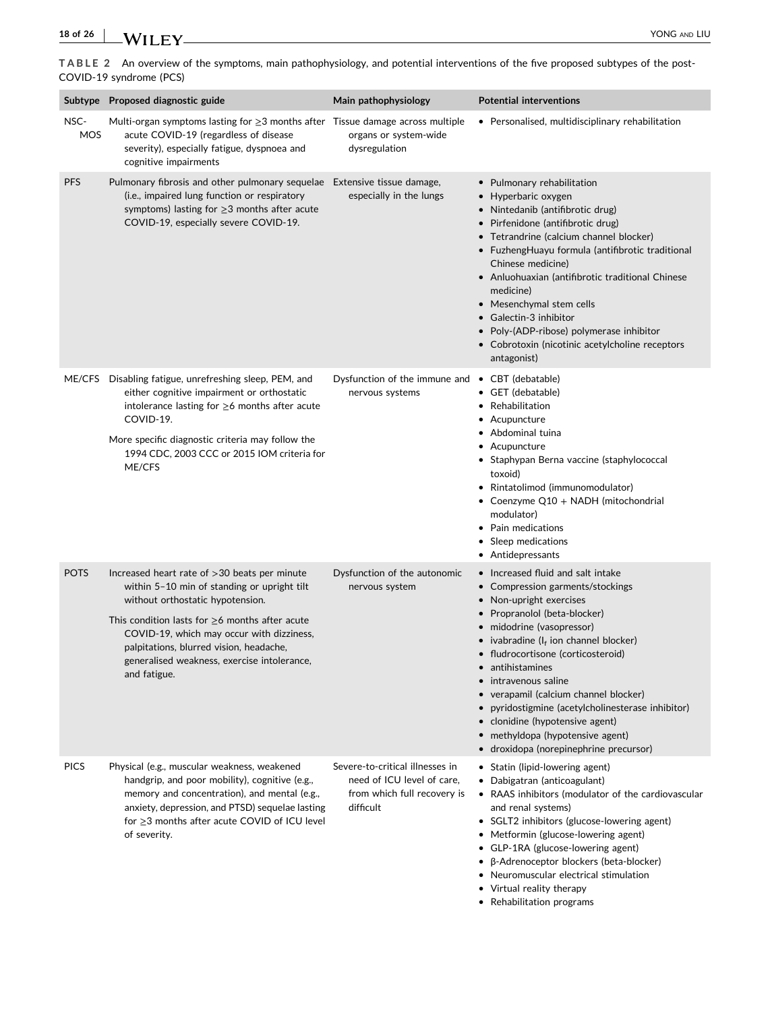<span id="page-17-0"></span>**TABLE 2** An overview of the symptoms, main pathophysiology, and potential interventions of the five proposed subtypes of the post‐ COVID‐19 syndrome (PCS)

|                    | Subtype Proposed diagnostic guide                                                                                                                                                                                                                                                                                                                | Main pathophysiology                                                                                      | <b>Potential interventions</b>                                                                                                                                                                                                                                                                                                                                                                                                                                                                          |
|--------------------|--------------------------------------------------------------------------------------------------------------------------------------------------------------------------------------------------------------------------------------------------------------------------------------------------------------------------------------------------|-----------------------------------------------------------------------------------------------------------|---------------------------------------------------------------------------------------------------------------------------------------------------------------------------------------------------------------------------------------------------------------------------------------------------------------------------------------------------------------------------------------------------------------------------------------------------------------------------------------------------------|
| NSC-<br><b>MOS</b> | Multi-organ symptoms lasting for $\geq$ 3 months after Tissue damage across multiple<br>acute COVID-19 (regardless of disease<br>severity), especially fatigue, dyspnoea and<br>cognitive impairments                                                                                                                                            | organs or system-wide<br>dysregulation                                                                    | • Personalised, multidisciplinary rehabilitation                                                                                                                                                                                                                                                                                                                                                                                                                                                        |
| <b>PFS</b>         | Pulmonary fibrosis and other pulmonary sequelae Extensive tissue damage,<br>(i.e., impaired lung function or respiratory<br>symptoms) lasting for $\geq$ 3 months after acute<br>COVID-19, especially severe COVID-19.                                                                                                                           | especially in the lungs                                                                                   | • Pulmonary rehabilitation<br>• Hyperbaric oxygen<br>• Nintedanib (antifibrotic drug)<br>• Pirfenidone (antifibrotic drug)<br>• Tetrandrine (calcium channel blocker)<br>• FuzhengHuayu formula (antifibrotic traditional<br>Chinese medicine)<br>• Anluohuaxian (antifibrotic traditional Chinese<br>medicine)<br>• Mesenchymal stem cells<br>• Galectin-3 inhibitor<br>• Poly-(ADP-ribose) polymerase inhibitor<br>• Cobrotoxin (nicotinic acetylcholine receptors<br>antagonist)                     |
| ME/CFS             | Disabling fatigue, unrefreshing sleep, PEM, and<br>either cognitive impairment or orthostatic<br>intolerance lasting for $\geq$ 6 months after acute<br>COVID-19.<br>More specific diagnostic criteria may follow the<br>1994 CDC, 2003 CCC or 2015 IOM criteria for<br>ME/CFS                                                                   | Dysfunction of the immune and • CBT (debatable)<br>nervous systems                                        | • GET (debatable)<br>• Rehabilitation<br>• Acupuncture<br>• Abdominal tuina<br>• Acupuncture<br>• Staphypan Berna vaccine (staphylococcal<br>toxoid)<br>• Rintatolimod (immunomodulator)<br>• Coenzyme Q10 + NADH (mitochondrial<br>modulator)<br>• Pain medications<br>• Sleep medications<br>• Antidepressants                                                                                                                                                                                        |
| <b>POTS</b>        | Increased heart rate of $>30$ beats per minute<br>within 5-10 min of standing or upright tilt<br>without orthostatic hypotension.<br>This condition lasts for $\geq$ 6 months after acute<br>COVID-19, which may occur with dizziness,<br>palpitations, blurred vision, headache,<br>generalised weakness, exercise intolerance,<br>and fatigue. | Dysfunction of the autonomic<br>nervous system                                                            | • Increased fluid and salt intake<br>• Compression garments/stockings<br>• Non-upright exercises<br>• Propranolol (beta-blocker)<br>· midodrine (vasopressor)<br>• ivabradine ( $I_f$ ion channel blocker)<br>• fludrocortisone (corticosteroid)<br>• antihistamines<br>• intravenous saline<br>verapamil (calcium channel blocker)<br>pyridostigmine (acetylcholinesterase inhibitor)<br>• clonidine (hypotensive agent)<br>• methyldopa (hypotensive agent)<br>• droxidopa (norepinephrine precursor) |
| <b>PICS</b>        | Physical (e.g., muscular weakness, weakened<br>handgrip, and poor mobility), cognitive (e.g.,<br>memory and concentration), and mental (e.g.,<br>anxiety, depression, and PTSD) sequelae lasting<br>for $\geq$ 3 months after acute COVID of ICU level<br>of severity.                                                                           | Severe-to-critical illnesses in<br>need of ICU level of care.<br>from which full recovery is<br>difficult | • Statin (lipid-lowering agent)<br>• Dabigatran (anticoagulant)<br>• RAAS inhibitors (modulator of the cardiovascular<br>and renal systems)<br>• SGLT2 inhibitors (glucose-lowering agent)<br>• Metformin (glucose-lowering agent)<br>• GLP-1RA (glucose-lowering agent)<br>• β-Adrenoceptor blockers (beta-blocker)<br>• Neuromuscular electrical stimulation<br>• Virtual reality therapy<br>• Rehabilitation programs                                                                                |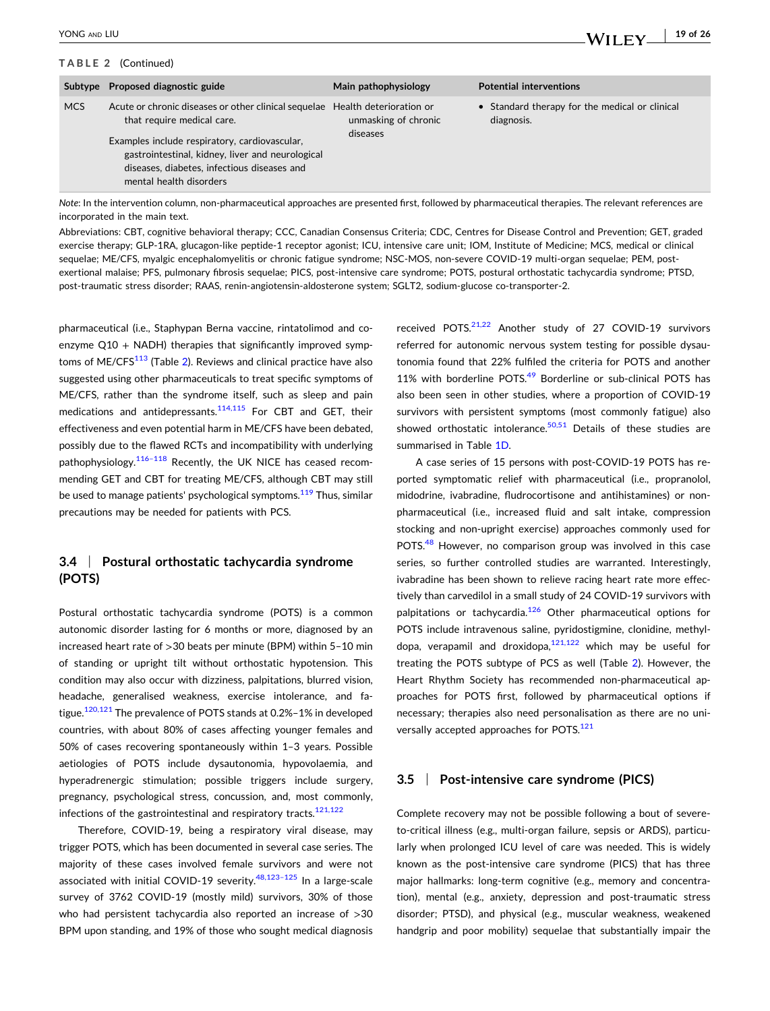#### **TABLE 2** (Continued)

|            | Subtype Proposed diagnostic guide                                                                                                                                                                                                                                 | Main pathophysiology                                        | <b>Potential interventions</b>                               |
|------------|-------------------------------------------------------------------------------------------------------------------------------------------------------------------------------------------------------------------------------------------------------------------|-------------------------------------------------------------|--------------------------------------------------------------|
| <b>MCS</b> | Acute or chronic diseases or other clinical sequelae<br>that require medical care.<br>Examples include respiratory, cardiovascular,<br>gastrointestinal, kidney, liver and neurological<br>diseases, diabetes, infectious diseases and<br>mental health disorders | Health deterioration or<br>unmasking of chronic<br>diseases | • Standard therapy for the medical or clinical<br>diagnosis. |

*Note*: In the intervention column, non‐pharmaceutical approaches are presented first, followed by pharmaceutical therapies. The relevant references are incorporated in the main text.

Abbreviations: CBT, cognitive behavioral therapy; CCC, Canadian Consensus Criteria; CDC, Centres for Disease Control and Prevention; GET, graded exercise therapy; GLP‐1RA, glucagon‐like peptide‐1 receptor agonist; ICU, intensive care unit; IOM, Institute of Medicine; MCS, medical or clinical sequelae; ME/CFS, myalgic encephalomyelitis or chronic fatigue syndrome; NSC‐MOS, non‐severe COVID‐19 multi‐organ sequelae; PEM, post‐ exertional malaise; PFS, pulmonary fibrosis sequelae; PICS, post-intensive care syndrome; POTS, postural orthostatic tachycardia syndrome; PTSD, post‐traumatic stress disorder; RAAS, renin‐angiotensin‐aldosterone system; SGLT2, sodium‐glucose co‐transporter‐2.

pharmaceutical (i.e., Staphypan Berna vaccine, rintatolimod and coenzyme  $Q10 + NADH$ ) therapies that significantly improved symptoms of ME/CFS $113$  (Table [2](#page-17-0)). Reviews and clinical practice have also suggested using other pharmaceuticals to treat specific symptoms of ME/CFS, rather than the syndrome itself, such as sleep and pain medications and antidepressants.<sup>114,115</sup> For CBT and GET, their effectiveness and even potential harm in ME/CFS have been debated, possibly due to the flawed RCTs and incompatibility with underlying pathophysiology. $116-118$  Recently, the UK NICE has ceased recommending GET and CBT for treating ME/CFS, although CBT may still be used to manage patients' psychological symptoms.<sup>[119](#page-24-0)</sup> Thus, similar precautions may be needed for patients with PCS.

### **3.4** <sup>|</sup> **Postural orthostatic tachycardia syndrome (POTS)**

Postural orthostatic tachycardia syndrome (POTS) is a common autonomic disorder lasting for 6 months or more, diagnosed by an increased heart rate of >30 beats per minute (BPM) within 5–10 min of standing or upright tilt without orthostatic hypotension. This condition may also occur with dizziness, palpitations, blurred vision, headache, generalised weakness, exercise intolerance, and fa-tigue.<sup>[120,121](#page-24-0)</sup> The prevalence of POTS stands at 0.2%-1% in developed countries, with about 80% of cases affecting younger females and 50% of cases recovering spontaneously within 1–3 years. Possible aetiologies of POTS include dysautonomia, hypovolaemia, and hyperadrenergic stimulation; possible triggers include surgery, pregnancy, psychological stress, concussion, and, most commonly, infections of the gastrointestinal and respiratory tracts. $121,122$ 

Therefore, COVID‐19, being a respiratory viral disease, may trigger POTS, which has been documented in several case series. The majority of these cases involved female survivors and were not associated with initial COVID-19 severity.<sup>48,123-125</sup> In a large-scale survey of 3762 COVID-19 (mostly mild) survivors, 30% of those who had persistent tachycardia also reported an increase of >30 BPM upon standing, and 19% of those who sought medical diagnosis

received POTS.<sup>[21,22](#page-21-0)</sup> Another study of 27 COVID-19 survivors referred for autonomic nervous system testing for possible dysautonomia found that 22% fulfiled the criteria for POTS and another 11% with borderline POTS.<sup>[49](#page-22-0)</sup> Borderline or sub-clinical POTS has also been seen in other studies, where a proportion of COVID‐19 survivors with persistent symptoms (most commonly fatigue) also showed orthostatic intolerance. $50,51$  Details of these studies are summarised in Table [1D.](#page-3-0)

- **19 of 26**

WILEY\_

A case series of 15 persons with post‐COVID‐19 POTS has reported symptomatic relief with pharmaceutical (i.e., propranolol, midodrine, ivabradine, fludrocortisone and antihistamines) or non‐ pharmaceutical (i.e., increased fluid and salt intake, compression stocking and non‐upright exercise) approaches commonly used for POTS.<sup>[48](#page-22-0)</sup> However, no comparison group was involved in this case series, so further controlled studies are warranted. Interestingly, ivabradine has been shown to relieve racing heart rate more effectively than carvedilol in a small study of 24 COVID‐19 survivors with palpitations or tachycardia.<sup>[126](#page-24-0)</sup> Other pharmaceutical options for POTS include intravenous saline, pyridostigmine, clonidine, methyldopa, verapamil and droxidopa, $121,122$  which may be useful for treating the POTS subtype of PCS as well (Table [2\)](#page-17-0). However, the Heart Rhythm Society has recommended non‐pharmaceutical approaches for POTS first, followed by pharmaceutical options if necessary; therapies also need personalisation as there are no uni-versally accepted approaches for POTS.<sup>[121](#page-24-0)</sup>

#### **3.5** <sup>|</sup> **Post‐intensive care syndrome (PICS)**

Complete recovery may not be possible following a bout of severe‐ to-critical illness (e.g., multi-organ failure, sepsis or ARDS), particularly when prolonged ICU level of care was needed. This is widely known as the post‐intensive care syndrome (PICS) that has three major hallmarks: long‐term cognitive (e.g., memory and concentration), mental (e.g., anxiety, depression and post‐traumatic stress disorder; PTSD), and physical (e.g., muscular weakness, weakened handgrip and poor mobility) sequelae that substantially impair the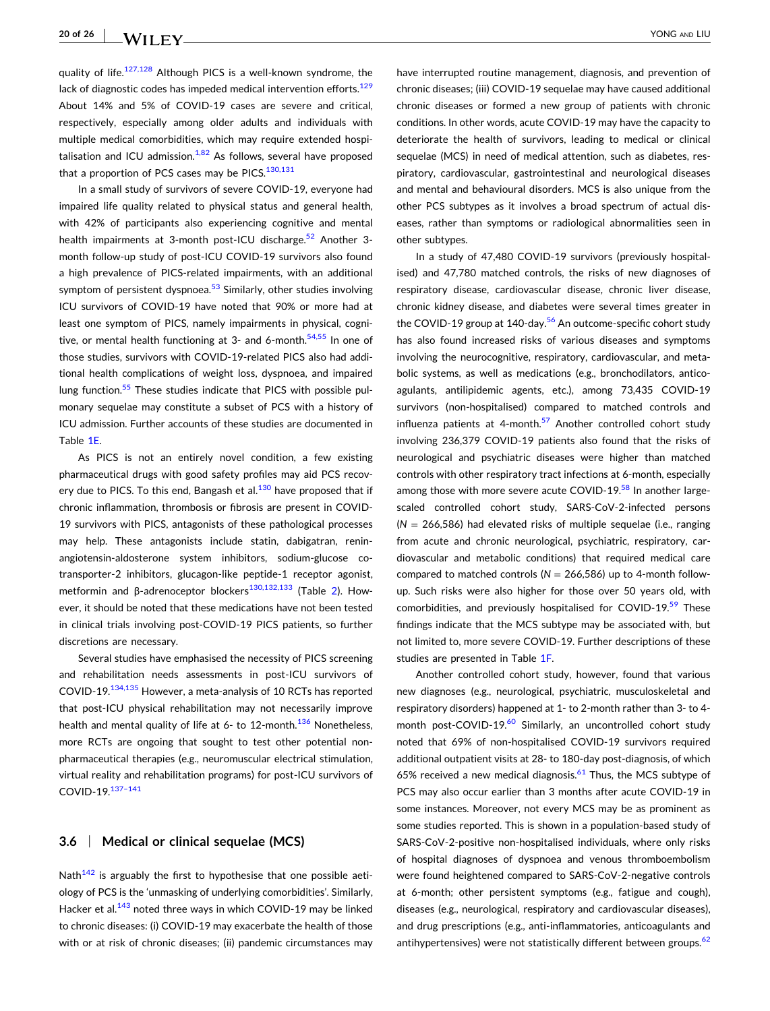quality of life. $127,128$  Although PICS is a well-known syndrome, the lack of diagnostic codes has impeded medical intervention efforts.<sup>129</sup> About 14% and 5% of COVID‐19 cases are severe and critical, respectively, especially among older adults and individuals with multiple medical comorbidities, which may require extended hospitalisation and ICU admission. $1,82$  As follows, several have proposed that a proportion of PCS cases may be PICS. $130,131$ 

In a small study of survivors of severe COVID‐19, everyone had impaired life quality related to physical status and general health, with 42% of participants also experiencing cognitive and mental health impairments at 3-month post-ICU discharge.<sup>[52](#page-22-0)</sup> Another 3month follow‐up study of post‐ICU COVID‐19 survivors also found a high prevalence of PICS‐related impairments, with an additional symptom of persistent dyspnoea. $53$  Similarly, other studies involving ICU survivors of COVID‐19 have noted that 90% or more had at least one symptom of PICS, namely impairments in physical, cogni-tive, or mental health functioning at 3- and 6-month.<sup>[54,55](#page-22-0)</sup> In one of those studies, survivors with COVID‐19‐related PICS also had additional health complications of weight loss, dyspnoea, and impaired lung function.<sup>[55](#page-22-0)</sup> These studies indicate that PICS with possible pulmonary sequelae may constitute a subset of PCS with a history of ICU admission. Further accounts of these studies are documented in Table [1E.](#page-3-0)

As PICS is not an entirely novel condition, a few existing pharmaceutical drugs with good safety profiles may aid PCS recovery due to PICS. To this end, Bangash et al. $130$  have proposed that if chronic inflammation, thrombosis or fibrosis are present in COVID‐ 19 survivors with PICS, antagonists of these pathological processes may help. These antagonists include statin, dabigatran, renin‐ angiotensin-aldosterone system inhibitors, sodium-glucose cotransporter‐2 inhibitors, glucagon‐like peptide‐1 receptor agonist, metformin and β-adrenoceptor blockers<sup>[130,132,133](#page-25-0)</sup> (Table [2\)](#page-17-0). However, it should be noted that these medications have not been tested in clinical trials involving post‐COVID‐19 PICS patients, so further discretions are necessary.

Several studies have emphasised the necessity of PICS screening and rehabilitation needs assessments in post‐ICU survivors of COVID‐19[.134,135](#page-25-0) However, a meta‐analysis of 10 RCTs has reported that post‐ICU physical rehabilitation may not necessarily improve health and mental quality of life at 6- to 12-month.<sup>[136](#page-25-0)</sup> Nonetheless, more RCTs are ongoing that sought to test other potential nonpharmaceutical therapies (e.g., neuromuscular electrical stimulation, virtual reality and rehabilitation programs) for post‐ICU survivors of COVID‐19[.137–141](#page-25-0)

#### **3.6** <sup>|</sup> **Medical or clinical sequelae (MCS)**

Nath $142$  is arguably the first to hypothesise that one possible aetiology of PCS is the 'unmasking of underlying comorbidities'. Similarly, Hacker et al.<sup>143</sup> noted three ways in which COVID-19 may be linked to chronic diseases: (i) COVID‐19 may exacerbate the health of those with or at risk of chronic diseases; (ii) pandemic circumstances may

have interrupted routine management, diagnosis, and prevention of chronic diseases; (iii) COVID‐19 sequelae may have caused additional chronic diseases or formed a new group of patients with chronic conditions. In other words, acute COVID‐19 may have the capacity to deteriorate the health of survivors, leading to medical or clinical sequelae (MCS) in need of medical attention, such as diabetes, respiratory, cardiovascular, gastrointestinal and neurological diseases and mental and behavioural disorders. MCS is also unique from the other PCS subtypes as it involves a broad spectrum of actual diseases, rather than symptoms or radiological abnormalities seen in other subtypes.

In a study of 47,480 COVID‐19 survivors (previously hospitalised) and 47,780 matched controls, the risks of new diagnoses of respiratory disease, cardiovascular disease, chronic liver disease, chronic kidney disease, and diabetes were several times greater in the COVID-19 group at 140-day.<sup>[56](#page-22-0)</sup> An outcome-specific cohort study has also found increased risks of various diseases and symptoms involving the neurocognitive, respiratory, cardiovascular, and metabolic systems, as well as medications (e.g., bronchodilators, anticoagulants, antilipidemic agents, etc.), among 73,435 COVID‐19 survivors (non-hospitalised) compared to matched controls and influenza patients at 4-month. $57$  Another controlled cohort study involving 236,379 COVID‐19 patients also found that the risks of neurological and psychiatric diseases were higher than matched controls with other respiratory tract infections at 6‐month, especially among those with more severe acute COVID-19.<sup>58</sup> In another largescaled controlled cohort study, SARS‐CoV‐2‐infected persons (*N* = 266,586) had elevated risks of multiple sequelae (i.e., ranging from acute and chronic neurological, psychiatric, respiratory, cardiovascular and metabolic conditions) that required medical care compared to matched controls (*N* = 266,586) up to 4‐month follow‐ up. Such risks were also higher for those over 50 years old, with comorbidities, and previously hospitalised for COVID-19.<sup>[59](#page-22-0)</sup> These findings indicate that the MCS subtype may be associated with, but not limited to, more severe COVID‐19. Further descriptions of these studies are presented in Table [1F.](#page-3-0)

Another controlled cohort study, however, found that various new diagnoses (e.g., neurological, psychiatric, musculoskeletal and respiratory disorders) happened at 1‐ to 2‐month rather than 3‐ to 4‐ month post-COVID-19.<sup>60</sup> Similarly, an uncontrolled cohort study noted that 69% of non‐hospitalised COVID‐19 survivors required additional outpatient visits at 28‐ to 180‐day post‐diagnosis, of which 65% received a new medical diagnosis.<sup>[61](#page-22-0)</sup> Thus, the MCS subtype of PCS may also occur earlier than 3 months after acute COVID‐19 in some instances. Moreover, not every MCS may be as prominent as some studies reported. This is shown in a population-based study of SARS-CoV-2-positive non-hospitalised individuals, where only risks of hospital diagnoses of dyspnoea and venous thromboembolism were found heightened compared to SARS‐CoV‐2‐negative controls at 6‐month; other persistent symptoms (e.g., fatigue and cough), diseases (e.g., neurological, respiratory and cardiovascular diseases), and drug prescriptions (e.g., anti‐inflammatories, anticoagulants and antihypertensives) were not statistically different between groups.<sup>[62](#page-23-0)</sup>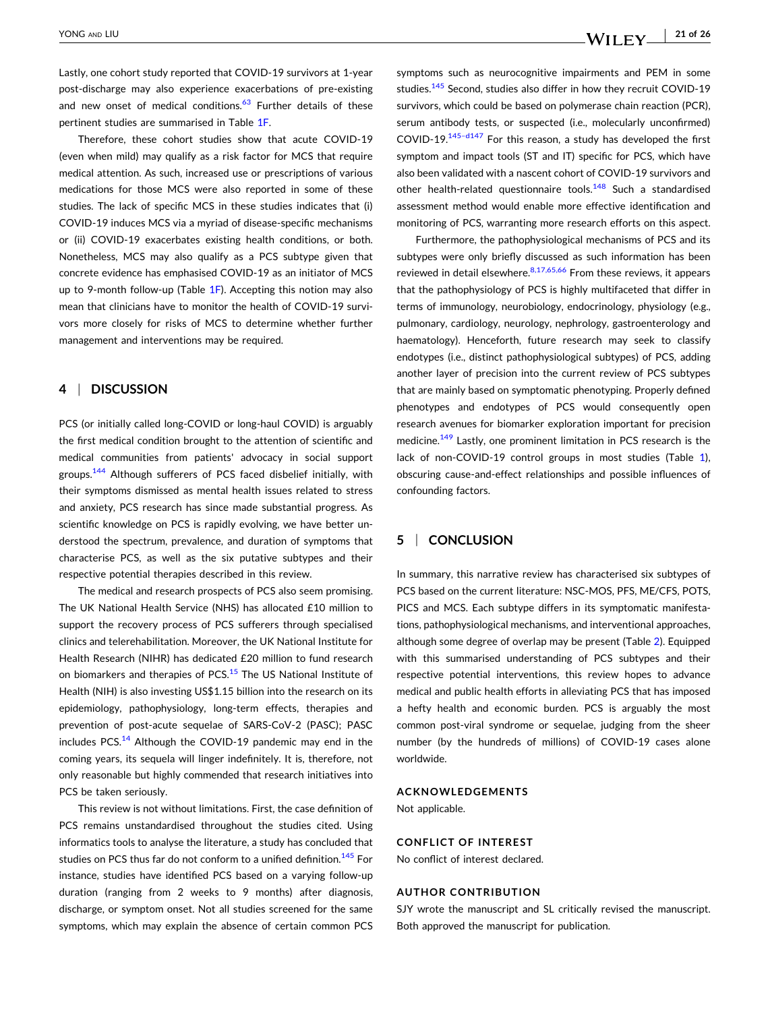Lastly, one cohort study reported that COVID‐19 survivors at 1‐year post-discharge may also experience exacerbations of pre-existing and new onset of medical conditions.<sup>[63](#page-23-0)</sup> Further details of these pertinent studies are summarised in Table [1F](#page-3-0).

Therefore, these cohort studies show that acute COVID‐19 (even when mild) may qualify as a risk factor for MCS that require medical attention. As such, increased use or prescriptions of various medications for those MCS were also reported in some of these studies. The lack of specific MCS in these studies indicates that (i) COVID‐19 induces MCS via a myriad of disease‐specific mechanisms or (ii) COVID‐19 exacerbates existing health conditions, or both. Nonetheless, MCS may also qualify as a PCS subtype given that concrete evidence has emphasised COVID‐19 as an initiator of MCS up to 9-month follow-up (Table  $1F$ ). Accepting this notion may also mean that clinicians have to monitor the health of COVID‐19 survivors more closely for risks of MCS to determine whether further management and interventions may be required.

#### **4** <sup>|</sup> **DISCUSSION**

PCS (or initially called long‐COVID or long‐haul COVID) is arguably the first medical condition brought to the attention of scientific and medical communities from patients' advocacy in social support groups.<sup>144</sup> Although sufferers of PCS faced disbelief initially, with their symptoms dismissed as mental health issues related to stress and anxiety, PCS research has since made substantial progress. As scientific knowledge on PCS is rapidly evolving, we have better understood the spectrum, prevalence, and duration of symptoms that characterise PCS, as well as the six putative subtypes and their respective potential therapies described in this review.

The medical and research prospects of PCS also seem promising. The UK National Health Service (NHS) has allocated £10 million to support the recovery process of PCS sufferers through specialised clinics and telerehabilitation. Moreover, the UK National Institute for Health Research (NIHR) has dedicated £20 million to fund research on biomarkers and therapies of PCS.<sup>[15](#page-21-0)</sup> The US National Institute of Health (NIH) is also investing US\$1.15 billion into the research on its epidemiology, pathophysiology, long‐term effects, therapies and prevention of post-acute sequelae of SARS-CoV-2 (PASC); PASC includes PCS.<sup>[14](#page-21-0)</sup> Although the COVID-19 pandemic may end in the coming years, its sequela will linger indefinitely. It is, therefore, not only reasonable but highly commended that research initiatives into PCS be taken seriously.

This review is not without limitations. First, the case definition of PCS remains unstandardised throughout the studies cited. Using informatics tools to analyse the literature, a study has concluded that studies on PCS thus far do not conform to a unified definition.<sup>[145](#page-25-0)</sup> For instance, studies have identified PCS based on a varying follow‐up duration (ranging from 2 weeks to 9 months) after diagnosis, discharge, or symptom onset. Not all studies screened for the same symptoms, which may explain the absence of certain common PCS symptoms such as neurocognitive impairments and PEM in some studies.<sup>[145](#page-25-0)</sup> Second, studies also differ in how they recruit COVID-19 survivors, which could be based on polymerase chain reaction (PCR), serum antibody tests, or suspected (i.e., molecularly unconfirmed) COVID-19.<sup>145-d147</sup> For this reason, a study has developed the first symptom and impact tools (ST and IT) specific for PCS, which have also been validated with a nascent cohort of COVID‐19 survivors and other health-related questionnaire tools.<sup>[148](#page-25-0)</sup> Such a standardised assessment method would enable more effective identification and monitoring of PCS, warranting more research efforts on this aspect.

Furthermore, the pathophysiological mechanisms of PCS and its subtypes were only briefly discussed as such information has been reviewed in detail elsewhere.<sup>8,17,65,66</sup> From these reviews, it appears that the pathophysiology of PCS is highly multifaceted that differ in terms of immunology, neurobiology, endocrinology, physiology (e.g., pulmonary, cardiology, neurology, nephrology, gastroenterology and haematology). Henceforth, future research may seek to classify endotypes (i.e., distinct pathophysiological subtypes) of PCS, adding another layer of precision into the current review of PCS subtypes that are mainly based on symptomatic phenotyping. Properly defined phenotypes and endotypes of PCS would consequently open research avenues for biomarker exploration important for precision medicine.<sup>149</sup> Lastly, one prominent limitation in PCS research is the lack of non‐COVID‐19 control groups in most studies (Table [1\)](#page-3-0), obscuring cause‐and‐effect relationships and possible influences of confounding factors.

### **5** <sup>|</sup> **CONCLUSION**

In summary, this narrative review has characterised six subtypes of PCS based on the current literature: NSC‐MOS, PFS, ME/CFS, POTS, PICS and MCS. Each subtype differs in its symptomatic manifestations, pathophysiological mechanisms, and interventional approaches, although some degree of overlap may be present (Table [2](#page-17-0)). Equipped with this summarised understanding of PCS subtypes and their respective potential interventions, this review hopes to advance medical and public health efforts in alleviating PCS that has imposed a hefty health and economic burden. PCS is arguably the most common post-viral syndrome or sequelae, judging from the sheer number (by the hundreds of millions) of COVID‐19 cases alone worldwide.

#### **ACKNOWLEDGEMENTS**

Not applicable.

#### **CONFLICT OF INTEREST**

No conflict of interest declared.

#### **AUTHOR CONTRIBUTION**

SJY wrote the manuscript and SL critically revised the manuscript. Both approved the manuscript for publication.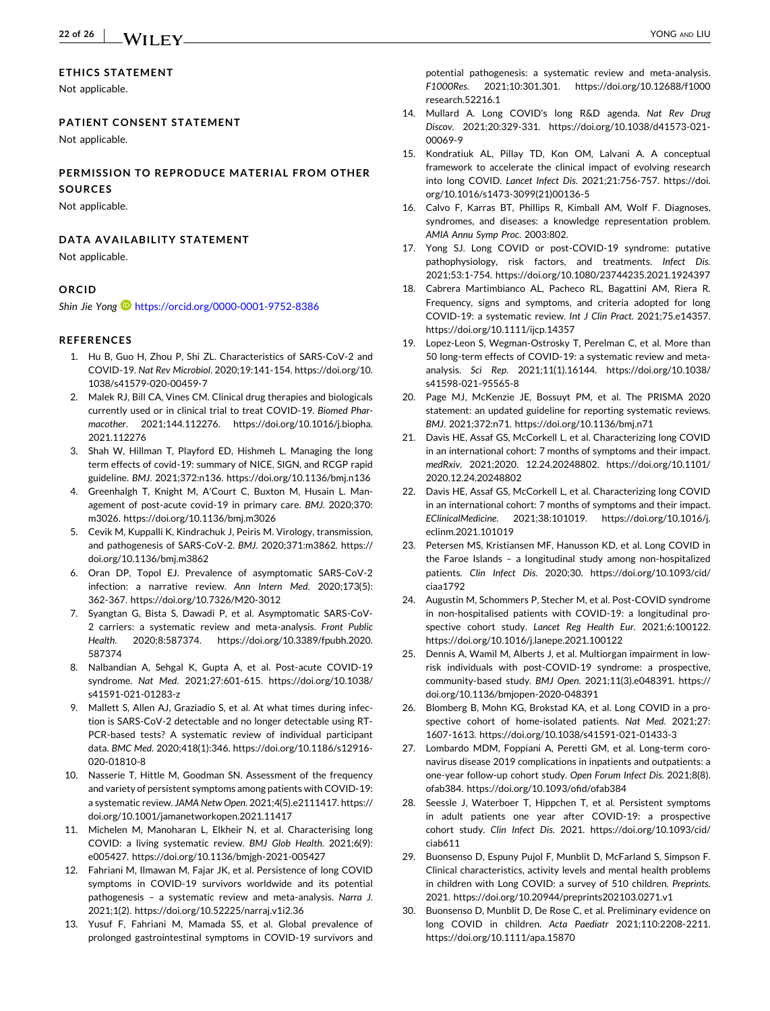#### <span id="page-21-0"></span>**ETHICS STATEMENT**

Not applicable.

#### **PATIENT CONSENT STATEMENT**

Not applicable.

#### **PERMISSION TO REPRODUCE MATERIAL FROM OTHER SOURCES**

#### Not applicable.

#### **DATA AVAILABILITY STATEMENT**

Not applicable.

#### **ORCID**

*Shin Jie Yong* <https://orcid.org/0000-0001-9752-8386>

#### **REFERENCES**

- 1. Hu B, Guo H, Zhou P, Shi ZL. Characteristics of SARS‐CoV‐2 and COVID‐19. *Nat Rev Microbiol*. 2020;19:141‐154. [https://doi.org/10.](https://doi.org/10.1038/s41579-020-00459-7) [1038/s41579](https://doi.org/10.1038/s41579-020-00459-7)‐020‐00459‐7
- 2. Malek RJ, Bill CA, Vines CM. Clinical drug therapies and biologicals currently used or in clinical trial to treat COVID‐19. *Biomed Pharmacother*. 2021;144.112276. [https://doi.org/10.1016/j.biopha.](https://doi.org/10.1016/j.biopha.2021.112276) [2021.112276](https://doi.org/10.1016/j.biopha.2021.112276)
- 3. Shah W, Hillman T, Playford ED, Hishmeh L. Managing the long term effects of covid‐19: summary of NICE, SIGN, and RCGP rapid guideline. *BMJ*. 2021;372:n136. <https://doi.org/10.1136/bmj.n136>
- 4. Greenhalgh T, Knight M, A'Court C, Buxton M, Husain L. Management of post‐acute covid‐19 in primary care. *BMJ*. 2020;370: m3026. <https://doi.org/10.1136/bmj.m3026>
- 5. Cevik M, Kuppalli K, Kindrachuk J, Peiris M. Virology, transmission, and pathogenesis of SARS‐CoV‐2. *BMJ*. 2020;371:m3862. [https://](https://doi.org/10.1136/bmj.m3862) [doi.org/10.1136/bmj.m3862](https://doi.org/10.1136/bmj.m3862)
- 6. Oran DP, Topol EJ. Prevalence of asymptomatic SARS‐CoV‐2 infection: a narrative review. *Ann Intern Med*. 2020;173(5): 362‐367. [https://doi.org/10.7326/M20](https://doi.org/10.7326/M20-3012)‐3012
- 7. Syangtan G, Bista S, Dawadi P, et al. Asymptomatic SARS‐CoV‐ 2 carriers: a systematic review and meta‐analysis. *Front Public Health*. 2020;8:587374. [https://doi.org/10.3389/fpubh.2020.](https://doi.org/10.3389/fpubh.2020.587374) [587374](https://doi.org/10.3389/fpubh.2020.587374)
- 8. Nalbandian A, Sehgal K, Gupta A, et al. Post‐acute COVID‐19 syndrome. *Nat Med*. 2021;27:601‐615. [https://doi.org/10.1038/](https://doi.org/10.1038/s41591-021-01283-z) [s41591](https://doi.org/10.1038/s41591-021-01283-z)‐021‐01283‐z
- 9. Mallett S, Allen AJ, Graziadio S, et al. At what times during infection is SARS‐CoV‐2 detectable and no longer detectable using RT‐ PCR‐based tests? A systematic review of individual participant data. *BMC Med*. 2020;418(1):346. [https://doi.org/10.1186/s12916](https://doi.org/10.1186/s12916-020-01810-8)‐ 020‐[01810](https://doi.org/10.1186/s12916-020-01810-8)‐8
- 10. Nasserie T, Hittle M, Goodman SN. Assessment of the frequency and variety of persistent symptoms among patients with COVID‐19: a systematic review. *JAMA Netw Open*. 2021;4(5).e2111417. [https://](https://doi.org/10.1001/jamanetworkopen.2021.11417) [doi.org/10.1001/jamanetworkopen.2021.11417](https://doi.org/10.1001/jamanetworkopen.2021.11417)
- 11. Michelen M, Manoharan L, Elkheir N, et al. Characterising long COVID: a living systematic review. *BMJ Glob Health*. 2021;6(9): e005427. [https://doi.org/10.1136/bmjgh](https://doi.org/10.1136/bmjgh-2021-005427)‐2021‐005427
- 12. Fahriani M, Ilmawan M, Fajar JK, et al. Persistence of long COVID symptoms in COVID‐19 survivors worldwide and its potential pathogenesis – a systematic review and meta‐analysis. *Narra J*. 2021;1(2). <https://doi.org/10.52225/narraj.v1i2.36>
- 13. Yusuf F, Fahriani M, Mamada SS, et al. Global prevalence of prolonged gastrointestinal symptoms in COVID‐19 survivors and

potential pathogenesis: a systematic review and meta-analysis. *F1000Res*. 2021;10:301.301. [https://doi.org/10.12688/f1000](https://doi.org/10.12688/f1000research.52216.1) [research.52216.1](https://doi.org/10.12688/f1000research.52216.1)

- 14. Mullard A. Long COVID's long R&D agenda. *Nat Rev Drug Discov*. 2021;20:329‐331. [https://doi.org/10.1038/d41573](https://doi.org/10.1038/d41573-021-00069-9)‐021‐ [00069](https://doi.org/10.1038/d41573-021-00069-9)‐9
- 15. Kondratiuk AL, Pillay TD, Kon OM, Lalvani A. A conceptual framework to accelerate the clinical impact of evolving research into long COVID. *Lancet Infect Dis*. 2021;21:756‐757. [https://doi.](https://doi.org/10.1016/s1473-3099(21)00136-5) [org/10.1016/s1473](https://doi.org/10.1016/s1473-3099(21)00136-5)‐3099(21)00136‐5
- 16. Calvo F, Karras BT, Phillips R, Kimball AM, Wolf F. Diagnoses, syndromes, and diseases: a knowledge representation problem. *AMIA Annu Symp Proc*. 2003:802.
- 17. Yong SJ. Long COVID or post‐COVID‐19 syndrome: putative pathophysiology, risk factors, and treatments. *Infect Dis*. 2021;53:1‐754. <https://doi.org/10.1080/23744235.2021.1924397>
- 18. Cabrera Martimbianco AL, Pacheco RL, Bagattini AM, Riera R. Frequency, signs and symptoms, and criteria adopted for long COVID‐19: a systematic review. *Int J Clin Pract*. 2021;75.e14357. <https://doi.org/10.1111/ijcp.14357>
- 19. Lopez-Leon S, Wegman-Ostrosky T, Perelman C, et al. More than 50 long-term effects of COVID-19: a systematic review and metaanalysis. *Sci Rep*. 2021;11(1).16144. [https://doi.org/10.1038/](https://doi.org/10.1038/s41598-021-95565-8) [s41598](https://doi.org/10.1038/s41598-021-95565-8)‐021‐95565‐8
- 20. Page MJ, McKenzie JE, Bossuyt PM, et al. The PRISMA 2020 statement: an updated guideline for reporting systematic reviews. *BMJ*. 2021;372:n71. <https://doi.org/10.1136/bmj.n71>
- 21. Davis HE, Assaf GS, McCorkell L, et al. Characterizing long COVID in an international cohort: 7 months of symptoms and their impact. *medRxiv*. 2021;2020. 12.24.20248802. [https://doi.org/10.1101/](https://doi.org/10.1101/2020.12.24.20248802) [2020.12.24.20248802](https://doi.org/10.1101/2020.12.24.20248802)
- 22. Davis HE, Assaf GS, McCorkell L, et al. Characterizing long COVID in an international cohort: 7 months of symptoms and their impact. *EClinicalMedicine*. 2021;38:101019. [https://doi.org/10.1016/j.](https://doi.org/10.1016/j.eclinm.2021.101019) [eclinm.2021.101019](https://doi.org/10.1016/j.eclinm.2021.101019)
- Petersen MS, Kristiansen MF, Hanusson KD, et al. Long COVID in the Faroe Islands – a longitudinal study among non‐hospitalized patients. *Clin Infect Dis*. 2020;30. [https://doi.org/10.1093/cid/](https://doi.org/10.1093/cid/ciaa1792) [ciaa1792](https://doi.org/10.1093/cid/ciaa1792)
- 24. Augustin M, Schommers P, Stecher M, et al. Post‐COVID syndrome in non‐hospitalised patients with COVID‐19: a longitudinal prospective cohort study. *Lancet Reg Health Eur*. 2021;6:100122. <https://doi.org/10.1016/j.lanepe.2021.100122>
- 25. Dennis A, Wamil M, Alberts J, et al. Multiorgan impairment in low‐ risk individuals with post‐COVID‐19 syndrome: a prospective, community‐based study. *BMJ Open*. 2021;11(3).e048391. [https://](https://doi.org/10.1136/bmjopen-2020-048391) [doi.org/10.1136/bmjopen](https://doi.org/10.1136/bmjopen-2020-048391)‐2020‐048391
- 26. Blomberg B, Mohn KG, Brokstad KA, et al. Long COVID in a prospective cohort of home‐isolated patients. *Nat Med*. 2021;27: 1607‐1613. [https://doi.org/10.1038/s41591](https://doi.org/10.1038/s41591-021-01433-3)‐021‐01433‐3
- 27. Lombardo MDM, Foppiani A, Peretti GM, et al. Long‐term coronavirus disease 2019 complications in inpatients and outpatients: a one‐year follow‐up cohort study. *Open Forum Infect Dis*. 2021;8(8). ofab384. <https://doi.org/10.1093/ofid/ofab384>
- 28. Seessle J, Waterboer T, Hippchen T, et al. Persistent symptoms in adult patients one year after COVID‐19: a prospective cohort study. *Clin Infect Dis*. 2021. [https://doi.org/10.1093/cid/](https://doi.org/10.1093/cid/ciab611) [ciab611](https://doi.org/10.1093/cid/ciab611)
- 29. Buonsenso D, Espuny Pujol F, Munblit D, McFarland S, Simpson F. Clinical characteristics, activity levels and mental health problems in children with Long COVID: a survey of 510 children. *Preprints*. 2021. <https://doi.org/10.20944/preprints202103.0271.v1>
- 30. Buonsenso D, Munblit D, De Rose C, et al. Preliminary evidence on long COVID in children. *Acta Paediatr* 2021;110:2208‐2211. <https://doi.org/10.1111/apa.15870>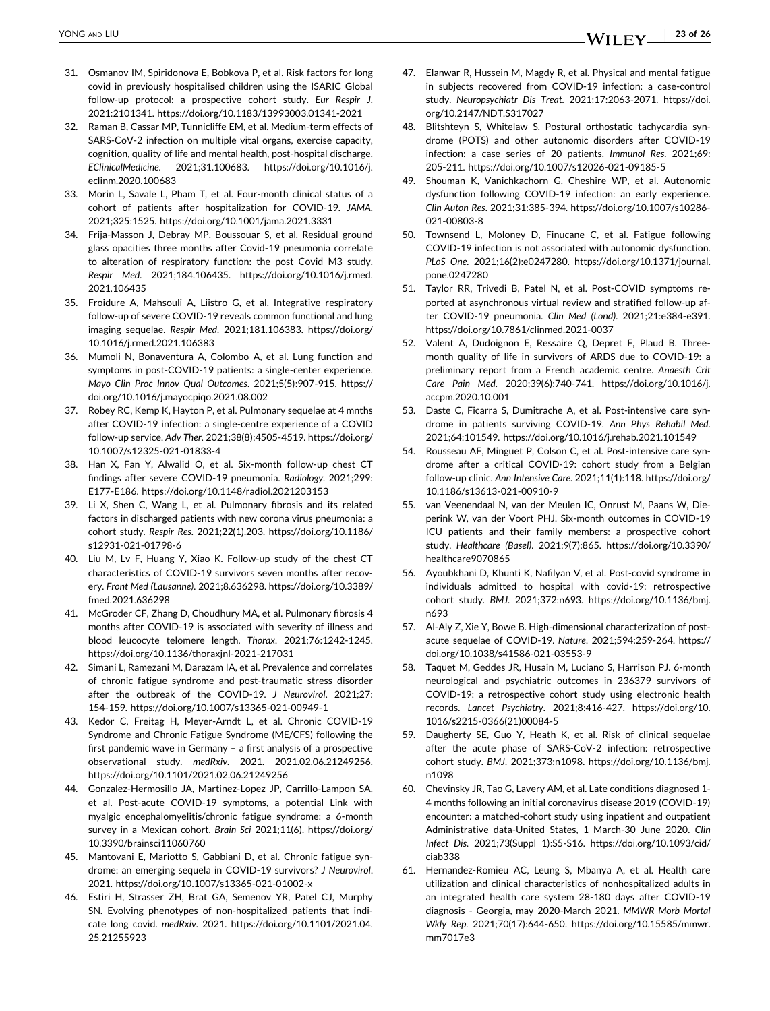- <span id="page-22-0"></span>31. Osmanov IM, Spiridonova E, Bobkova P, et al. Risk factors for long covid in previously hospitalised children using the ISARIC Global follow‐up protocol: a prospective cohort study. *Eur Respir J*. 2021:2101341. [https://doi.org/10.1183/13993003.01341](https://doi.org/10.1183/13993003.01341-2021)‐2021
- 32. Raman B, Cassar MP, Tunnicliffe EM, et al. Medium‐term effects of SARS‐CoV‐2 infection on multiple vital organs, exercise capacity, cognition, quality of life and mental health, post-hospital discharge. *EClinicalMedicine*. 2021;31.100683. [https://doi.org/10.1016/j.](https://doi.org/10.1016/j.eclinm.2020.100683) [eclinm.2020.100683](https://doi.org/10.1016/j.eclinm.2020.100683)
- 33. Morin L, Savale L, Pham T, et al. Four‐month clinical status of a cohort of patients after hospitalization for COVID‐19. *JAMA*. 2021;325:1525. <https://doi.org/10.1001/jama.2021.3331>
- 34. Frija‐Masson J, Debray MP, Boussouar S, et al. Residual ground glass opacities three months after Covid‐19 pneumonia correlate to alteration of respiratory function: the post Covid M3 study. *Respir Med*. 2021;184.106435. [https://doi.org/10.1016/j.rmed.](https://doi.org/10.1016/j.rmed.2021.106435) [2021.106435](https://doi.org/10.1016/j.rmed.2021.106435)
- 35. Froidure A, Mahsouli A, Liistro G, et al. Integrative respiratory follow‐up of severe COVID‐19 reveals common functional and lung imaging sequelae. *Respir Med*. 2021;181.106383. [https://doi.org/](https://doi.org/10.1016/j.rmed.2021.106383) [10.1016/j.rmed.2021.106383](https://doi.org/10.1016/j.rmed.2021.106383)
- 36. Mumoli N, Bonaventura A, Colombo A, et al. Lung function and symptoms in post-COVID-19 patients: a single-center experience. *Mayo Clin Proc Innov Qual Outcomes*. 2021;5(5):907‐915. [https://](https://doi.org/10.1016/j.mayocpiqo.2021.08.002) [doi.org/10.1016/j.mayocpiqo.2021.08.002](https://doi.org/10.1016/j.mayocpiqo.2021.08.002)
- 37. Robey RC, Kemp K, Hayton P, et al. Pulmonary sequelae at 4 mnths after COVID‐19 infection: a single‐centre experience of a COVID follow‐up service. *Adv Ther*. 2021;38(8):4505‐4519. [https://doi.org/](https://doi.org/10.1007/s12325-021-01833-4) [10.1007/s12325](https://doi.org/10.1007/s12325-021-01833-4)‐021‐01833‐4
- 38. Han X, Fan Y, Alwalid O, et al. Six‐month follow‐up chest CT findings after severe COVID‐19 pneumonia. *Radiology*. 2021;299: E177‐E186. <https://doi.org/10.1148/radiol.2021203153>
- 39. Li X, Shen C, Wang L, et al. Pulmonary fibrosis and its related factors in discharged patients with new corona virus pneumonia: a cohort study. *Respir Res*. 2021;22(1).203. [https://doi.org/10.1186/](https://doi.org/10.1186/s12931-021-01798-6) [s12931](https://doi.org/10.1186/s12931-021-01798-6)‐021‐01798‐6
- 40. Liu M, Lv F, Huang Y, Xiao K. Follow‐up study of the chest CT characteristics of COVID‐19 survivors seven months after recovery. *Front Med (Lausanne)*. 2021;8.636298. [https://doi.org/10.3389/](https://doi.org/10.3389/fmed.2021.636298) [fmed.2021.636298](https://doi.org/10.3389/fmed.2021.636298)
- 41. McGroder CF, Zhang D, Choudhury MA, et al. Pulmonary fibrosis 4 months after COVID‐19 is associated with severity of illness and blood leucocyte telomere length. *Thorax*. 2021;76:1242‐1245. [https://doi.org/10.1136/thoraxjnl](https://doi.org/10.1136/thoraxjnl-2021-217031)‐2021‐217031
- 42. Simani L, Ramezani M, Darazam IA, et al. Prevalence and correlates of chronic fatigue syndrome and post-traumatic stress disorder after the outbreak of the COVID‐19. *J Neurovirol*. 2021;27: 154‐159. [https://doi.org/10.1007/s13365](https://doi.org/10.1007/s13365-021-00949-1)‐021‐00949‐1
- 43. Kedor C, Freitag H, Meyer‐Arndt L, et al. Chronic COVID‐19 Syndrome and Chronic Fatigue Syndrome (ME/CFS) following the first pandemic wave in Germany – a first analysis of a prospective observational study. *medRxiv*. 2021. 2021.02.06.21249256. <https://doi.org/10.1101/2021.02.06.21249256>
- 44. Gonzalez‐Hermosillo JA, Martinez‐Lopez JP, Carrillo‐Lampon SA, et al. Post‐acute COVID‐19 symptoms, a potential Link with myalgic encephalomyelitis/chronic fatigue syndrome: a 6‐month survey in a Mexican cohort. *Brain Sci* 2021;11(6). [https://doi.org/](https://doi.org/10.3390/brainsci11060760) [10.3390/brainsci11060760](https://doi.org/10.3390/brainsci11060760)
- 45. Mantovani E, Mariotto S, Gabbiani D, et al. Chronic fatigue syndrome: an emerging sequela in COVID‐19 survivors? *J Neurovirol*. 2021. [https://doi.org/10.1007/s13365](https://doi.org/10.1007/s13365-021-01002-x)‐021‐01002‐x
- 46. Estiri H, Strasser ZH, Brat GA, Semenov YR, Patel CJ, Murphy SN. Evolving phenotypes of non‐hospitalized patients that indicate long covid. *medRxiv*. 2021. [https://doi.org/10.1101/2021.04.](https://doi.org/10.1101/2021.04.25.21255923) [25.21255923](https://doi.org/10.1101/2021.04.25.21255923)
- 47. Elanwar R, Hussein M, Magdy R, et al. Physical and mental fatigue in subjects recovered from COVID-19 infection: a case-control study. *Neuropsychiatr Dis Treat*. 2021;17:2063‐2071. [https://doi.](https://doi.org/10.2147/NDT.S317027) [org/10.2147/NDT.S317027](https://doi.org/10.2147/NDT.S317027)
- 48. Blitshteyn S, Whitelaw S. Postural orthostatic tachycardia syndrome (POTS) and other autonomic disorders after COVID‐19 infection: a case series of 20 patients. *Immunol Res*. 2021;69: 205‐211. [https://doi.org/10.1007/s12026](https://doi.org/10.1007/s12026-021-09185-5)‐021‐09185‐5
- 49. Shouman K, Vanichkachorn G, Cheshire WP, et al. Autonomic dysfunction following COVID‐19 infection: an early experience. *Clin Auton Res*. 2021;31:385‐394. [https://doi.org/10.1007/s10286](https://doi.org/10.1007/s10286-021-00803-8)‐ 021‐[00803](https://doi.org/10.1007/s10286-021-00803-8)‐8
- 50. Townsend L, Moloney D, Finucane C, et al. Fatigue following COVID‐19 infection is not associated with autonomic dysfunction. *PLoS One*. 2021;16(2):e0247280. [https://doi.org/10.1371/journal.](https://doi.org/10.1371/journal.pone.0247280) [pone.0247280](https://doi.org/10.1371/journal.pone.0247280)
- 51. Taylor RR, Trivedi B, Patel N, et al. Post‐COVID symptoms reported at asynchronous virtual review and stratified follow‐up after COVID‐19 pneumonia. *Clin Med (Lond)*. 2021;21:e384‐e391. [https://doi.org/10.7861/clinmed.2021](https://doi.org/10.7861/clinmed.2021-0037)‐0037
- 52. Valent A, Dudoignon E, Ressaire Q, Depret F, Plaud B. Three‐ month quality of life in survivors of ARDS due to COVID‐19: a preliminary report from a French academic centre. *Anaesth Crit Care Pain Med*. 2020;39(6):740‐741. [https://doi.org/10.1016/j.](https://doi.org/10.1016/j.accpm.2020.10.001) [accpm.2020.10.001](https://doi.org/10.1016/j.accpm.2020.10.001)
- 53. Daste C, Ficarra S, Dumitrache A, et al. Post-intensive care syndrome in patients surviving COVID‐19. *Ann Phys Rehabil Med*. 2021;64:101549. <https://doi.org/10.1016/j.rehab.2021.101549>
- 54. Rousseau AF, Minguet P, Colson C, et al. Post-intensive care syndrome after a critical COVID‐19: cohort study from a Belgian follow‐up clinic. *Ann Intensive Care*. 2021;11(1):118. [https://doi.org/](https://doi.org/10.1186/s13613-021-00910-9) [10.1186/s13613](https://doi.org/10.1186/s13613-021-00910-9)‐021‐00910‐9
- 55. van Veenendaal N, van der Meulen IC, Onrust M, Paans W, Dieperink W, van der Voort PHJ. Six‐month outcomes in COVID‐19 ICU patients and their family members: a prospective cohort study. *Healthcare (Basel)*. 2021;9(7):865. [https://doi.org/10.3390/](https://doi.org/10.3390/healthcare9070865) [healthcare9070865](https://doi.org/10.3390/healthcare9070865)
- 56. Ayoubkhani D, Khunti K, Nafilyan V, et al. Post‐covid syndrome in individuals admitted to hospital with covid‐19: retrospective cohort study. *BMJ*. 2021;372:n693. [https://doi.org/10.1136/bmj.](https://doi.org/10.1136/bmj.n693) [n693](https://doi.org/10.1136/bmj.n693)
- 57. Al-Aly Z, Xie Y, Bowe B. High-dimensional characterization of postacute sequelae of COVID‐19. *Nature*. 2021;594:259‐264. [https://](https://doi.org/10.1038/s41586-021-03553-9) [doi.org/10.1038/s41586](https://doi.org/10.1038/s41586-021-03553-9)‐021‐03553‐9
- 58. Taquet M, Geddes JR, Husain M, Luciano S, Harrison PJ. 6‐month neurological and psychiatric outcomes in 236379 survivors of COVID‐19: a retrospective cohort study using electronic health records. *Lancet Psychiatry*. 2021;8:416‐427. [https://doi.org/10.](https://doi.org/10.1016/s2215-0366(21)00084-5) 1016/s2215‐[0366\(21\)00084](https://doi.org/10.1016/s2215-0366(21)00084-5)‐5
- 59. Daugherty SE, Guo Y, Heath K, et al. Risk of clinical sequelae after the acute phase of SARS‐CoV‐2 infection: retrospective cohort study. *BMJ*. 2021;373:n1098. [https://doi.org/10.1136/bmj.](https://doi.org/10.1136/bmj.n1098) [n1098](https://doi.org/10.1136/bmj.n1098)
- 60. Chevinsky JR, Tao G, Lavery AM, et al. Late conditions diagnosed 1‐ 4 months following an initial coronavirus disease 2019 (COVID‐19) encounter: a matched‐cohort study using inpatient and outpatient Administrative data‐United States, 1 March‐30 June 2020. *Clin Infect Dis*. 2021;73(Suppl 1):S5‐S16. [https://doi.org/10.1093/cid/](https://doi.org/10.1093/cid/ciab338) [ciab338](https://doi.org/10.1093/cid/ciab338)
- 61. Hernandez‐Romieu AC, Leung S, Mbanya A, et al. Health care utilization and clinical characteristics of nonhospitalized adults in an integrated health care system 28‐180 days after COVID‐19 diagnosis ‐ Georgia, may 2020‐March 2021. *MMWR Morb Mortal Wkly Rep*. 2021;70(17):644‐650. [https://doi.org/10.15585/mmwr.](https://doi.org/10.15585/mmwr.mm7017e3) [mm7017e3](https://doi.org/10.15585/mmwr.mm7017e3)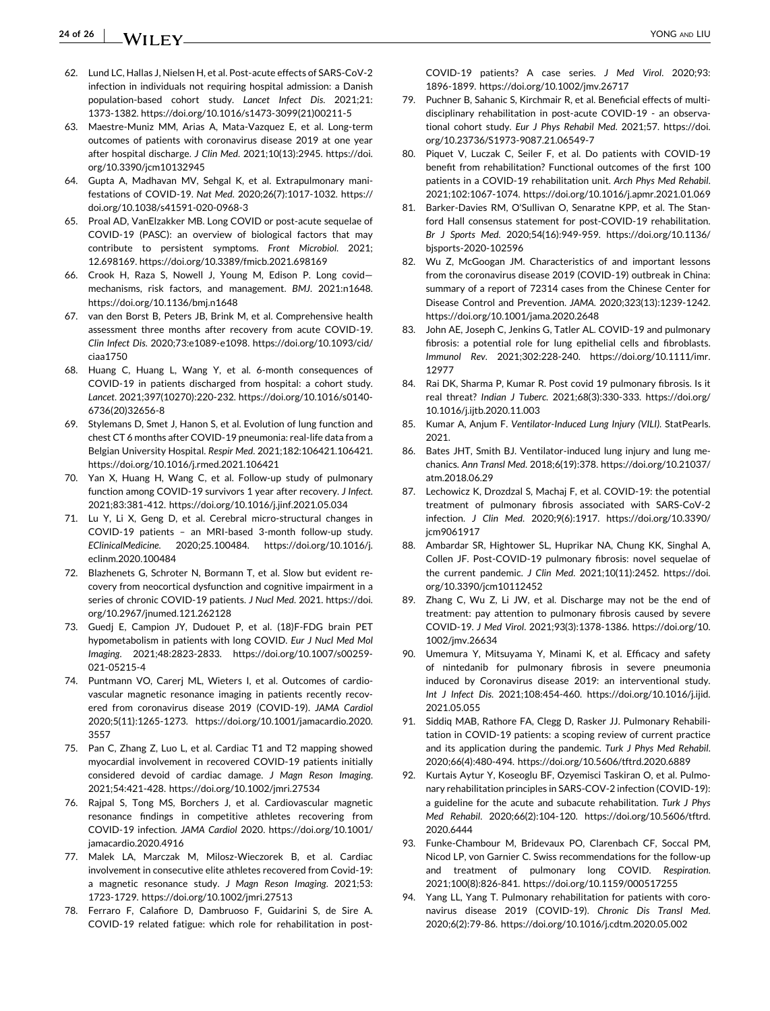#### <span id="page-23-0"></span>**24 of 26**  $-$  VONG and LIU  $-$  YONG AND LIU  $-$

- 62. Lund LC, Hallas J, Nielsen H, et al. Post‐acute effects of SARS‐CoV‐2 infection in individuals not requiring hospital admission: a Danish population‐based cohort study. *Lancet Infect Dis*. 2021;21: 1373‐1382. [https://doi.org/10.1016/s1473](https://doi.org/10.1016/s1473-3099(21)00211-5)‐3099(21)00211‐5
- 63. Maestre‐Muniz MM, Arias A, Mata‐Vazquez E, et al. Long‐term outcomes of patients with coronavirus disease 2019 at one year after hospital discharge. *J Clin Med*. 2021;10(13):2945. [https://doi.](https://doi.org/10.3390/jcm10132945) [org/10.3390/jcm10132945](https://doi.org/10.3390/jcm10132945)
- 64. Gupta A, Madhavan MV, Sehgal K, et al. Extrapulmonary manifestations of COVID‐19. *Nat Med*. 2020;26(7):1017‐1032. [https://](https://doi.org/10.1038/s41591-020-0968-3) [doi.org/10.1038/s41591](https://doi.org/10.1038/s41591-020-0968-3)‐020‐0968‐3
- 65. Proal AD, VanElzakker MB. Long COVID or post‐acute sequelae of COVID‐19 (PASC): an overview of biological factors that may contribute to persistent symptoms. *Front Microbiol*. 2021; 12.698169. <https://doi.org/10.3389/fmicb.2021.698169>
- 66. Crook H, Raza S, Nowell J, Young M, Edison P. Long covid mechanisms, risk factors, and management. *BMJ*. 2021:n1648. <https://doi.org/10.1136/bmj.n1648>
- 67. van den Borst B, Peters JB, Brink M, et al. Comprehensive health assessment three months after recovery from acute COVID‐19. *Clin Infect Dis*. 2020;73:e1089‐e1098. [https://doi.org/10.1093/cid/](https://doi.org/10.1093/cid/ciaa1750) [ciaa1750](https://doi.org/10.1093/cid/ciaa1750)
- 68. Huang C, Huang L, Wang Y, et al. 6‐month consequences of COVID‐19 in patients discharged from hospital: a cohort study. *Lancet*. 2021;397(10270):220‐232. [https://doi.org/10.1016/s0140](https://doi.org/10.1016/s0140-6736(20)32656-8)‐ [6736\(20\)32656](https://doi.org/10.1016/s0140-6736(20)32656-8)‐8
- 69. Stylemans D, Smet J, Hanon S, et al. Evolution of lung function and chest CT 6 months after COVID‐19 pneumonia: real‐life data from a Belgian University Hospital. *Respir Med*. 2021;182:106421.106421. <https://doi.org/10.1016/j.rmed.2021.106421>
- 70. Yan X, Huang H, Wang C, et al. Follow‐up study of pulmonary function among COVID‐19 survivors 1 year after recovery. *J Infect*. 2021;83:381‐412. <https://doi.org/10.1016/j.jinf.2021.05.034>
- 71. Lu Y, Li X, Geng D, et al. Cerebral micro-structural changes in COVID‐19 patients – an MRI‐based 3‐month follow‐up study. *EClinicalMedicine*. 2020;25.100484. [https://doi.org/10.1016/j.](https://doi.org/10.1016/j.eclinm.2020.100484) [eclinm.2020.100484](https://doi.org/10.1016/j.eclinm.2020.100484)
- 72. Blazhenets G, Schroter N, Bormann T, et al. Slow but evident recovery from neocortical dysfunction and cognitive impairment in a series of chronic COVID‐19 patients. *J Nucl Med*. 2021. [https://doi.](https://doi.org/10.2967/jnumed.121.262128) [org/10.2967/jnumed.121.262128](https://doi.org/10.2967/jnumed.121.262128)
- 73. Guedj E, Campion JY, Dudouet P, et al. (18)F‐FDG brain PET hypometabolism in patients with long COVID. *Eur J Nucl Med Mol Imaging*. 2021;48:2823‐2833. [https://doi.org/10.1007/s00259](https://doi.org/10.1007/s00259-021-05215-4)‐ 021‐[05215](https://doi.org/10.1007/s00259-021-05215-4)‐4
- 74. Puntmann VO, Carerj ML, Wieters I, et al. Outcomes of cardiovascular magnetic resonance imaging in patients recently recovered from coronavirus disease 2019 (COVID‐19). *JAMA Cardiol* 2020;5(11):1265‐1273. [https://doi.org/10.1001/jamacardio.2020.](https://doi.org/10.1001/jamacardio.2020.3557) [3557](https://doi.org/10.1001/jamacardio.2020.3557)
- 75. Pan C, Zhang Z, Luo L, et al. Cardiac T1 and T2 mapping showed myocardial involvement in recovered COVID‐19 patients initially considered devoid of cardiac damage. *J Magn Reson Imaging*. 2021;54:421‐428. <https://doi.org/10.1002/jmri.27534>
- 76. Rajpal S, Tong MS, Borchers J, et al. Cardiovascular magnetic resonance findings in competitive athletes recovering from COVID‐19 infection. *JAMA Cardiol* 2020. [https://doi.org/10.1001/](https://doi.org/10.1001/jamacardio.2020.4916) [jamacardio.2020.4916](https://doi.org/10.1001/jamacardio.2020.4916)
- 77. Malek LA, Marczak M, Milosz‐Wieczorek B, et al. Cardiac involvement in consecutive elite athletes recovered from Covid‐19: a magnetic resonance study. *J Magn Reson Imaging*. 2021;53: 1723‐1729. <https://doi.org/10.1002/jmri.27513>
- 78. Ferraro F, Calafiore D, Dambruoso F, Guidarini S, de Sire A. COVID-19 related fatigue: which role for rehabilitation in post-

COVID‐19 patients? A case series. *J Med Virol*. 2020;93: 1896‐1899. <https://doi.org/10.1002/jmv.26717>

- 79. Puchner B, Sahanic S, Kirchmair R, et al. Beneficial effects of multi‐ disciplinary rehabilitation in post‐acute COVID‐19 ‐ an observational cohort study. *Eur J Phys Rehabil Med*. 2021;57. [https://doi.](https://doi.org/10.23736/S1973-9087.21.06549-7) [org/10.23736/S1973](https://doi.org/10.23736/S1973-9087.21.06549-7)‐9087.21.06549‐7
- 80. Piquet V, Luczak C, Seiler F, et al. Do patients with COVID‐19 benefit from rehabilitation? Functional outcomes of the first 100 patients in a COVID‐19 rehabilitation unit. *Arch Phys Med Rehabil*. 2021;102:1067‐1074. <https://doi.org/10.1016/j.apmr.2021.01.069>
- 81. Barker‐Davies RM, O'Sullivan O, Senaratne KPP, et al. The Stanford Hall consensus statement for post‐COVID‐19 rehabilitation. *Br J Sports Med*. 2020;54(16):949‐959. [https://doi.org/10.1136/](https://doi.org/10.1136/bjsports-2020-102596) [bjsports](https://doi.org/10.1136/bjsports-2020-102596)‐2020‐102596
- 82. Wu Z, McGoogan JM. Characteristics of and important lessons from the coronavirus disease 2019 (COVID‐19) outbreak in China: summary of a report of 72314 cases from the Chinese Center for Disease Control and Prevention. *JAMA*. 2020;323(13):1239‐1242. <https://doi.org/10.1001/jama.2020.2648>
- 83. John AE, Joseph C, Jenkins G, Tatler AL. COVID‐19 and pulmonary fibrosis: a potential role for lung epithelial cells and fibroblasts. *Immunol Rev*. 2021;302:228‐240. [https://doi.org/10.1111/imr.](https://doi.org/10.1111/imr.12977) [12977](https://doi.org/10.1111/imr.12977)
- 84. Rai DK, Sharma P, Kumar R. Post covid 19 pulmonary fibrosis. Is it real threat? *Indian J Tuberc*. 2021;68(3):330‐333. [https://doi.org/](https://doi.org/10.1016/j.ijtb.2020.11.003) [10.1016/j.ijtb.2020.11.003](https://doi.org/10.1016/j.ijtb.2020.11.003)
- 85. Kumar A, Anjum F. *Ventilator‐Induced Lung Injury (VILI)*. StatPearls. 2021.
- 86. Bates JHT, Smith BJ. Ventilator-induced lung injury and lung mechanics. *Ann Transl Med*. 2018;6(19):378. [https://doi.org/10.21037/](https://doi.org/10.21037/atm.2018.06.29) [atm.2018.06.29](https://doi.org/10.21037/atm.2018.06.29)
- 87. Lechowicz K, Drozdzal S, Machaj F, et al. COVID‐19: the potential treatment of pulmonary fibrosis associated with SARS‐CoV‐2 infection. *J Clin Med*. 2020;9(6):1917. [https://doi.org/10.3390/](https://doi.org/10.3390/jcm9061917) [jcm9061917](https://doi.org/10.3390/jcm9061917)
- 88. Ambardar SR, Hightower SL, Huprikar NA, Chung KK, Singhal A, Collen JF. Post‐COVID‐19 pulmonary fibrosis: novel sequelae of the current pandemic. *J Clin Med*. 2021;10(11):2452. [https://doi.](https://doi.org/10.3390/jcm10112452) [org/10.3390/jcm10112452](https://doi.org/10.3390/jcm10112452)
- 89. Zhang C, Wu Z, Li JW, et al. Discharge may not be the end of treatment: pay attention to pulmonary fibrosis caused by severe COVID‐19. *J Med Virol*. 2021;93(3):1378‐1386. [https://doi.org/10.](https://doi.org/10.1002/jmv.26634) [1002/jmv.26634](https://doi.org/10.1002/jmv.26634)
- 90. Umemura Y, Mitsuyama Y, Minami K, et al. Efficacy and safety of nintedanib for pulmonary fibrosis in severe pneumonia induced by Coronavirus disease 2019: an interventional study. *Int J Infect Dis*. 2021;108:454‐460. [https://doi.org/10.1016/j.ijid.](https://doi.org/10.1016/j.ijid.2021.05.055) [2021.05.055](https://doi.org/10.1016/j.ijid.2021.05.055)
- 91. Siddiq MAB, Rathore FA, Clegg D, Rasker JJ. Pulmonary Rehabilitation in COVID‐19 patients: a scoping review of current practice and its application during the pandemic. *Turk J Phys Med Rehabil*. 2020;66(4):480‐494. <https://doi.org/10.5606/tftrd.2020.6889>
- 92. Kurtais Aytur Y, Koseoglu BF, Ozyemisci Taskiran O, et al. Pulmonary rehabilitation principles in SARS‐COV‐2 infection (COVID‐19): a guideline for the acute and subacute rehabilitation. *Turk J Phys Med Rehabil*. 2020;66(2):104‐120. [https://doi.org/10.5606/tftrd.](https://doi.org/10.5606/tftrd.2020.6444) [2020.6444](https://doi.org/10.5606/tftrd.2020.6444)
- 93. Funke-Chambour M, Bridevaux PO, Clarenbach CF, Soccal PM, Nicod LP, von Garnier C. Swiss recommendations for the follow‐up and treatment of pulmonary long COVID. *Respiration*. 2021;100(8):826‐841. <https://doi.org/10.1159/000517255>
- 94. Yang LL, Yang T. Pulmonary rehabilitation for patients with coronavirus disease 2019 (COVID‐19). *Chronic Dis Transl Med*. 2020;6(2):79‐86. <https://doi.org/10.1016/j.cdtm.2020.05.002>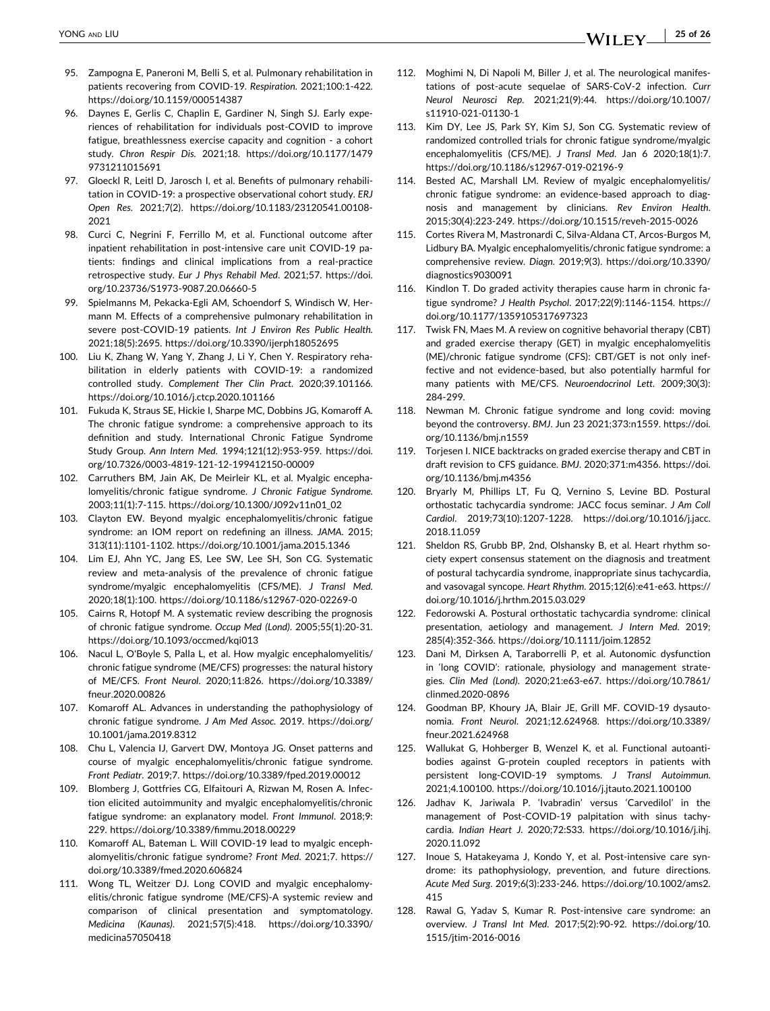- <span id="page-24-0"></span>95. Zampogna E, Paneroni M, Belli S, et al. Pulmonary rehabilitation in patients recovering from COVID‐19. *Respiration*. 2021;100:1‐422. <https://doi.org/10.1159/000514387>
- 96. Daynes E, Gerlis C, Chaplin E, Gardiner N, Singh SJ. Early experiences of rehabilitation for individuals post‐COVID to improve fatigue, breathlessness exercise capacity and cognition ‐ a cohort study. *Chron Respir Dis*. 2021;18. [https://doi.org/10.1177/1479](https://doi.org/10.1177/14799731211015691) [9731211015691](https://doi.org/10.1177/14799731211015691)
- 97. Gloeckl R, Leitl D, Jarosch I, et al. Benefits of pulmonary rehabilitation in COVID‐19: a prospective observational cohort study. *ERJ Open Res*. 2021;7(2). [https://doi.org/10.1183/23120541.00108](https://doi.org/10.1183/23120541.00108-2021)‐ [2021](https://doi.org/10.1183/23120541.00108-2021)
- 98. Curci C, Negrini F, Ferrillo M, et al. Functional outcome after inpatient rehabilitation in post-intensive care unit COVID-19 patients: findings and clinical implications from a real‐practice retrospective study. *Eur J Phys Rehabil Med*. 2021;57. [https://doi.](https://doi.org/10.23736/S1973-9087.20.06660-5) [org/10.23736/S1973](https://doi.org/10.23736/S1973-9087.20.06660-5)‐9087.20.06660‐5
- 99. Spielmanns M, Pekacka‐Egli AM, Schoendorf S, Windisch W, Hermann M. Effects of a comprehensive pulmonary rehabilitation in severe post‐COVID‐19 patients. *Int J Environ Res Public Health*. 2021;18(5):2695. <https://doi.org/10.3390/ijerph18052695>
- 100. Liu K, Zhang W, Yang Y, Zhang J, Li Y, Chen Y. Respiratory rehabilitation in elderly patients with COVID‐19: a randomized controlled study. *Complement Ther Clin Pract*. 2020;39.101166. <https://doi.org/10.1016/j.ctcp.2020.101166>
- 101. Fukuda K, Straus SE, Hickie I, Sharpe MC, Dobbins JG, Komaroff A. The chronic fatigue syndrome: a comprehensive approach to its definition and study. International Chronic Fatigue Syndrome Study Group. *Ann Intern Med*. 1994;121(12):953‐959. [https://doi.](https://doi.org/10.7326/0003-4819-121-12-199412150-00009) [org/10.7326/0003](https://doi.org/10.7326/0003-4819-121-12-199412150-00009)‐4819‐121‐12‐199412150‐00009
- 102. Carruthers BM, Jain AK, De Meirleir KL, et al. Myalgic encephalomyelitis/chronic fatigue syndrome. *J Chronic Fatigue Syndrome*. 2003;11(1):7‐115. [https://doi.org/10.1300/J092v11n01\\_02](https://doi.org/10.1300/J092v11n01_02)
- 103. Clayton EW. Beyond myalgic encephalomyelitis/chronic fatigue syndrome: an IOM report on redefining an illness. *JAMA*. 2015; 313(11):1101‐1102. <https://doi.org/10.1001/jama.2015.1346>
- 104. Lim EJ, Ahn YC, Jang ES, Lee SW, Lee SH, Son CG. Systematic review and meta‐analysis of the prevalence of chronic fatigue syndrome/myalgic encephalomyelitis (CFS/ME). *J Transl Med*. 2020;18(1):100. [https://doi.org/10.1186/s12967](https://doi.org/10.1186/s12967-020-02269-0)‐020‐02269‐0
- 105. Cairns R, Hotopf M. A systematic review describing the prognosis of chronic fatigue syndrome. *Occup Med (Lond)*. 2005;55(1):20‐31. <https://doi.org/10.1093/occmed/kqi013>
- 106. Nacul L, O'Boyle S, Palla L, et al. How myalgic encephalomyelitis/ chronic fatigue syndrome (ME/CFS) progresses: the natural history of ME/CFS. *Front Neurol*. 2020;11:826. [https://doi.org/10.3389/](https://doi.org/10.3389/fneur.2020.00826) [fneur.2020.00826](https://doi.org/10.3389/fneur.2020.00826)
- 107. Komaroff AL. Advances in understanding the pathophysiology of chronic fatigue syndrome. *J Am Med Assoc*. 2019. [https://doi.org/](https://doi.org/10.1001/jama.2019.8312) [10.1001/jama.2019.8312](https://doi.org/10.1001/jama.2019.8312)
- 108. Chu L, Valencia IJ, Garvert DW, Montoya JG. Onset patterns and course of myalgic encephalomyelitis/chronic fatigue syndrome. *Front Pediatr*. 2019;7. <https://doi.org/10.3389/fped.2019.00012>
- 109. Blomberg J, Gottfries CG, Elfaitouri A, Rizwan M, Rosen A. Infection elicited autoimmunity and myalgic encephalomyelitis/chronic fatigue syndrome: an explanatory model. *Front Immunol*. 2018;9: 229. <https://doi.org/10.3389/fimmu.2018.00229>
- 110. Komaroff AL, Bateman L. Will COVID‐19 lead to myalgic encephalomyelitis/chronic fatigue syndrome? *Front Med*. 2021;7. [https://](https://doi.org/10.3389/fmed.2020.606824) [doi.org/10.3389/fmed.2020.606824](https://doi.org/10.3389/fmed.2020.606824)
- 111. Wong TL, Weitzer DJ. Long COVID and myalgic encephalomyelitis/chronic fatigue syndrome (ME/CFS)‐A systemic review and comparison of clinical presentation and symptomatology. *Medicina (Kaunas)*. 2021;57(5):418. [https://doi.org/10.3390/](https://doi.org/10.3390/medicina57050418) [medicina57050418](https://doi.org/10.3390/medicina57050418)
- 112. Moghimi N, Di Napoli M, Biller J, et al. The neurological manifestations of post‐acute sequelae of SARS‐CoV‐2 infection. *Curr Neurol Neurosci Rep*. 2021;21(9):44. [https://doi.org/10.1007/](https://doi.org/10.1007/s11910-021-01130-1) [s11910](https://doi.org/10.1007/s11910-021-01130-1)‐021‐01130‐1
- 113. Kim DY, Lee JS, Park SY, Kim SJ, Son CG. Systematic review of randomized controlled trials for chronic fatigue syndrome/myalgic encephalomyelitis (CFS/ME). *J Transl Med*. Jan 6 2020;18(1):7. [https://doi.org/10.1186/s12967](https://doi.org/10.1186/s12967-019-02196-9)‐019‐02196‐9
- 114. Bested AC, Marshall LM. Review of myalgic encephalomyelitis/ chronic fatigue syndrome: an evidence‐based approach to diagnosis and management by clinicians. *Rev Environ Health*. 2015;30(4):223‐249. [https://doi.org/10.1515/reveh](https://doi.org/10.1515/reveh-2015-0026)‐2015‐0026
- 115. Cortes Rivera M, Mastronardi C, Silva‐Aldana CT, Arcos‐Burgos M, Lidbury BA. Myalgic encephalomyelitis/chronic fatigue syndrome: a comprehensive review. *Diagn*. 2019;9(3). [https://doi.org/10.3390/](https://doi.org/10.3390/diagnostics9030091) [diagnostics9030091](https://doi.org/10.3390/diagnostics9030091)
- 116. Kindlon T. Do graded activity therapies cause harm in chronic fatigue syndrome? *J Health Psychol*. 2017;22(9):1146‐1154. [https://](https://doi.org/10.1177/1359105317697323) [doi.org/10.1177/1359105317697323](https://doi.org/10.1177/1359105317697323)
- 117. Twisk FN, Maes M. A review on cognitive behavorial therapy (CBT) and graded exercise therapy (GET) in myalgic encephalomyelitis (ME)/chronic fatigue syndrome (CFS): CBT/GET is not only ineffective and not evidence‐based, but also potentially harmful for many patients with ME/CFS. *Neuroendocrinol Lett*. 2009;30(3): 284‐299.
- 118. Newman M. Chronic fatigue syndrome and long covid: moving beyond the controversy. *BMJ*. Jun 23 2021;373:n1559. [https://doi.](https://doi.org/10.1136/bmj.n1559) [org/10.1136/bmj.n1559](https://doi.org/10.1136/bmj.n1559)
- 119. Torjesen I. NICE backtracks on graded exercise therapy and CBT in draft revision to CFS guidance. *BMJ*. 2020;371:m4356. [https://doi.](https://doi.org/10.1136/bmj.m4356) [org/10.1136/bmj.m4356](https://doi.org/10.1136/bmj.m4356)
- 120. Bryarly M, Phillips LT, Fu Q, Vernino S, Levine BD. Postural orthostatic tachycardia syndrome: JACC focus seminar. *J Am Coll Cardiol*. 2019;73(10):1207‐1228. [https://doi.org/10.1016/j.jacc.](https://doi.org/10.1016/j.jacc.2018.11.059) [2018.11.059](https://doi.org/10.1016/j.jacc.2018.11.059)
- 121. Sheldon RS, Grubb BP, 2nd, Olshansky B, et al. Heart rhythm society expert consensus statement on the diagnosis and treatment of postural tachycardia syndrome, inappropriate sinus tachycardia, and vasovagal syncope. *Heart Rhythm*. 2015;12(6):e41‐e63. [https://](https://doi.org/10.1016/j.hrthm.2015.03.029) [doi.org/10.1016/j.hrthm.2015.03.029](https://doi.org/10.1016/j.hrthm.2015.03.029)
- 122. Fedorowski A. Postural orthostatic tachycardia syndrome: clinical presentation, aetiology and management. *J Intern Med*. 2019; 285(4):352‐366. <https://doi.org/10.1111/joim.12852>
- 123. Dani M, Dirksen A, Taraborrelli P, et al. Autonomic dysfunction in 'long COVID': rationale, physiology and management strategies. *Clin Med (Lond)*. 2020;21:e63‐e67. [https://doi.org/10.7861/](https://doi.org/10.7861/clinmed.2020-0896) [clinmed.2020](https://doi.org/10.7861/clinmed.2020-0896)‐0896
- 124. Goodman BP, Khoury JA, Blair JE, Grill MF. COVID‐19 dysautonomia. *Front Neurol*. 2021;12.624968. [https://doi.org/10.3389/](https://doi.org/10.3389/fneur.2021.624968) [fneur.2021.624968](https://doi.org/10.3389/fneur.2021.624968)
- 125. Wallukat G, Hohberger B, Wenzel K, et al. Functional autoantibodies against G‐protein coupled receptors in patients with persistent long‐COVID‐19 symptoms. *J Transl Autoimmun*. 2021;4.100100. <https://doi.org/10.1016/j.jtauto.2021.100100>
- 126. Jadhav K, Jariwala P. 'Ivabradin' versus 'Carvedilol' in the management of Post-COVID-19 palpitation with sinus tachycardia. *Indian Heart J*. 2020;72:S33. [https://doi.org/10.1016/j.ihj.](https://doi.org/10.1016/j.ihj.2020.11.092) [2020.11.092](https://doi.org/10.1016/j.ihj.2020.11.092)
- 127. Inoue S, Hatakeyama J, Kondo Y, et al. Post-intensive care syndrome: its pathophysiology, prevention, and future directions. *Acute Med Surg*. 2019;6(3):233‐246. [https://doi.org/10.1002/ams2.](https://doi.org/10.1002/ams2.415) [415](https://doi.org/10.1002/ams2.415)
- 128. Rawal G, Yadav S, Kumar R. Post‐intensive care syndrome: an overview. *J Transl Int Med*. 2017;5(2):90‐92. [https://doi.org/10.](https://doi.org/10.1515/jtim-2016-0016) [1515/jtim](https://doi.org/10.1515/jtim-2016-0016)‐2016‐0016